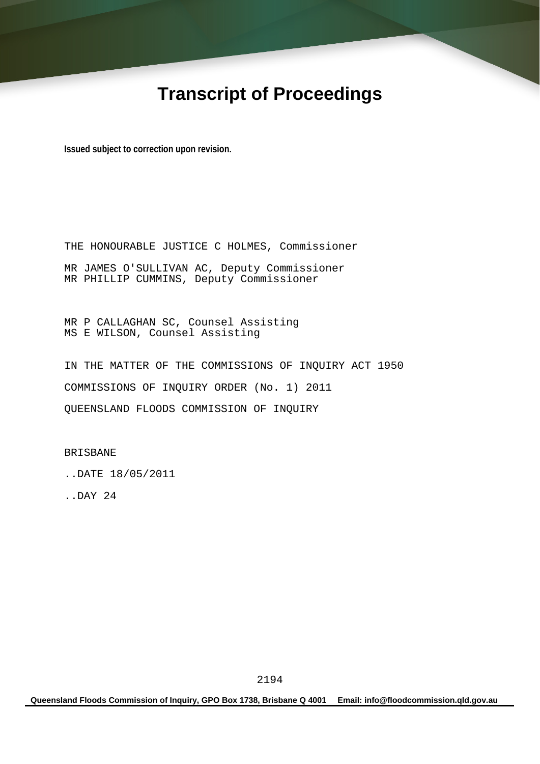# **Transcript of Proceedings**

**Issued subject to correction upon revision.** 

THE HONOURABLE JUSTICE C HOLMES, Commissioner MR JAMES O'SULLIVAN AC, Deputy Commissioner MR PHILLIP CUMMINS, Deputy Commissioner

MR P CALLAGHAN SC, Counsel Assisting MS E WILSON, Counsel Assisting

IN THE MATTER OF THE COMMISSIONS OF INQUIRY ACT 1950 COMMISSIONS OF INQUIRY ORDER (No. 1) 2011 QUEENSLAND FLOODS COMMISSION OF INQUIRY

BRISBANE

..DATE 18/05/2011

..DAY 24

**Queensland Floods Commission of Inquiry, GPO Box 1738, Brisbane Q 4001 Email: info@floodcommission.qld.gov.au**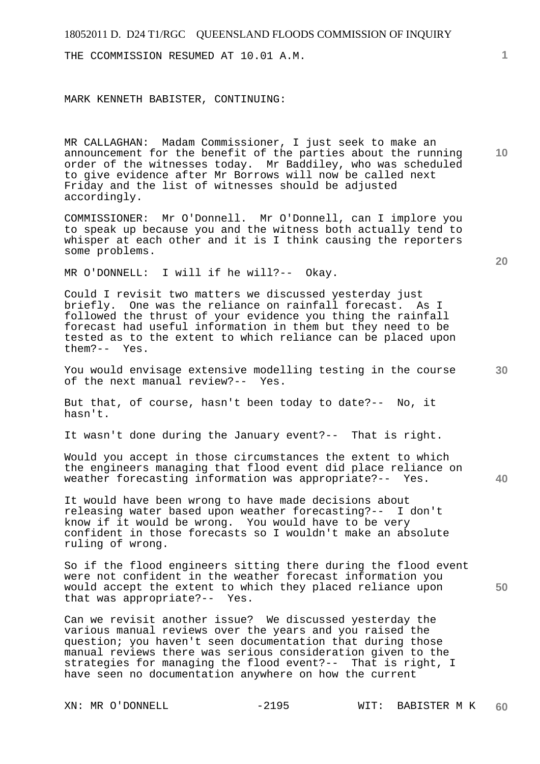THE CCOMMISSION RESUMED AT 10.01 A.M.

MARK KENNETH BABISTER, CONTINUING:

MR CALLAGHAN: Madam Commissioner, I just seek to make an announcement for the benefit of the parties about the running order of the witnesses today. Mr Baddiley, who was scheduled to give evidence after Mr Borrows will now be called next Friday and the list of witnesses should be adjusted accordingly.

COMMISSIONER: Mr O'Donnell. Mr O'Donnell, can I implore you to speak up because you and the witness both actually tend to whisper at each other and it is I think causing the reporters some problems.

MR O'DONNELL: I will if he will?-- Okay.

Could I revisit two matters we discussed yesterday just briefly. One was the reliance on rainfall forecast. As I followed the thrust of your evidence you thing the rainfall forecast had useful information in them but they need to be tested as to the extent to which reliance can be placed upon them?-- Yes.

You would envisage extensive modelling testing in the course of the next manual review?-- Yes.

But that, of course, hasn't been today to date?-- No, it hasn't.

It wasn't done during the January event?-- That is right.

Would you accept in those circumstances the extent to which the engineers managing that flood event did place reliance on weather forecasting information was appropriate?-- Yes.

It would have been wrong to have made decisions about releasing water based upon weather forecasting?-- I don't know if it would be wrong. You would have to be very confident in those forecasts so I wouldn't make an absolute ruling of wrong.

So if the flood engineers sitting there during the flood event were not confident in the weather forecast information you would accept the extent to which they placed reliance upon that was appropriate?-- Yes.

Can we revisit another issue? We discussed yesterday the various manual reviews over the years and you raised the question; you haven't seen documentation that during those manual reviews there was serious consideration given to the strategies for managing the flood event?-- That is right, I have seen no documentation anywhere on how the current

**20** 

**10** 

**1**

**40**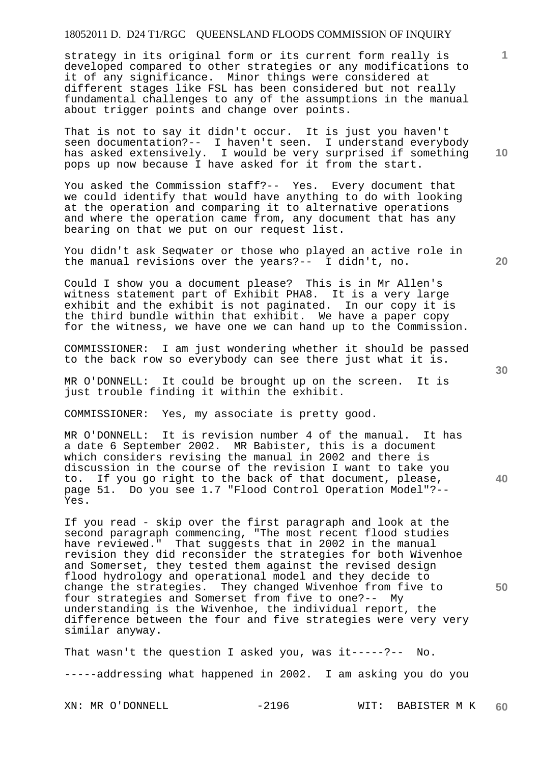strategy in its original form or its current form really is developed compared to other strategies or any modifications to it of any significance. Minor things were considered at different stages like FSL has been considered but not really fundamental challenges to any of the assumptions in the manual about trigger points and change over points.

That is not to say it didn't occur. It is just you haven't seen documentation?-- I haven't seen. I understand everybody has asked extensively. I would be very surprised if something pops up now because I have asked for it from the start.

You asked the Commission staff?-- Yes. Every document that we could identify that would have anything to do with looking at the operation and comparing it to alternative operations and where the operation came from, any document that has any bearing on that we put on our request list.

You didn't ask Seqwater or those who played an active role in the manual revisions over the years?-- I didn't, no.

Could I show you a document please? This is in Mr Allen's witness statement part of Exhibit PHA8. It is a very large exhibit and the exhibit is not paginated. In our copy it is the third bundle within that exhibit. We have a paper copy for the witness, we have one we can hand up to the Commission.

COMMISSIONER: I am just wondering whether it should be passed to the back row so everybody can see there just what it is.

MR O'DONNELL: It could be brought up on the screen. It is just trouble finding it within the exhibit.

COMMISSIONER: Yes, my associate is pretty good.

MR O'DONNELL: It is revision number 4 of the manual. It has a date 6 September 2002. MR Babister, this is a document which considers revising the manual in 2002 and there is discussion in the course of the revision I want to take you to. If you go right to the back of that document, please, page 51. Do you see 1.7 "Flood Control Operation Model"?-- Yes.

If you read - skip over the first paragraph and look at the second paragraph commencing, "The most recent flood studies have reviewed." That suggests that in 2002 in the manual revision they did reconsider the strategies for both Wivenhoe and Somerset, they tested them against the revised design flood hydrology and operational model and they decide to change the strategies. They changed Wivenhoe from five to four strategies and Somerset from five to one?-- My understanding is the Wivenhoe, the individual report, the difference between the four and five strategies were very very similar anyway.

That wasn't the question I asked you, was it-----?-- No. -----addressing what happened in 2002. I am asking you do you

**10** 

**1**

**20** 

**30** 

**40**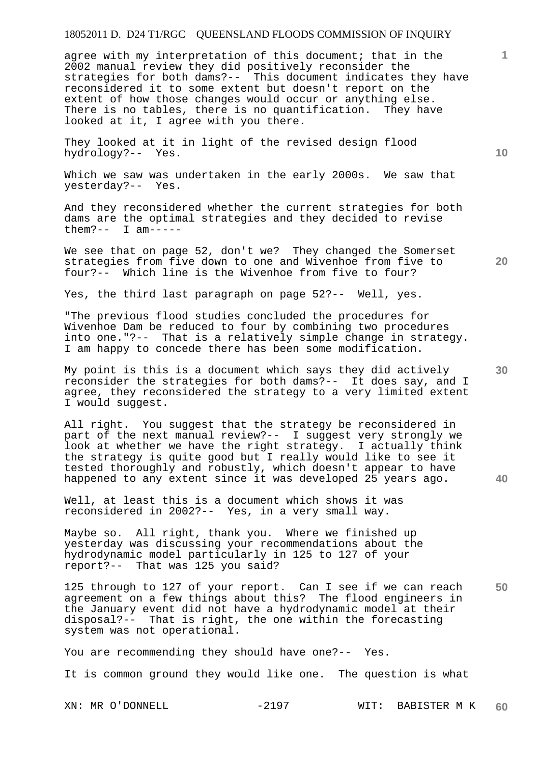agree with my interpretation of this document; that in the 2002 manual review they did positively reconsider the strategies for both dams?-- This document indicates they have reconsidered it to some extent but doesn't report on the extent of how those changes would occur or anything else. There is no tables, there is no quantification. They have looked at it, I agree with you there.

They looked at it in light of the revised design flood hydrology?-- Yes.

Which we saw was undertaken in the early 2000s. We saw that yesterday?-- Yes.

And they reconsidered whether the current strategies for both dams are the optimal strategies and they decided to revise them?-- I am-----

We see that on page 52, don't we? They changed the Somerset strategies from five down to one and Wivenhoe from five to four?-- Which line is the Wivenhoe from five to four?

Yes, the third last paragraph on page 52?-- Well, yes.

"The previous flood studies concluded the procedures for Wivenhoe Dam be reduced to four by combining two procedures into one."?-- That is a relatively simple change in strategy. I am happy to concede there has been some modification.

My point is this is a document which says they did actively reconsider the strategies for both dams?-- It does say, and I agree, they reconsidered the strategy to a very limited extent I would suggest.

All right. You suggest that the strategy be reconsidered in part of the next manual review?-- I suggest very strongly we look at whether we have the right strategy. I actually think the strategy is quite good but I really would like to see it tested thoroughly and robustly, which doesn't appear to have happened to any extent since it was developed 25 years ago.

Well, at least this is a document which shows it was reconsidered in 2002?-- Yes, in a very small way.

Maybe so. All right, thank you. Where we finished up yesterday was discussing your recommendations about the hydrodynamic model particularly in 125 to 127 of your report?-- That was 125 you said?

**50**  125 through to 127 of your report. Can I see if we can reach agreement on a few things about this? The flood engineers in the January event did not have a hydrodynamic model at their disposal?-- That is right, the one within the forecasting system was not operational.

You are recommending they should have one?-- Yes.

It is common ground they would like one. The question is what

**10** 

**1**

**30** 

**40**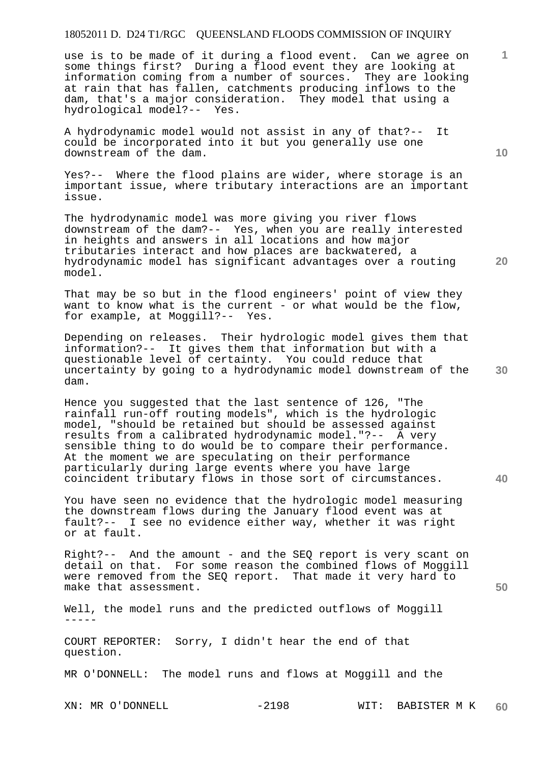use is to be made of it during a flood event. Can we agree on some things first? During a flood event they are looking at information coming from a number of sources. They are looking at rain that has fallen, catchments producing inflows to the dam, that's a major consideration. They model that using a hydrological model?-- Yes.

A hydrodynamic model would not assist in any of that?-- It could be incorporated into it but you generally use one downstream of the dam.

Yes?-- Where the flood plains are wider, where storage is an important issue, where tributary interactions are an important issue.

The hydrodynamic model was more giving you river flows downstream of the dam?-- Yes, when you are really interested in heights and answers in all locations and how major tributaries interact and how places are backwatered, a hydrodynamic model has significant advantages over a routing model.

That may be so but in the flood engineers' point of view they want to know what is the current - or what would be the flow, for example, at Moggill?-- Yes.

**30**  Depending on releases. Their hydrologic model gives them that information?-- It gives them that information but with a questionable level of certainty. You could reduce that uncertainty by going to a hydrodynamic model downstream of the dam.

Hence you suggested that the last sentence of 126, "The rainfall run-off routing models", which is the hydrologic model, "should be retained but should be assessed against results from a calibrated hydrodynamic model."?-- A very sensible thing to do would be to compare their performance. At the moment we are speculating on their performance particularly during large events where you have large coincident tributary flows in those sort of circumstances.

You have seen no evidence that the hydrologic model measuring the downstream flows during the January flood event was at fault?-- I see no evidence either way, whether it was right or at fault.

Right?-- And the amount - and the SEQ report is very scant on detail on that. For some reason the combined flows of Moggill were removed from the SEQ report. That made it very hard to make that assessment.

Well, the model runs and the predicted outflows of Moggill -----

COURT REPORTER: Sorry, I didn't hear the end of that question.

MR O'DONNELL: The model runs and flows at Moggill and the

XN: MR O'DONNELL  $-2198$  WIT: BABISTER M K **60** 

**10** 

**20** 

**1**

**40**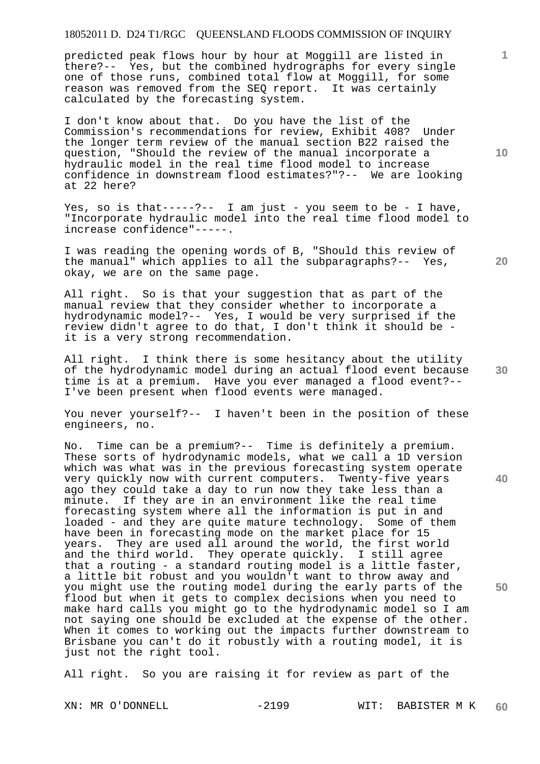predicted peak flows hour by hour at Moggill are listed in there?-- Yes, but the combined hydrographs for every single one of those runs, combined total flow at Moggill, for some reason was removed from the SEQ report. It was certainly calculated by the forecasting system.

I don't know about that. Do you have the list of the Commission's recommendations for review, Exhibit 408? Under the longer term review of the manual section B22 raised the question, "Should the review of the manual incorporate a hydraulic model in the real time flood model to increase confidence in downstream flood estimates?"?-- We are looking at 22 here?

Yes, so is that-----?-- I am just - you seem to be - I have, "Incorporate hydraulic model into the real time flood model to increase confidence"-----.

I was reading the opening words of B, "Should this review of the manual" which applies to all the subparagraphs?-- Yes, okay, we are on the same page.

All right. So is that your suggestion that as part of the manual review that they consider whether to incorporate a hydrodynamic model?-- Yes, I would be very surprised if the review didn't agree to do that, I don't think it should be it is a very strong recommendation.

All right. I think there is some hesitancy about the utility of the hydrodynamic model during an actual flood event because time is at a premium. Have you ever managed a flood event?-- I've been present when flood events were managed.

You never yourself?-- I haven't been in the position of these engineers, no.

No. Time can be a premium?-- Time is definitely a premium. These sorts of hydrodynamic models, what we call a 1D version which was what was in the previous forecasting system operate very quickly now with current computers. Twenty-five years ago they could take a day to run now they take less than a minute. If they are in an environment like the real time forecasting system where all the information is put in and loaded - and they are quite mature technology. Some of them have been in forecasting mode on the market place for 15 years. They are used all around the world, the first world and the third world. They operate quickly. I still agree that a routing - a standard routing model is a little faster, a little bit robust and you wouldn't want to throw away and you might use the routing model during the early parts of the flood but when it gets to complex decisions when you need to make hard calls you might go to the hydrodynamic model so I am not saying one should be excluded at the expense of the other. When it comes to working out the impacts further downstream to Brisbane you can't do it robustly with a routing model, it is just not the right tool.

All right. So you are raising it for review as part of the

**10** 

**1**

**20** 

**30** 

**40**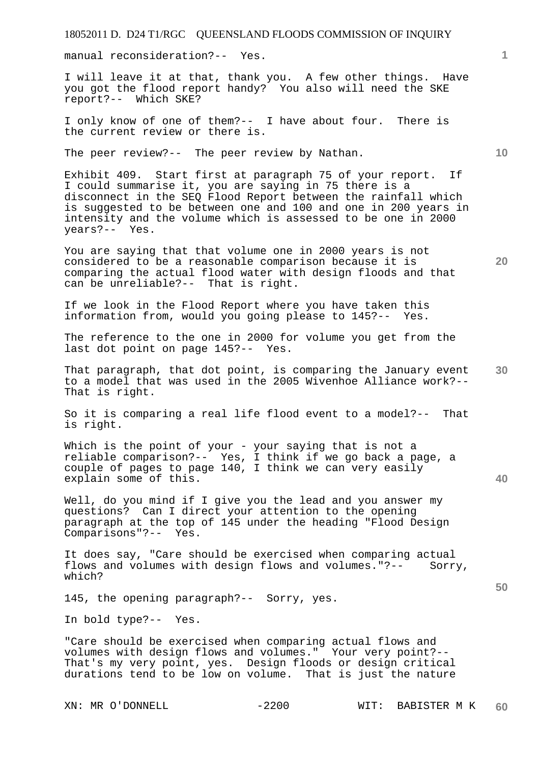manual reconsideration?-- Yes.

I will leave it at that, thank you. A few other things. Have you got the flood report handy? You also will need the SKE report?-- Which SKE?

I only know of one of them?-- I have about four. There is the current review or there is.

The peer review?-- The peer review by Nathan.

Exhibit 409. Start first at paragraph 75 of your report. If I could summarise it, you are saying in 75 there is a disconnect in the SEQ Flood Report between the rainfall which is suggested to be between one and 100 and one in 200 years in intensity and the volume which is assessed to be one in 2000 years?-- Yes.

You are saying that that volume one in 2000 years is not considered to be a reasonable comparison because it is comparing the actual flood water with design floods and that can be unreliable?-- That is right.

If we look in the Flood Report where you have taken this information from, would you going please to 145?-- Yes.

The reference to the one in 2000 for volume you get from the last dot point on page 145?-- Yes.

**30**  That paragraph, that dot point, is comparing the January event to a model that was used in the 2005 Wivenhoe Alliance work?-- That is right.

So it is comparing a real life flood event to a model?-- That is right.

Which is the point of your - your saying that is not a reliable comparison?-- Yes, I think if we go back a page, a couple of pages to page 140, I think we can very easily explain some of this.

Well, do you mind if I give you the lead and you answer my questions? Can I direct your attention to the opening paragraph at the top of 145 under the heading "Flood Design Comparisons"?-- Yes.

It does say, "Care should be exercised when comparing actual flows and volumes with design flows and volumes."?-- Sorry, which?

145, the opening paragraph?-- Sorry, yes.

In bold type?-- Yes.

"Care should be exercised when comparing actual flows and volumes with design flows and volumes." Your very point?-- That's my very point, yes. Design floods or design critical durations tend to be low on volume. That is just the nature

**10** 

**20** 

**40**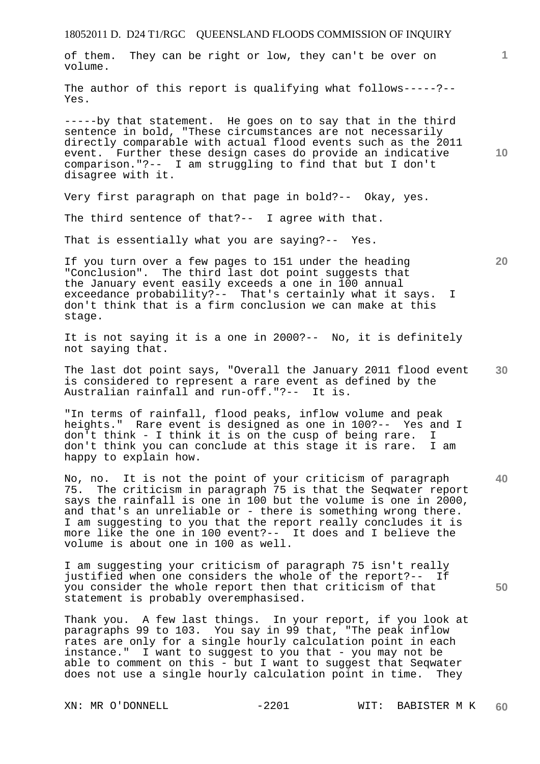The author of this report is qualifying what follows-----?-- Yes.

-----by that statement. He goes on to say that in the third sentence in bold, "These circumstances are not necessarily directly comparable with actual flood events such as the 2011 event. Further these design cases do provide an indicative comparison."?-- I am struggling to find that but I don't disagree with it.

Very first paragraph on that page in bold?-- Okay, yes.

The third sentence of that?-- I agree with that.

That is essentially what you are saying?-- Yes.

If you turn over a few pages to 151 under the heading "Conclusion". The third last dot point suggests that the January event easily exceeds a one in 100 annual exceedance probability?-- That's certainly what it says. I don't think that is a firm conclusion we can make at this stage.

It is not saying it is a one in 2000?-- No, it is definitely not saying that.

**30**  The last dot point says, "Overall the January 2011 flood event is considered to represent a rare event as defined by the Australian rainfall and run-off."?-- It is.

"In terms of rainfall, flood peaks, inflow volume and peak heights." Rare event is designed as one in 100?-- Yes and I don't think - I think it is on the cusp of being rare. I don't think you can conclude at this stage it is rare. I am happy to explain how.

**40**  No, no. It is not the point of your criticism of paragraph 75. The criticism in paragraph 75 is that the Seqwater report says the rainfall is one in 100 but the volume is one in 2000, and that's an unreliable or - there is something wrong there. I am suggesting to you that the report really concludes it is more like the one in 100 event?-- It does and I believe the volume is about one in 100 as well.

I am suggesting your criticism of paragraph 75 isn't really justified when one considers the whole of the report?-- If you consider the whole report then that criticism of that statement is probably overemphasised.

Thank you. A few last things. In your report, if you look at paragraphs 99 to 103. You say in 99 that, "The peak inflow rates are only for a single hourly calculation point in each instance." I want to suggest to you that - you may not be able to comment on this - but I want to suggest that Seqwater does not use a single hourly calculation point in time. They

volume.

**10** 

**1**

**20**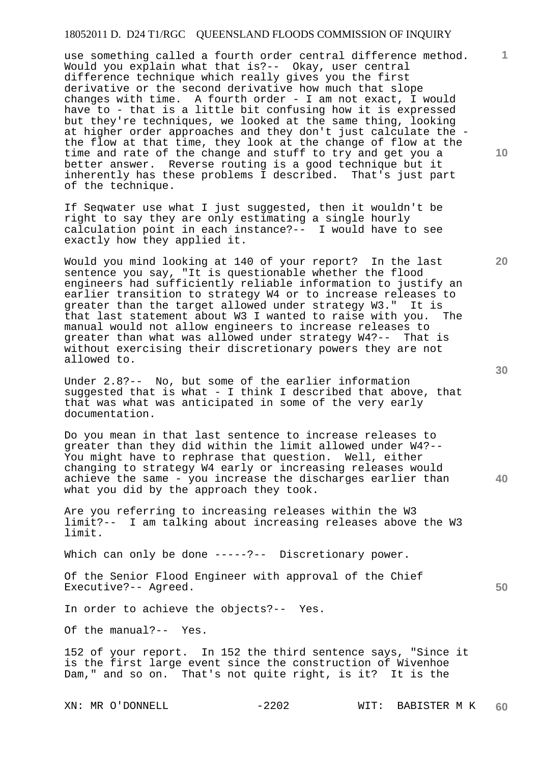use something called a fourth order central difference method. Would you explain what that is?-- Okay, user central difference technique which really gives you the first derivative or the second derivative how much that slope changes with time. A fourth order - I am not exact, I would have to - that is a little bit confusing how it is expressed but they're techniques, we looked at the same thing, looking at higher order approaches and they don't just calculate the the flow at that time, they look at the change of flow at the time and rate of the change and stuff to try and get you a better answer. Reverse routing is a good technique but it inherently has these problems I described. That's just part of the technique.

If Seqwater use what I just suggested, then it wouldn't be right to say they are only estimating a single hourly calculation point in each instance?-- I would have to see exactly how they applied it.

Would you mind looking at 140 of your report? In the last sentence you say, "It is questionable whether the flood engineers had sufficiently reliable information to justify an earlier transition to strategy W4 or to increase releases to greater than the target allowed under strategy W3." It is that last statement about W3 I wanted to raise with you. The manual would not allow engineers to increase releases to greater than what was allowed under strategy W4?-- That is without exercising their discretionary powers they are not allowed to.

Under 2.8?-- No, but some of the earlier information suggested that is what - I think I described that above, that that was what was anticipated in some of the very early documentation.

Do you mean in that last sentence to increase releases to greater than they did within the limit allowed under W4?-- You might have to rephrase that question. Well, either changing to strategy W4 early or increasing releases would achieve the same - you increase the discharges earlier than what you did by the approach they took.

Are you referring to increasing releases within the W3 limit?-- I am talking about increasing releases above the W3 limit.

Which can only be done -----?-- Discretionary power.

Of the Senior Flood Engineer with approval of the Chief Executive?-- Agreed.

In order to achieve the objects?-- Yes.

Of the manual?-- Yes.

152 of your report. In 152 the third sentence says, "Since it is the first large event since the construction of Wivenhoe Dam," and so on. That's not quite right, is it? It is the

**20** 

**10** 

**1**

**30** 

**40**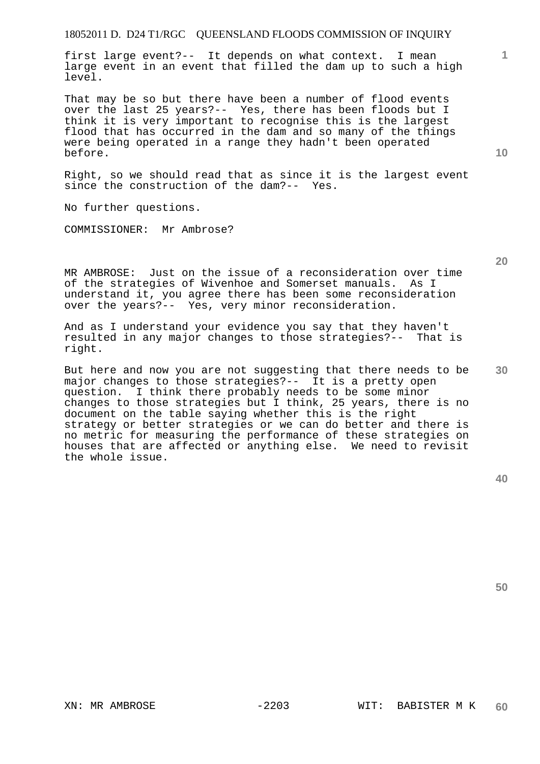first large event?-- It depends on what context. I mean large event in an event that filled the dam up to such a high level.

That may be so but there have been a number of flood events over the last 25 years?-- Yes, there has been floods but I think it is very important to recognise this is the largest flood that has occurred in the dam and so many of the things were being operated in a range they hadn't been operated before.

Right, so we should read that as since it is the largest event since the construction of the dam?-- Yes.

No further questions.

COMMISSIONER: Mr Ambrose?

MR AMBROSE: Just on the issue of a reconsideration over time of the strategies of Wivenhoe and Somerset manuals. As I understand it, you agree there has been some reconsideration over the years?-- Yes, very minor reconsideration.

And as I understand your evidence you say that they haven't resulted in any major changes to those strategies?-- That is right.

But here and now you are not suggesting that there needs to be major changes to those strategies?-- It is a pretty open question. I think there probably needs to be some minor changes to those strategies but I think, 25 years, there is no document on the table saying whether this is the right strategy or better strategies or we can do better and there is no metric for measuring the performance of these strategies on houses that are affected or anything else. We need to revisit the whole issue.

**50** 

**30** 

**1**

**10**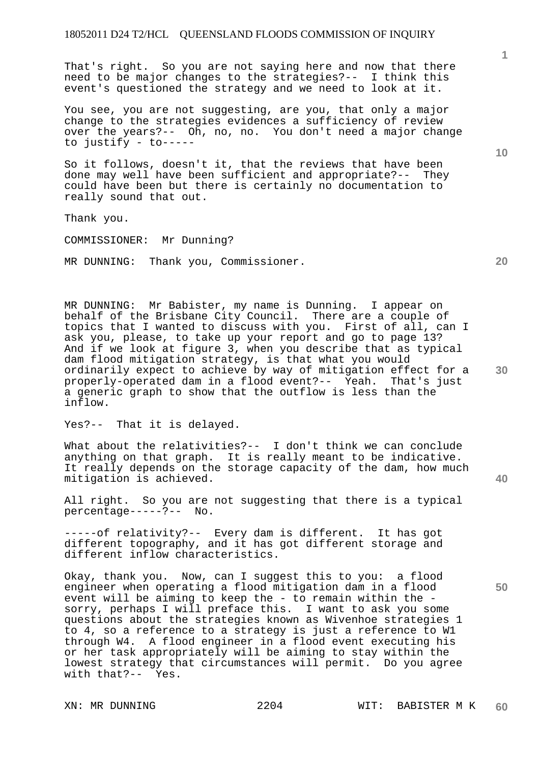That's right. So you are not saying here and now that there need to be major changes to the strategies?-- I think this event's questioned the strategy and we need to look at it.

You see, you are not suggesting, are you, that only a major change to the strategies evidences a sufficiency of review over the years?-- Oh, no, no. You don't need a major change to justify - to-----

So it follows, doesn't it, that the reviews that have been done may well have been sufficient and appropriate?-- They could have been but there is certainly no documentation to really sound that out.

Thank you.

COMMISSIONER: Mr Dunning?

MR DUNNING: Thank you, Commissioner.

MR DUNNING: Mr Babister, my name is Dunning. I appear on behalf of the Brisbane City Council. There are a couple of topics that I wanted to discuss with you. First of all, can I ask you, please, to take up your report and go to page 13? And if we look at figure 3, when you describe that as typical dam flood mitigation strategy, is that what you would ordinarily expect to achieve by way of mitigation effect for a properly-operated dam in a flood event?-- Yeah. That's just a generic graph to show that the outflow is less than the inflow.

Yes?-- That it is delayed.

What about the relativities?-- I don't think we can conclude anything on that graph. It is really meant to be indicative. It really depends on the storage capacity of the dam, how much mitigation is achieved.

All right. So you are not suggesting that there is a typical percentage-----?-- No.

-----of relativity?-- Every dam is different. It has got different topography, and it has got different storage and different inflow characteristics.

Okay, thank you. Now, can I suggest this to you: a flood engineer when operating a flood mitigation dam in a flood event will be aiming to keep the - to remain within the sorry, perhaps I will preface this. I want to ask you some questions about the strategies known as Wivenhoe strategies 1 to 4, so a reference to a strategy is just a reference to W1 through W4. A flood engineer in a flood event executing his or her task appropriately will be aiming to stay within the lowest strategy that circumstances will permit. Do you agree with that?-- Yes.

**20** 

**10** 

**30** 

**40**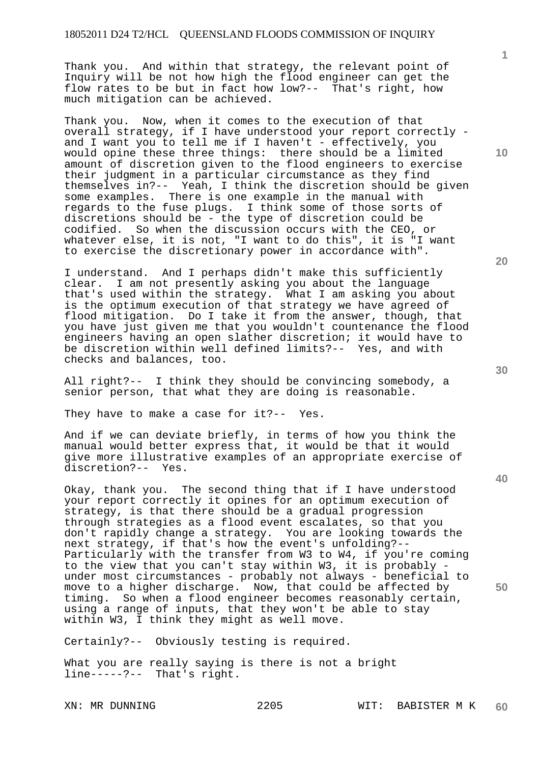Thank you. And within that strategy, the relevant point of Inquiry will be not how high the flood engineer can get the flow rates to be but in fact how low?-- That's right, how much mitigation can be achieved.

Thank you. Now, when it comes to the execution of that overall strategy, if I have understood your report correctly and I want you to tell me if I haven't - effectively, you would opine these three things: there should be a limited amount of discretion given to the flood engineers to exercise their judgment in a particular circumstance as they find themselves in?-- Yeah, I think the discretion should be given some examples. There is one example in the manual with regards to the fuse plugs. I think some of those sorts of discretions should be - the type of discretion could be codified. So when the discussion occurs with the CEO, or whatever else, it is not, "I want to do this", it is "I want to exercise the discretionary power in accordance with".

I understand. And I perhaps didn't make this sufficiently clear. I am not presently asking you about the language that's used within the strategy. What I am asking you about is the optimum execution of that strategy we have agreed of flood mitigation. Do I take it from the answer, though, that you have just given me that you wouldn't countenance the flood engineers having an open slather discretion; it would have to be discretion within well defined limits?-- Yes, and with checks and balances, too.

All right?-- I think they should be convincing somebody, a senior person, that what they are doing is reasonable.

They have to make a case for it?-- Yes.

And if we can deviate briefly, in terms of how you think the manual would better express that, it would be that it would give more illustrative examples of an appropriate exercise of discretion?-- Yes.

Okay, thank you. The second thing that if I have understood your report correctly it opines for an optimum execution of strategy, is that there should be a gradual progression through strategies as a flood event escalates, so that you don't rapidly change a strategy. You are looking towards the next strategy, if that's how the event's unfolding?--Particularly with the transfer from W3 to W4, if you're coming to the view that you can't stay within W3, it is probably under most circumstances - probably not always - beneficial to move to a higher discharge. Now, that could be affected by timing. So when a flood engineer becomes reasonably certain, using a range of inputs, that they won't be able to stay within W3, I think they might as well move.

Certainly?-- Obviously testing is required.

What you are really saying is there is not a bright line-----?-- That's right.

**10** 

**20** 

**1**

**30** 

**40**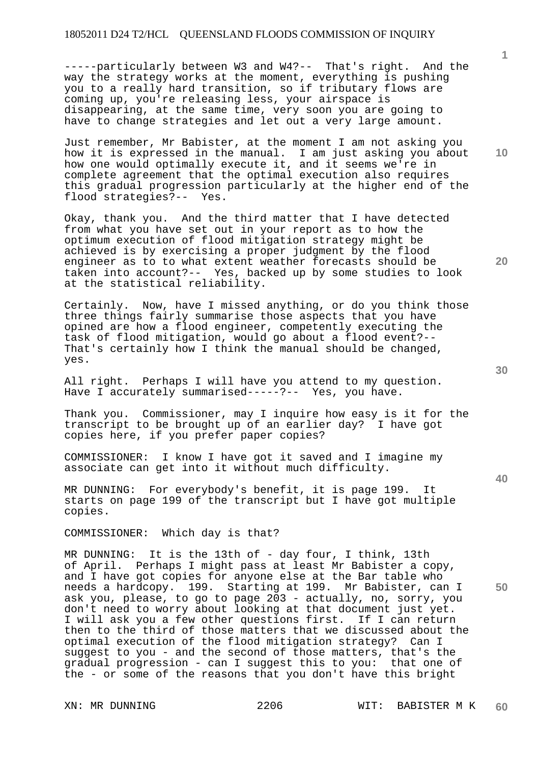-----particularly between W3 and W4?-- That's right. And the way the strategy works at the moment, everything is pushing you to a really hard transition, so if tributary flows are coming up, you're releasing less, your airspace is disappearing, at the same time, very soon you are going to have to change strategies and let out a very large amount.

Just remember, Mr Babister, at the moment I am not asking you how it is expressed in the manual. I am just asking you about how one would optimally execute it, and it seems we're in complete agreement that the optimal execution also requires this gradual progression particularly at the higher end of the flood strategies?-- Yes.

Okay, thank you. And the third matter that I have detected from what you have set out in your report as to how the optimum execution of flood mitigation strategy might be achieved is by exercising a proper judgment by the flood engineer as to to what extent weather forecasts should be taken into account?-- Yes, backed up by some studies to look at the statistical reliability.

Certainly. Now, have I missed anything, or do you think those three things fairly summarise those aspects that you have opined are how a flood engineer, competently executing the task of flood mitigation, would go about a flood event?-- That's certainly how I think the manual should be changed, yes.

All right. Perhaps I will have you attend to my question. Have I accurately summarised-----?-- Yes, you have.

Thank you. Commissioner, may I inquire how easy is it for the transcript to be brought up of an earlier day? I have got copies here, if you prefer paper copies?

COMMISSIONER: I know I have got it saved and I imagine my associate can get into it without much difficulty.

MR DUNNING: For everybody's benefit, it is page 199. It starts on page 199 of the transcript but I have got multiple copies.

COMMISSIONER: Which day is that?

MR DUNNING: It is the 13th of - day four, I think, 13th of April. Perhaps I might pass at least Mr Babister a copy, and I have got copies for anyone else at the Bar table who needs a hardcopy. 199. Starting at 199. Mr Babister, can I ask you, please, to go to page 203 - actually, no, sorry, you don't need to worry about looking at that document just yet. I will ask you a few other questions first. If I can return then to the third of those matters that we discussed about the optimal execution of the flood mitigation strategy? Can I suggest to you - and the second of those matters, that's the gradual progression - can I suggest this to you: that one of the - or some of the reasons that you don't have this bright

**40** 

**50** 

**20** 

**10**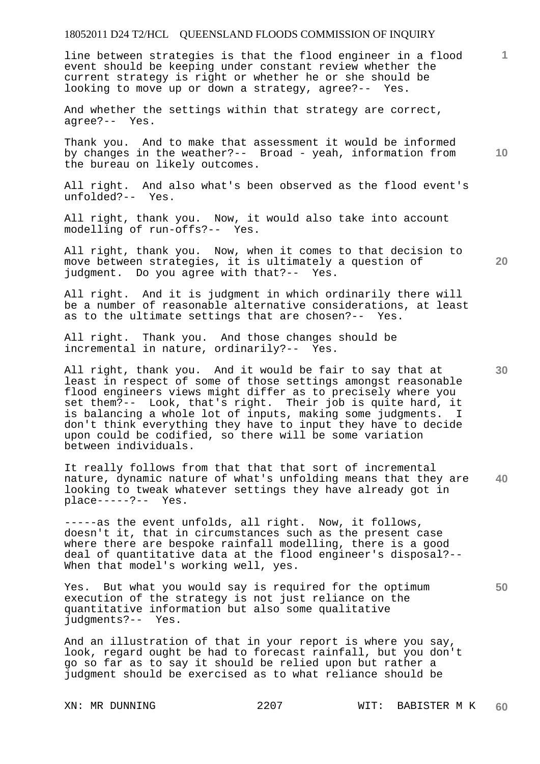line between strategies is that the flood engineer in a flood event should be keeping under constant review whether the current strategy is right or whether he or she should be looking to move up or down a strategy, agree?-- Yes.

And whether the settings within that strategy are correct, agree?-- Yes.

Thank you. And to make that assessment it would be informed by changes in the weather?-- Broad - yeah, information from the bureau on likely outcomes.

All right. And also what's been observed as the flood event's unfolded?-- Yes.

All right, thank you. Now, it would also take into account modelling of run-offs?-- Yes.

All right, thank you. Now, when it comes to that decision to move between strategies, it is ultimately a question of judgment. Do you agree with that?-- Yes.

All right. And it is judgment in which ordinarily there will be a number of reasonable alternative considerations, at least as to the ultimate settings that are chosen?-- Yes.

All right. Thank you. And those changes should be incremental in nature, ordinarily?-- Yes.

All right, thank you. And it would be fair to say that at least in respect of some of those settings amongst reasonable flood engineers views might differ as to precisely where you set them?-- Look, that's right. Their job is quite hard, it is balancing a whole lot of inputs, making some judgments. I don't think everything they have to input they have to decide upon could be codified, so there will be some variation between individuals.

**40**  It really follows from that that that sort of incremental nature, dynamic nature of what's unfolding means that they are looking to tweak whatever settings they have already got in place-----?-- Yes.

-----as the event unfolds, all right. Now, it follows, doesn't it, that in circumstances such as the present case where there are bespoke rainfall modelling, there is a good deal of quantitative data at the flood engineer's disposal?-- When that model's working well, yes.

Yes. But what you would say is required for the optimum execution of the strategy is not just reliance on the quantitative information but also some qualitative judgments?-- Yes.

And an illustration of that in your report is where you say, look, regard ought be had to forecast rainfall, but you don't go so far as to say it should be relied upon but rather a judgment should be exercised as to what reliance should be

**20** 

**1**

**10**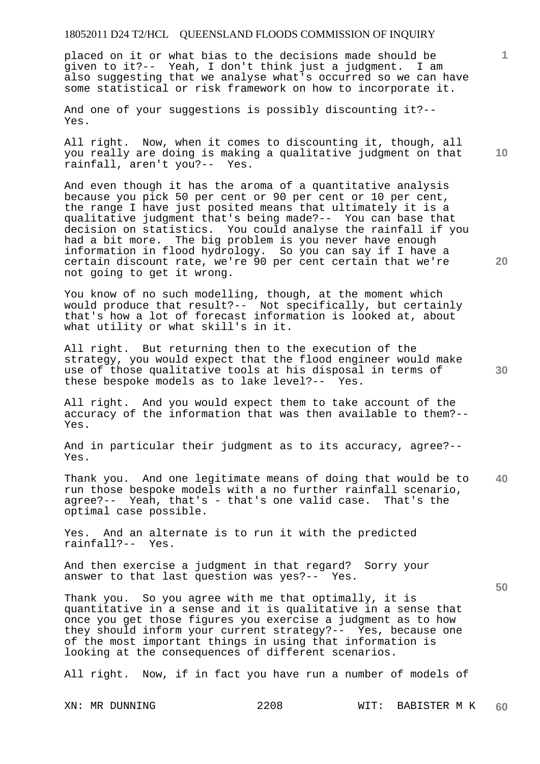placed on it or what bias to the decisions made should be given to it?-- Yeah, I don't think just a judgment. I am also suggesting that we analyse what's occurred so we can have some statistical or risk framework on how to incorporate it.

And one of your suggestions is possibly discounting it?-- Yes.

All right. Now, when it comes to discounting it, though, all you really are doing is making a qualitative judgment on that rainfall, aren't you?-- Yes.

And even though it has the aroma of a quantitative analysis because you pick 50 per cent or 90 per cent or 10 per cent, the range I have just posited means that ultimately it is a qualitative judgment that's being made?-- You can base that decision on statistics. You could analyse the rainfall if you had a bit more. The big problem is you never have enough information in flood hydrology. So you can say if I have a certain discount rate, we're 90 per cent certain that we're not going to get it wrong.

You know of no such modelling, though, at the moment which would produce that result?-- Not specifically, but certainly that's how a lot of forecast information is looked at, about what utility or what skill's in it.

All right. But returning then to the execution of the strategy, you would expect that the flood engineer would make use of those qualitative tools at his disposal in terms of these bespoke models as to lake level?-- Yes.

All right. And you would expect them to take account of the accuracy of the information that was then available to them?-- Yes.

And in particular their judgment as to its accuracy, agree?-- Yes.

**40**  Thank you. And one legitimate means of doing that would be to run those bespoke models with a no further rainfall scenario, agree?-- Yeah, that's - that's one valid case. That's the optimal case possible.

Yes. And an alternate is to run it with the predicted rainfall?-- Yes.

And then exercise a judgment in that regard? Sorry your answer to that last question was yes?-- Yes.

Thank you. So you agree with me that optimally, it is quantitative in a sense and it is qualitative in a sense that once you get those figures you exercise a judgment as to how they should inform your current strategy?-- Yes, because one of the most important things in using that information is looking at the consequences of different scenarios.

All right. Now, if in fact you have run a number of models of

**20** 

**50** 

**10**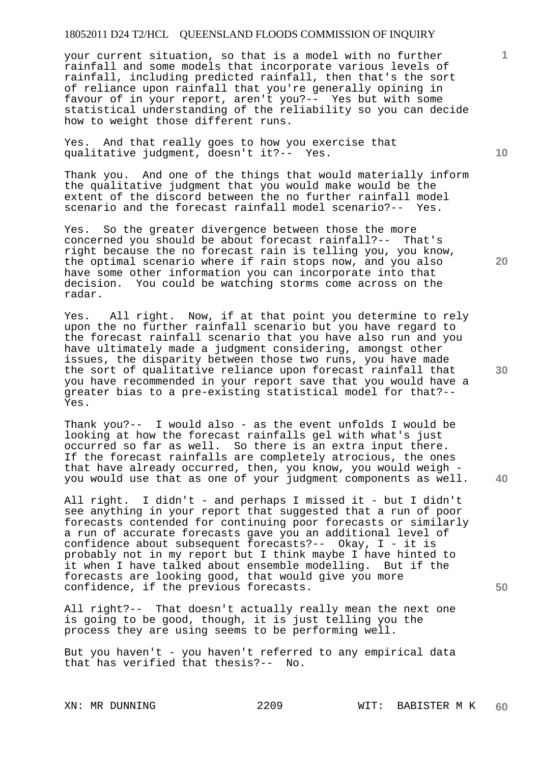your current situation, so that is a model with no further rainfall and some models that incorporate various levels of rainfall, including predicted rainfall, then that's the sort of reliance upon rainfall that you're generally opining in favour of in your report, aren't you?-- Yes but with some statistical understanding of the reliability so you can decide how to weight those different runs.

Yes. And that really goes to how you exercise that qualitative judgment, doesn't it?-- Yes.

Thank you. And one of the things that would materially inform the qualitative judgment that you would make would be the extent of the discord between the no further rainfall model scenario and the forecast rainfall model scenario?-- Yes.

Yes. So the greater divergence between those the more concerned you should be about forecast rainfall?-- That's right because the no forecast rain is telling you, you know, the optimal scenario where if rain stops now, and you also have some other information you can incorporate into that decision. You could be watching storms come across on the You could be watching storms come across on the radar.

Yes. All right. Now, if at that point you determine to rely upon the no further rainfall scenario but you have regard to the forecast rainfall scenario that you have also run and you have ultimately made a judgment considering, amongst other issues, the disparity between those two runs, you have made the sort of qualitative reliance upon forecast rainfall that you have recommended in your report save that you would have a greater bias to a pre-existing statistical model for that?-- Yes.

Thank you?-- I would also - as the event unfolds I would be looking at how the forecast rainfalls gel with what's just occurred so far as well. So there is an extra input there. If the forecast rainfalls are completely atrocious, the ones that have already occurred, then, you know, you would weigh you would use that as one of your judgment components as well.

All right. I didn't - and perhaps I missed it - but I didn't see anything in your report that suggested that a run of poor forecasts contended for continuing poor forecasts or similarly a run of accurate forecasts gave you an additional level of confidence about subsequent forecasts?-- Okay, I - it is probably not in my report but I think maybe I have hinted to it when I have talked about ensemble modelling. But if the forecasts are looking good, that would give you more confidence, if the previous forecasts.

All right?-- That doesn't actually really mean the next one is going to be good, though, it is just telling you the process they are using seems to be performing well.

But you haven't - you haven't referred to any empirical data that has verified that thesis?-- No.

**20** 

**10** 

**1**

**40**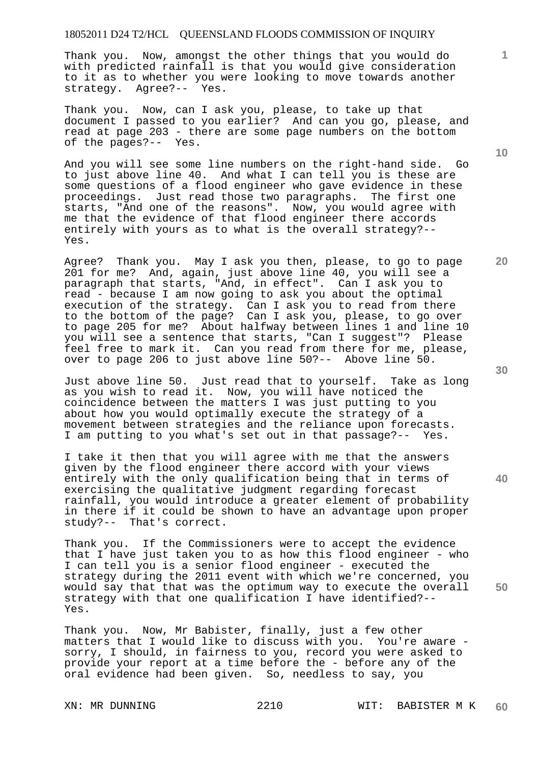Thank you. Now, amongst the other things that you would do with predicted rainfall is that you would give consideration to it as to whether you were looking to move towards another strategy. Agree?-- Yes.

Thank you. Now, can I ask you, please, to take up that document I passed to you earlier? And can you go, please, and read at page 203 - there are some page numbers on the bottom of the pages?-- Yes.

And you will see some line numbers on the right-hand side. Go to just above line 40. And what I can tell you is these are some questions of a flood engineer who gave evidence in these proceedings. Just read those two paragraphs. The first one starts, "And one of the reasons". Now, you would agree with me that the evidence of that flood engineer there accords entirely with yours as to what is the overall strategy?-- Yes.

Agree? Thank you. May I ask you then, please, to go to page 201 for me? And, again, just above line 40, you will see a paragraph that starts, "And, in effect". Can I ask you to read - because I am now going to ask you about the optimal execution of the strategy. Can I ask you to read from there to the bottom of the page? Can I ask you, please, to go over to page 205 for me? About halfway between lines 1 and line 10 you will see a sentence that starts, "Can I suggest"? Please feel free to mark it. Can you read from there for me, please, over to page 206 to just above line 50?-- Above line 50.

Just above line 50. Just read that to yourself. Take as long as you wish to read it. Now, you will have noticed the coincidence between the matters I was just putting to you about how you would optimally execute the strategy of a movement between strategies and the reliance upon forecasts. I am putting to you what's set out in that passage?-- Yes.

I take it then that you will agree with me that the answers given by the flood engineer there accord with your views entirely with the only qualification being that in terms of exercising the qualitative judgment regarding forecast rainfall, you would introduce a greater element of probability in there if it could be shown to have an advantage upon proper study?-- That's correct.

Thank you. If the Commissioners were to accept the evidence that I have just taken you to as how this flood engineer - who I can tell you is a senior flood engineer - executed the strategy during the 2011 event with which we're concerned, you would say that that was the optimum way to execute the overall strategy with that one qualification I have identified?-- Yes.

Thank you. Now, Mr Babister, finally, just a few other matters that I would like to discuss with you. You're aware sorry, I should, in fairness to you, record you were asked to provide your report at a time before the - before any of the oral evidence had been given. So, needless to say, you

**10** 

**1**

**20** 



**40**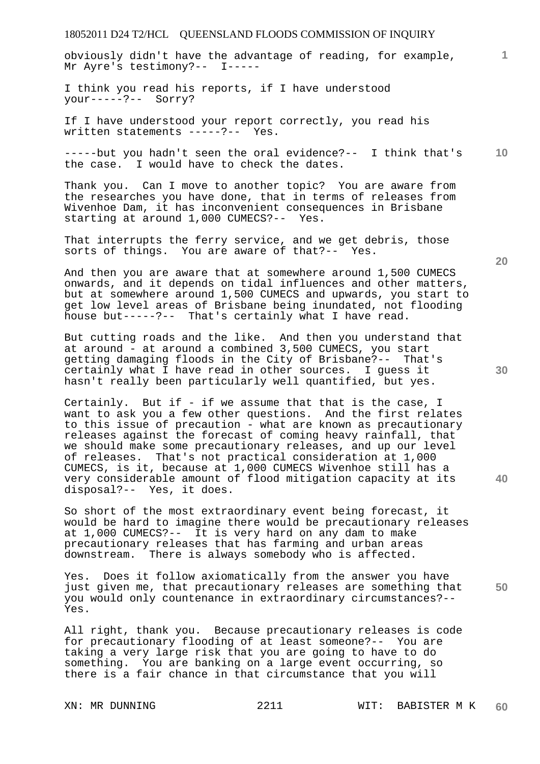obviously didn't have the advantage of reading, for example, Mr Ayre's testimony?-- I-----

I think you read his reports, if I have understood your-----?-- Sorry?

If I have understood your report correctly, you read his written statements -----?-- Yes.

**10**  -----but you hadn't seen the oral evidence?-- I think that's the case. I would have to check the dates.

Thank you. Can I move to another topic? You are aware from the researches you have done, that in terms of releases from Wivenhoe Dam, it has inconvenient consequences in Brisbane starting at around 1,000 CUMECS?-- Yes.

That interrupts the ferry service, and we get debris, those sorts of things. You are aware of that?-- Yes.

And then you are aware that at somewhere around 1,500 CUMECS onwards, and it depends on tidal influences and other matters, but at somewhere around 1,500 CUMECS and upwards, you start to get low level areas of Brisbane being inundated, not flooding house but-----?-- That's certainly what I have read.

But cutting roads and the like. And then you understand that at around - at around a combined 3,500 CUMECS, you start getting damaging floods in the City of Brisbane?-- That's certainly what I have read in other sources. I guess it hasn't really been particularly well quantified, but yes.

Certainly. But if - if we assume that that is the case, I want to ask you a few other questions. And the first relates to this issue of precaution - what are known as precautionary releases against the forecast of coming heavy rainfall, that we should make some precautionary releases, and up our level of releases. That's not practical consideration at 1,000 CUMECS, is it, because at 1,000 CUMECS Wivenhoe still has a very considerable amount of flood mitigation capacity at its disposal?-- Yes, it does.

So short of the most extraordinary event being forecast, it would be hard to imagine there would be precautionary releases at 1,000 CUMECS?-- It is very hard on any dam to make precautionary releases that has farming and urban areas downstream. There is always somebody who is affected.

**50**  Yes. Does it follow axiomatically from the answer you have just given me, that precautionary releases are something that you would only countenance in extraordinary circumstances?-- Yes.

All right, thank you. Because precautionary releases is code for precautionary flooding of at least someone?-- You are taking a very large risk that you are going to have to do something. You are banking on a large event occurring, so there is a fair chance in that circumstance that you will

**20** 

**1**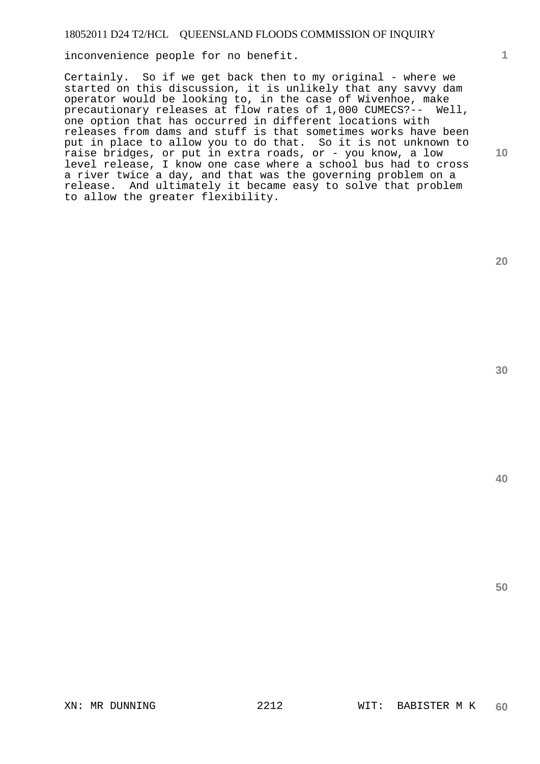inconvenience people for no benefit.

Certainly. So if we get back then to my original - where we started on this discussion, it is unlikely that any savvy dam operator would be looking to, in the case of Wivenhoe, make precautionary releases at flow rates of 1,000 CUMECS?-- Well, one option that has occurred in different locations with releases from dams and stuff is that sometimes works have been put in place to allow you to do that. So it is not unknown to raise bridges, or put in extra roads, or - you know, a low level release, I know one case where a school bus had to cross a river twice a day, and that was the governing problem on a release. And ultimately it became easy to solve that problem to allow the greater flexibility.

**20** 

**1**

**10** 

**30**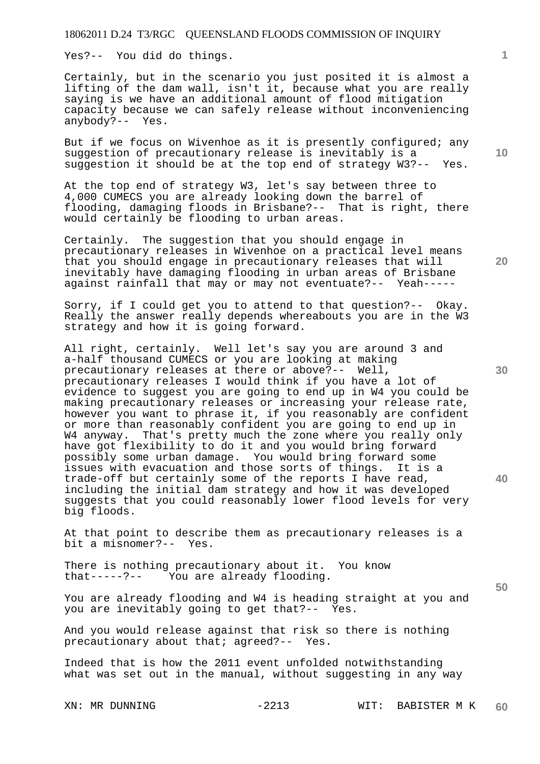Yes?-- You did do things.

Certainly, but in the scenario you just posited it is almost a lifting of the dam wall, isn't it, because what you are really saying is we have an additional amount of flood mitigation capacity because we can safely release without inconveniencing anybody?-- Yes.

But if we focus on Wivenhoe as it is presently configured; any suggestion of precautionary release is inevitably is a suggestion it should be at the top end of strategy W3?-- Yes.

At the top end of strategy W3, let's say between three to 4,000 CUMECS you are already looking down the barrel of flooding, damaging floods in Brisbane?-- That is right, there would certainly be flooding to urban areas.

Certainly. The suggestion that you should engage in precautionary releases in Wivenhoe on a practical level means that you should engage in precautionary releases that will inevitably have damaging flooding in urban areas of Brisbane against rainfall that may or may not eventuate?-- Yeah-----

Sorry, if I could get you to attend to that question?-- Okay. Really the answer really depends whereabouts you are in the W3 strategy and how it is going forward.

All right, certainly. Well let's say you are around 3 and a-half thousand CUMECS or you are looking at making precautionary releases at there or above?-- Well, precautionary releases I would think if you have a lot of evidence to suggest you are going to end up in W4 you could be making precautionary releases or increasing your release rate, however you want to phrase it, if you reasonably are confident or more than reasonably confident you are going to end up in W4 anyway. That's pretty much the zone where you really only have got flexibility to do it and you would bring forward possibly some urban damage. You would bring forward some issues with evacuation and those sorts of things. It is a trade-off but certainly some of the reports I have read, including the initial dam strategy and how it was developed suggests that you could reasonably lower flood levels for very big floods.

At that point to describe them as precautionary releases is a bit a misnomer?-- Yes.

There is nothing precautionary about it. You know that-----?-- You are already flooding.

You are already flooding and W4 is heading straight at you and<br>you are inevitably going to get that?-- Yes. you are inevitably going to get that?--

And you would release against that risk so there is nothing precautionary about that; agreed?-- Yes.

Indeed that is how the 2011 event unfolded notwithstanding what was set out in the manual, without suggesting in any way

**10** 

**30** 

**20** 

**40**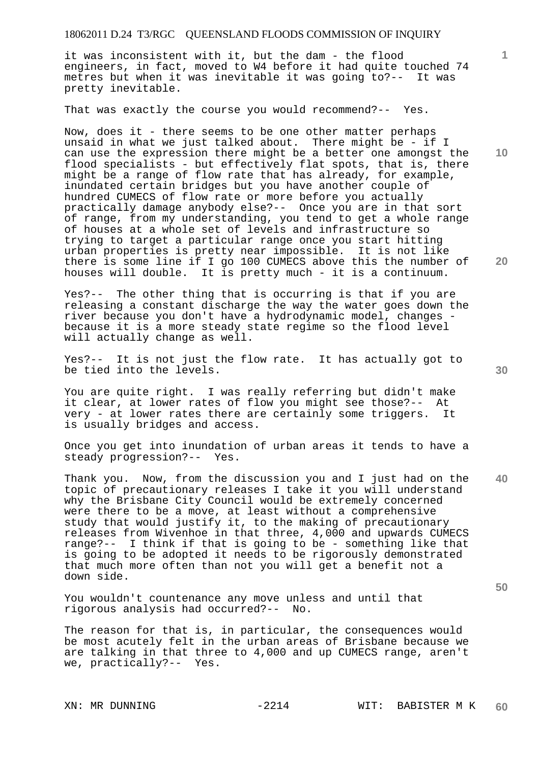it was inconsistent with it, but the dam - the flood engineers, in fact, moved to W4 before it had quite touched 74 metres but when it was inevitable it was going to?-- It was pretty inevitable.

That was exactly the course you would recommend?-- Yes.

Now, does it - there seems to be one other matter perhaps unsaid in what we just talked about. There might be - if I can use the expression there might be a better one amongst the flood specialists - but effectively flat spots, that is, there might be a range of flow rate that has already, for example, inundated certain bridges but you have another couple of hundred CUMECS of flow rate or more before you actually practically damage anybody else?-- Once you are in that sort of range, from my understanding, you tend to get a whole range of houses at a whole set of levels and infrastructure so trying to target a particular range once you start hitting urban properties is pretty near impossible. It is not like there is some line if I go 100 CUMECS above this the number of houses will double. It is pretty much - it is a continuum.

Yes?-- The other thing that is occurring is that if you are releasing a constant discharge the way the water goes down the river because you don't have a hydrodynamic model, changes because it is a more steady state regime so the flood level will actually change as well.

Yes?-- It is not just the flow rate. It has actually got to be tied into the levels.

You are quite right. I was really referring but didn't make it clear, at lower rates of flow you might see those?-- At very - at lower rates there are certainly some triggers. It is usually bridges and access.

Once you get into inundation of urban areas it tends to have a steady progression?-- Yes.

**40**  Thank you. Now, from the discussion you and I just had on the topic of precautionary releases I take it you will understand why the Brisbane City Council would be extremely concerned were there to be a move, at least without a comprehensive study that would justify it, to the making of precautionary releases from Wivenhoe in that three, 4,000 and upwards CUMECS range?-- I think if that is going to be - something like that is going to be adopted it needs to be rigorously demonstrated that much more often than not you will get a benefit not a down side.

You wouldn't countenance any move unless and until that rigorous analysis had occurred?-- No. rigorous analysis had occurred?--

The reason for that is, in particular, the consequences would be most acutely felt in the urban areas of Brisbane because we are talking in that three to 4,000 and up CUMECS range, aren't we, practically?-- Yes.

**30** 

**50** 

**10** 

**20**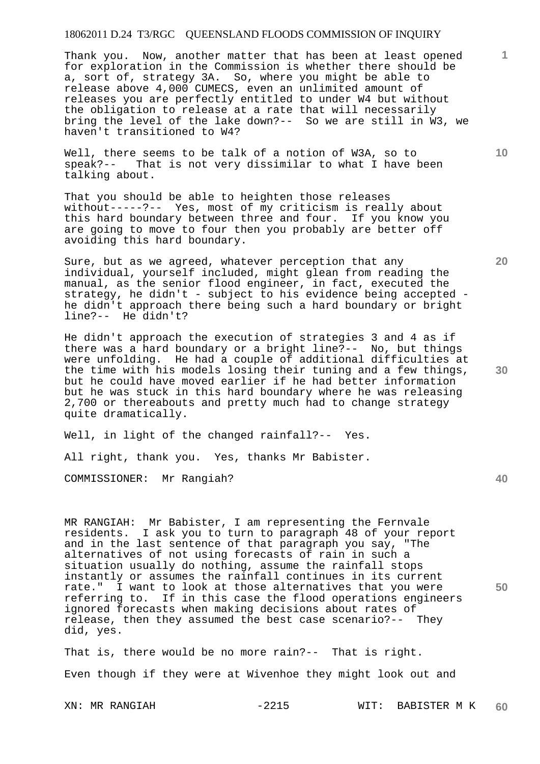Thank you. Now, another matter that has been at least opened for exploration in the Commission is whether there should be a, sort of, strategy 3A. So, where you might be able to release above 4,000 CUMECS, even an unlimited amount of releases you are perfectly entitled to under W4 but without the obligation to release at a rate that will necessarily bring the level of the lake down?-- So we are still in W3, we haven't transitioned to W4?

Well, there seems to be talk of a notion of W3A, so to speak?-- That is not very dissimilar to what I have been talking about.

That you should be able to heighten those releases without-----?-- Yes, most of my criticism is really about this hard boundary between three and four. If you know you are going to move to four then you probably are better off avoiding this hard boundary.

Sure, but as we agreed, whatever perception that any individual, yourself included, might glean from reading the manual, as the senior flood engineer, in fact, executed the strategy, he didn't - subject to his evidence being accepted he didn't approach there being such a hard boundary or bright line?-- He didn't?

He didn't approach the execution of strategies 3 and 4 as if there was a hard boundary or a bright line?-- No, but things were unfolding. He had a couple of additional difficulties at the time with his models losing their tuning and a few things, but he could have moved earlier if he had better information but he was stuck in this hard boundary where he was releasing 2,700 or thereabouts and pretty much had to change strategy quite dramatically.

Well, in light of the changed rainfall?-- Yes.

All right, thank you. Yes, thanks Mr Babister.

COMMISSIONER: Mr Rangiah?

MR RANGIAH: Mr Babister, I am representing the Fernvale residents. I ask you to turn to paragraph 48 of your report and in the last sentence of that paragraph you say, "The alternatives of not using forecasts of rain in such a situation usually do nothing, assume the rainfall stops instantly or assumes the rainfall continues in its current rate." I want to look at those alternatives that you were referring to. If in this case the flood operations engineers ignored forecasts when making decisions about rates of release, then they assumed the best case scenario?-- They did, yes.

That is, there would be no more rain?-- That is right. Even though if they were at Wivenhoe they might look out and

**20** 

**30** 

**1**

**10** 

**40**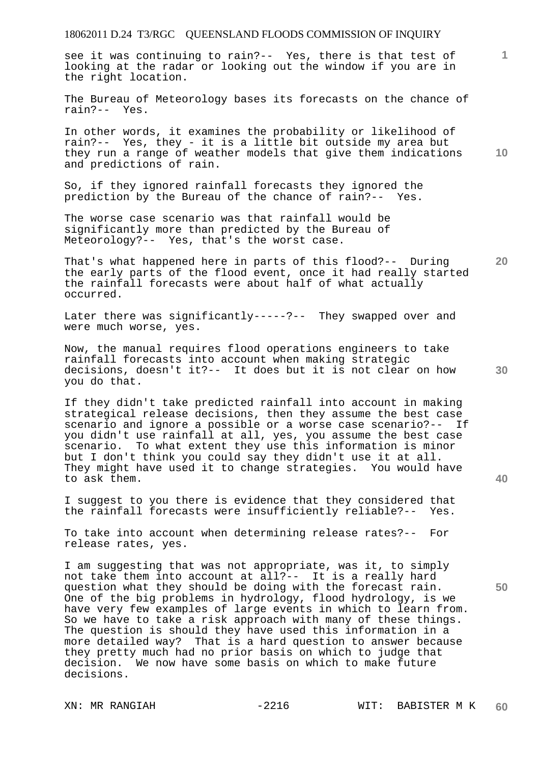see it was continuing to rain?-- Yes, there is that test of looking at the radar or looking out the window if you are in the right location.

The Bureau of Meteorology bases its forecasts on the chance of rain?-- Yes.

In other words, it examines the probability or likelihood of rain?-- Yes, they - it is a little bit outside my area but they run a range of weather models that give them indications and predictions of rain.

So, if they ignored rainfall forecasts they ignored the prediction by the Bureau of the chance of rain?-- Yes.

The worse case scenario was that rainfall would be significantly more than predicted by the Bureau of Meteorology?-- Yes, that's the worst case.

**20**  That's what happened here in parts of this flood?-- During the early parts of the flood event, once it had really started the rainfall forecasts were about half of what actually occurred.

Later there was significantly-----?-- They swapped over and were much worse, yes.

Now, the manual requires flood operations engineers to take rainfall forecasts into account when making strategic decisions, doesn't it?-- It does but it is not clear on how you do that.

If they didn't take predicted rainfall into account in making strategical release decisions, then they assume the best case scenario and ignore a possible or a worse case scenario?-- If you didn't use rainfall at all, yes, you assume the best case scenario. To what extent they use this information is minor but I don't think you could say they didn't use it at all. They might have used it to change strategies. You would have to ask them.

I suggest to you there is evidence that they considered that the rainfall forecasts were insufficiently reliable?-- Yes.

To take into account when determining release rates?-- For release rates, yes.

I am suggesting that was not appropriate, was it, to simply not take them into account at all?-- It is a really hard question what they should be doing with the forecast rain. One of the big problems in hydrology, flood hydrology, is we have very few examples of large events in which to learn from. So we have to take a risk approach with many of these things. The question is should they have used this information in a more detailed way? That is a hard question to answer because they pretty much had no prior basis on which to judge that<br>decision. We now have some basis on which to make future We now have some basis on which to make future decisions.

**10** 

**1**

**30**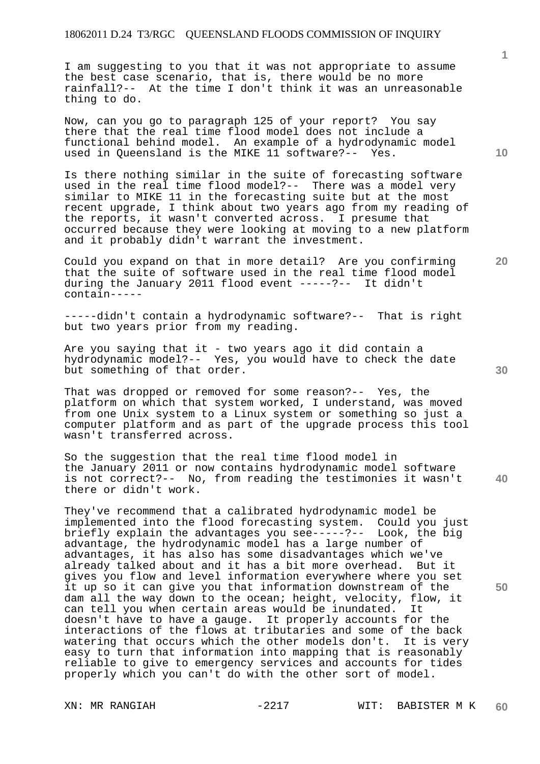I am suggesting to you that it was not appropriate to assume the best case scenario, that is, there would be no more rainfall?-- At the time I don't think it was an unreasonable thing to do.

Now, can you go to paragraph 125 of your report? You say there that the real time flood model does not include a functional behind model. An example of a hydrodynamic model used in Queensland is the MIKE 11 software?-- Yes.

Is there nothing similar in the suite of forecasting software used in the real time flood model?-- There was a model very similar to MIKE 11 in the forecasting suite but at the most recent upgrade, I think about two years ago from my reading of the reports, it wasn't converted across. I presume that occurred because they were looking at moving to a new platform and it probably didn't warrant the investment.

Could you expand on that in more detail? Are you confirming that the suite of software used in the real time flood model during the January 2011 flood event -----?-- It didn't contain-----

-----didn't contain a hydrodynamic software?-- That is right but two years prior from my reading.

Are you saying that it - two years ago it did contain a hydrodynamic model?-- Yes, you would have to check the date but something of that order.

That was dropped or removed for some reason?-- Yes, the platform on which that system worked, I understand, was moved from one Unix system to a Linux system or something so just a computer platform and as part of the upgrade process this tool wasn't transferred across.

**40**  So the suggestion that the real time flood model in the January 2011 or now contains hydrodynamic model software is not correct?-- No, from reading the testimonies it wasn't there or didn't work.

They've recommend that a calibrated hydrodynamic model be implemented into the flood forecasting system. Could you just briefly explain the advantages you see-----?-- Look, the big advantage, the hydrodynamic model has a large number of advantages, it has also has some disadvantages which we've already talked about and it has a bit more overhead. But it gives you flow and level information everywhere where you set it up so it can give you that information downstream of the dam all the way down to the ocean; height, velocity, flow, it can tell you when certain areas would be inundated. It doesn't have to have a gauge. It properly accounts for the interactions of the flows at tributaries and some of the back watering that occurs which the other models don't. It is very easy to turn that information into mapping that is reasonably reliable to give to emergency services and accounts for tides properly which you can't do with the other sort of model.

**10** 

**1**

**20**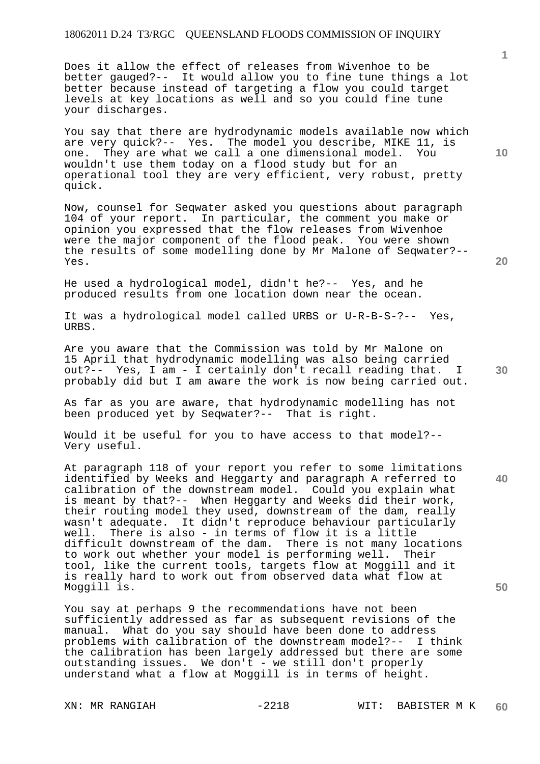Does it allow the effect of releases from Wivenhoe to be better gauged?-- It would allow you to fine tune things a lot better because instead of targeting a flow you could target levels at key locations as well and so you could fine tune your discharges.

You say that there are hydrodynamic models available now which are very quick?-- Yes. The model you describe, MIKE 11, is one. They are what we call a one dimensional model. You wouldn't use them today on a flood study but for an operational tool they are very efficient, very robust, pretty quick.

Now, counsel for Seqwater asked you questions about paragraph 104 of your report. In particular, the comment you make or opinion you expressed that the flow releases from Wivenhoe were the major component of the flood peak. You were shown the results of some modelling done by Mr Malone of Seqwater?-- Yes.

He used a hydrological model, didn't he?-- Yes, and he produced results from one location down near the ocean.

It was a hydrological model called URBS or U-R-B-S-?-- Yes, URBS.

Are you aware that the Commission was told by Mr Malone on 15 April that hydrodynamic modelling was also being carried out?-- Yes, I am - I certainly don't recall reading that. I probably did but I am aware the work is now being carried out.

As far as you are aware, that hydrodynamic modelling has not been produced yet by Seqwater?-- That is right.

Would it be useful for you to have access to that model?-- Very useful.

At paragraph 118 of your report you refer to some limitations identified by Weeks and Heggarty and paragraph A referred to calibration of the downstream model. Could you explain what is meant by that?-- When Heggarty and Weeks did their work, their routing model they used, downstream of the dam, really wasn't adequate. It didn't reproduce behaviour particularly well. There is also - in terms of flow it is a little difficult downstream of the dam. There is not many locations to work out whether your model is performing well. Their tool, like the current tools, targets flow at Moggill and it is really hard to work out from observed data what flow at Moggill is.

You say at perhaps 9 the recommendations have not been sufficiently addressed as far as subsequent revisions of the manual. What do you say should have been done to address problems with calibration of the downstream model?-- I think the calibration has been largely addressed but there are some outstanding issues. We don't - we still don't properly understand what a flow at Moggill is in terms of height.

**1**

**20** 

**30** 

**40**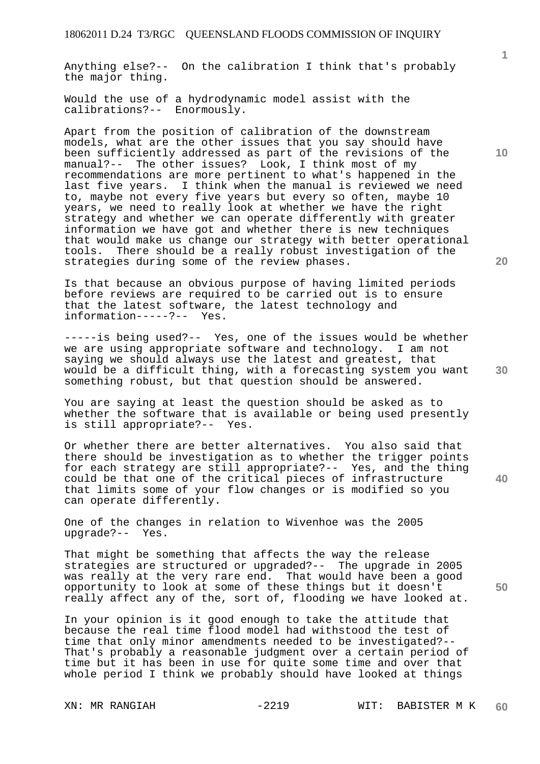Anything else?-- On the calibration I think that's probably the major thing.

Would the use of a hydrodynamic model assist with the calibrations?-- Enormously.

Apart from the position of calibration of the downstream models, what are the other issues that you say should have been sufficiently addressed as part of the revisions of the manual?-- The other issues? Look, I think most of my recommendations are more pertinent to what's happened in the last five years. I think when the manual is reviewed we need to, maybe not every five years but every so often, maybe 10 years, we need to really look at whether we have the right strategy and whether we can operate differently with greater information we have got and whether there is new techniques that would make us change our strategy with better operational tools. There should be a really robust investigation of the strategies during some of the review phases.

Is that because an obvious purpose of having limited periods before reviews are required to be carried out is to ensure that the latest software, the latest technology and information-----?-- Yes.

-----is being used?-- Yes, one of the issues would be whether we are using appropriate software and technology. I am not saying we should always use the latest and greatest, that would be a difficult thing, with a forecasting system you want something robust, but that question should be answered.

You are saying at least the question should be asked as to whether the software that is available or being used presently is still appropriate?-- Yes.

Or whether there are better alternatives. You also said that there should be investigation as to whether the trigger points for each strategy are still appropriate?-- Yes, and the thing could be that one of the critical pieces of infrastructure that limits some of your flow changes or is modified so you can operate differently.

One of the changes in relation to Wivenhoe was the 2005 upgrade?-- Yes.

That might be something that affects the way the release strategies are structured or upgraded?-- The upgrade in 2005 was really at the very rare end. That would have been a good opportunity to look at some of these things but it doesn't really affect any of the, sort of, flooding we have looked at.

In your opinion is it good enough to take the attitude that because the real time flood model had withstood the test of time that only minor amendments needed to be investigated?-- That's probably a reasonable judgment over a certain period of time but it has been in use for quite some time and over that whole period I think we probably should have looked at things

**10** 

**1**

**30** 

**50**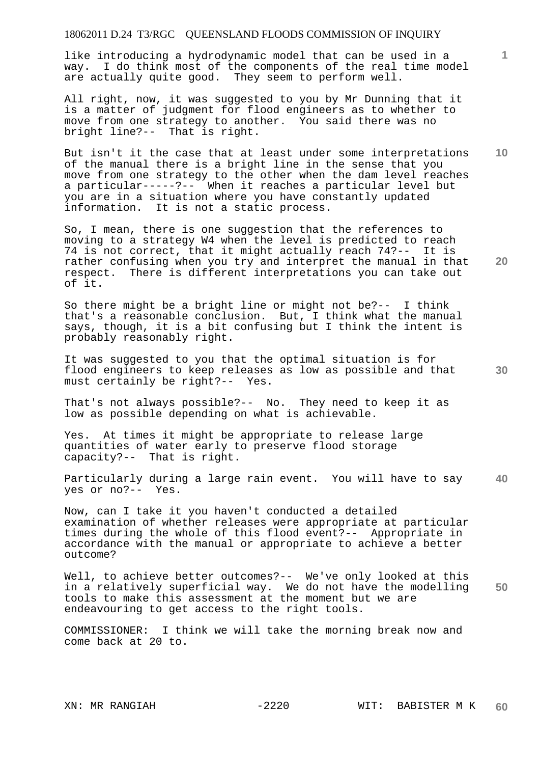like introducing a hydrodynamic model that can be used in a way. I do think most of the components of the real time model are actually quite good. They seem to perform well.

All right, now, it was suggested to you by Mr Dunning that it is a matter of judgment for flood engineers as to whether to move from one strategy to another. You said there was no bright line?-- That is right.

**10**  But isn't it the case that at least under some interpretations of the manual there is a bright line in the sense that you move from one strategy to the other when the dam level reaches a particular-----?-- When it reaches a particular level but you are in a situation where you have constantly updated information. It is not a static process.

So, I mean, there is one suggestion that the references to moving to a strategy W4 when the level is predicted to reach 74 is not correct, that it might actually reach 74?-- It is rather confusing when you try and interpret the manual in that respect. There is different interpretations you can take out of it.

So there might be a bright line or might not be?-- I think that's a reasonable conclusion. But, I think what the manual says, though, it is a bit confusing but I think the intent is probably reasonably right.

It was suggested to you that the optimal situation is for flood engineers to keep releases as low as possible and that must certainly be right?-- Yes.

That's not always possible?-- No. They need to keep it as low as possible depending on what is achievable.

Yes. At times it might be appropriate to release large quantities of water early to preserve flood storage capacity?-- That is right.

**40**  Particularly during a large rain event. You will have to say yes or no?-- Yes.

Now, can I take it you haven't conducted a detailed examination of whether releases were appropriate at particular times during the whole of this flood event?-- Appropriate in accordance with the manual or appropriate to achieve a better outcome?

**50**  Well, to achieve better outcomes?-- We've only looked at this in a relatively superficial way. We do not have the modelling tools to make this assessment at the moment but we are endeavouring to get access to the right tools.

COMMISSIONER: I think we will take the morning break now and come back at 20 to.

**30** 

**20**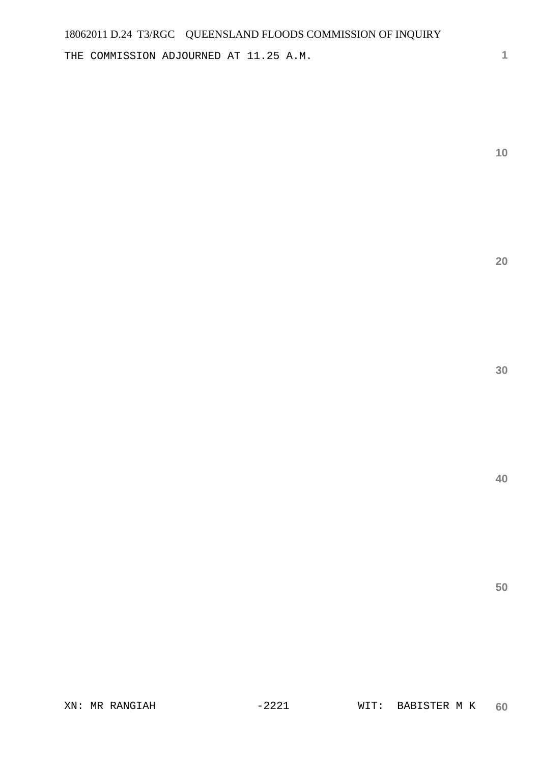THE COMMISSION ADJOURNED AT 11.25 A.M.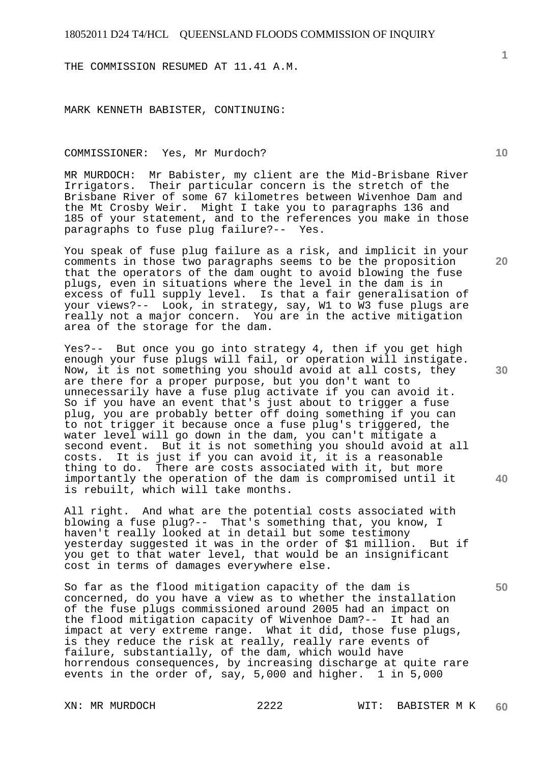THE COMMISSION RESUMED AT 11.41 A.M.

MARK KENNETH BABISTER, CONTINUING:

COMMISSIONER: Yes, Mr Murdoch?

MR MURDOCH: Mr Babister, my client are the Mid-Brisbane River Irrigators. Their particular concern is the stretch of the Brisbane River of some 67 kilometres between Wivenhoe Dam and the Mt Crosby Weir. Might I take you to paragraphs 136 and 185 of your statement, and to the references you make in those paragraphs to fuse plug failure?-- Yes.

You speak of fuse plug failure as a risk, and implicit in your comments in those two paragraphs seems to be the proposition that the operators of the dam ought to avoid blowing the fuse plugs, even in situations where the level in the dam is in excess of full supply level. Is that a fair generalisation of your views?-- Look, in strategy, say, W1 to W3 fuse plugs are really not a major concern. You are in the active mitigation area of the storage for the dam.

Yes?-- But once you go into strategy 4, then if you get high enough your fuse plugs will fail, or operation will instigate. Now, it is not something you should avoid at all costs, they are there for a proper purpose, but you don't want to unnecessarily have a fuse plug activate if you can avoid it. So if you have an event that's just about to trigger a fuse plug, you are probably better off doing something if you can to not trigger it because once a fuse plug's triggered, the water level will go down in the dam, you can't mitigate a second event. But it is not something you should avoid at all costs. It is just if you can avoid it, it is a reasonable thing to do. There are costs associated with it, but more importantly the operation of the dam is compromised until it is rebuilt, which will take months.

All right. And what are the potential costs associated with blowing a fuse plug?-- That's something that, you know, I haven't really looked at in detail but some testimony yesterday suggested it was in the order of \$1 million. But if you get to that water level, that would be an insignificant cost in terms of damages everywhere else.

So far as the flood mitigation capacity of the dam is concerned, do you have a view as to whether the installation of the fuse plugs commissioned around 2005 had an impact on the flood mitigation capacity of Wivenhoe Dam?-- It had an impact at very extreme range. What it did, those fuse plugs, is they reduce the risk at really, really rare events of failure, substantially, of the dam, which would have horrendous consequences, by increasing discharge at quite rare events in the order of, say, 5,000 and higher. 1 in 5,000

**10** 

**20** 

**30** 

**40**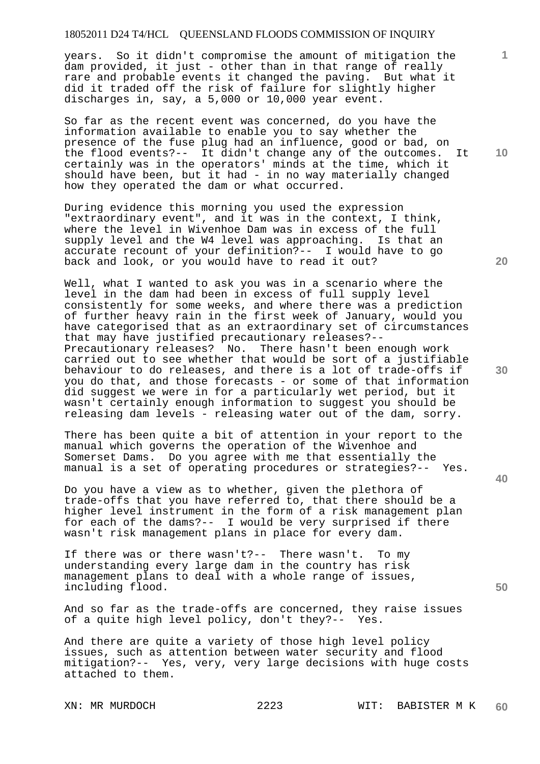years. So it didn't compromise the amount of mitigation the dam provided, it just - other than in that range of really rare and probable events it changed the paving. But what it did it traded off the risk of failure for slightly higher discharges in, say, a 5,000 or 10,000 year event.

So far as the recent event was concerned, do you have the information available to enable you to say whether the presence of the fuse plug had an influence, good or bad, on the flood events?-- It didn't change any of the outcomes. It certainly was in the operators' minds at the time, which it should have been, but it had - in no way materially changed how they operated the dam or what occurred.

During evidence this morning you used the expression "extraordinary event", and it was in the context, I think, where the level in Wivenhoe Dam was in excess of the full supply level and the W4 level was approaching. Is that an accurate recount of your definition?-- I would have to go back and look, or you would have to read it out?

Well, what I wanted to ask you was in a scenario where the level in the dam had been in excess of full supply level consistently for some weeks, and where there was a prediction of further heavy rain in the first week of January, would you have categorised that as an extraordinary set of circumstances that may have justified precautionary releases?-- Precautionary releases? No. There hasn't been enough work carried out to see whether that would be sort of a justifiable behaviour to do releases, and there is a lot of trade-offs if you do that, and those forecasts - or some of that information did suggest we were in for a particularly wet period, but it wasn't certainly enough information to suggest you should be releasing dam levels - releasing water out of the dam, sorry.

There has been quite a bit of attention in your report to the manual which governs the operation of the Wivenhoe and Somerset Dams. Do you agree with me that essentially the manual is a set of operating procedures or strategies?-- Yes.

Do you have a view as to whether, given the plethora of trade-offs that you have referred to, that there should be a higher level instrument in the form of a risk management plan for each of the dams?-- I would be very surprised if there wasn't risk management plans in place for every dam.

If there was or there wasn't?-- There wasn't. To my understanding every large dam in the country has risk management plans to deal with a whole range of issues, including flood.

And so far as the trade-offs are concerned, they raise issues<br>of a quite high level policy, don't they?-- Yes. of a quite high level policy, don't they? $--$ 

And there are quite a variety of those high level policy issues, such as attention between water security and flood mitigation?-- Yes, very, very large decisions with huge costs attached to them.

**10** 

**1**

**20** 

**30** 

**40**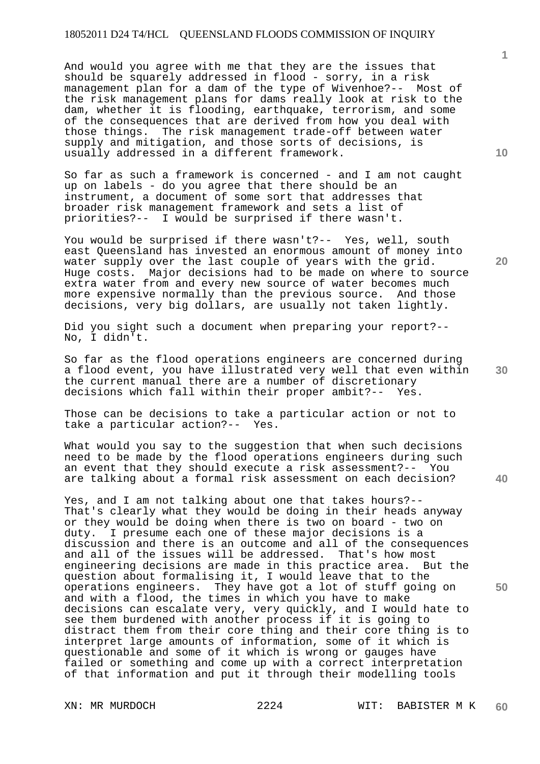And would you agree with me that they are the issues that should be squarely addressed in flood - sorry, in a risk management plan for a dam of the type of Wivenhoe?-- Most of the risk management plans for dams really look at risk to the dam, whether it is flooding, earthquake, terrorism, and some of the consequences that are derived from how you deal with those things. The risk management trade-off between water supply and mitigation, and those sorts of decisions, is usually addressed in a different framework.

So far as such a framework is concerned - and I am not caught up on labels - do you agree that there should be an instrument, a document of some sort that addresses that broader risk management framework and sets a list of priorities?-- I would be surprised if there wasn't.

You would be surprised if there wasn't?-- Yes, well, south east Queensland has invested an enormous amount of money into water supply over the last couple of years with the grid. Huge costs. Major decisions had to be made on where to source extra water from and every new source of water becomes much more expensive normally than the previous source. And those decisions, very big dollars, are usually not taken lightly.

Did you sight such a document when preparing your report?-- No, I didn't.

So far as the flood operations engineers are concerned during a flood event, you have illustrated very well that even within the current manual there are a number of discretionary decisions which fall within their proper ambit?-- Yes.

Those can be decisions to take a particular action or not to take a particular action?-- Yes.

What would you say to the suggestion that when such decisions need to be made by the flood operations engineers during such an event that they should execute a risk assessment?-- You are talking about a formal risk assessment on each decision?

Yes, and I am not talking about one that takes hours?-- That's clearly what they would be doing in their heads anyway or they would be doing when there is two on board - two on duty. I presume each one of these major decisions is a discussion and there is an outcome and all of the consequences and all of the issues will be addressed. That's how most engineering decisions are made in this practice area. But the question about formalising it, I would leave that to the operations engineers. They have got a lot of stuff going on and with a flood, the times in which you have to make decisions can escalate very, very quickly, and I would hate to see them burdened with another process if it is going to distract them from their core thing and their core thing is to interpret large amounts of information, some of it which is questionable and some of it which is wrong or gauges have failed or something and come up with a correct interpretation of that information and put it through their modelling tools

**10** 

**1**

**20** 

**30** 

**40**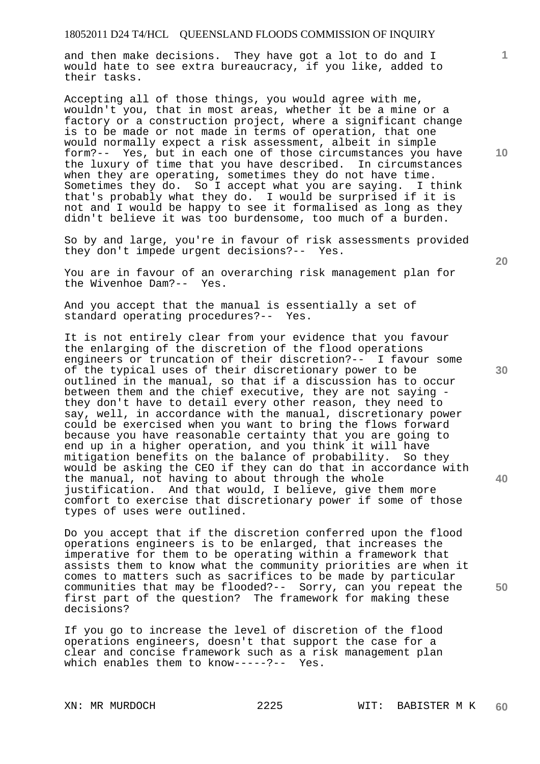and then make decisions. They have got a lot to do and I would hate to see extra bureaucracy, if you like, added to their tasks.

Accepting all of those things, you would agree with me, wouldn't you, that in most areas, whether it be a mine or a factory or a construction project, where a significant change is to be made or not made in terms of operation, that one would normally expect a risk assessment, albeit in simple form?-- Yes, but in each one of those circumstances you have the luxury of time that you have described. In circumstances when they are operating, sometimes they do not have time. Sometimes they do. So I accept what you are saying. I think that's probably what they do. I would be surprised if it is not and I would be happy to see it formalised as long as they didn't believe it was too burdensome, too much of a burden.

So by and large, you're in favour of risk assessments provided they don't impede urgent decisions?-- Yes.

You are in favour of an overarching risk management plan for the Wivenhoe Dam?-- Yes.

And you accept that the manual is essentially a set of standard operating procedures?-- Yes.

It is not entirely clear from your evidence that you favour the enlarging of the discretion of the flood operations engineers or truncation of their discretion?-- I favour some of the typical uses of their discretionary power to be outlined in the manual, so that if a discussion has to occur between them and the chief executive, they are not saying they don't have to detail every other reason, they need to say, well, in accordance with the manual, discretionary power could be exercised when you want to bring the flows forward because you have reasonable certainty that you are going to end up in a higher operation, and you think it will have mitigation benefits on the balance of probability. So they would be asking the CEO if they can do that in accordance with the manual, not having to about through the whole justification. And that would, I believe, give them more comfort to exercise that discretionary power if some of those types of uses were outlined.

Do you accept that if the discretion conferred upon the flood operations engineers is to be enlarged, that increases the imperative for them to be operating within a framework that assists them to know what the community priorities are when it comes to matters such as sacrifices to be made by particular communities that may be flooded?-- Sorry, can you repeat the first part of the question? The framework for making these decisions?

If you go to increase the level of discretion of the flood operations engineers, doesn't that support the case for a clear and concise framework such as a risk management plan which enables them to know-----?-- Yes.

**10** 

**1**

**20** 

**30** 

**40**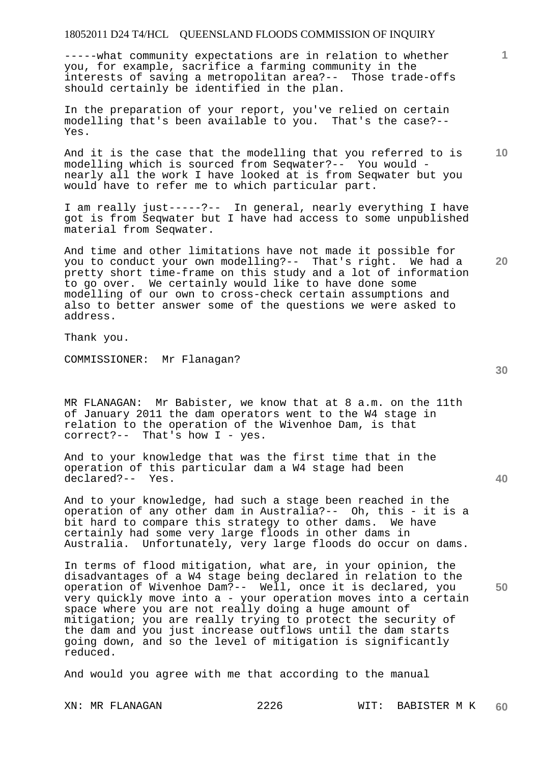-----what community expectations are in relation to whether you, for example, sacrifice a farming community in the interests of saving a metropolitan area?-- Those trade-offs should certainly be identified in the plan.

In the preparation of your report, you've relied on certain modelling that's been available to you. That's the case?-- Yes.

And it is the case that the modelling that you referred to is modelling which is sourced from Seqwater?-- You would nearly all the work I have looked at is from Seqwater but you would have to refer me to which particular part.

I am really just-----?-- In general, nearly everything I have got is from Seqwater but I have had access to some unpublished material from Seqwater.

And time and other limitations have not made it possible for you to conduct your own modelling?-- That's right. We had a pretty short time-frame on this study and a lot of information to go over. We certainly would like to have done some modelling of our own to cross-check certain assumptions and also to better answer some of the questions we were asked to address.

Thank you.

COMMISSIONER: Mr Flanagan?

MR FLANAGAN: Mr Babister, we know that at 8 a.m. on the 11th of January 2011 the dam operators went to the W4 stage in relation to the operation of the Wivenhoe Dam, is that correct?-- That's how I - yes.

And to your knowledge that was the first time that in the operation of this particular dam a W4 stage had been declared?-- Yes.

And to your knowledge, had such a stage been reached in the operation of any other dam in Australia?-- Oh, this - it is a bit hard to compare this strategy to other dams. We have certainly had some very large floods in other dams in Australia. Unfortunately, very large floods do occur on dams.

In terms of flood mitigation, what are, in your opinion, the disadvantages of a W4 stage being declared in relation to the operation of Wivenhoe Dam?-- Well, once it is declared, you very quickly move into a - your operation moves into a certain space where you are not really doing a huge amount of mitigation; you are really trying to protect the security of the dam and you just increase outflows until the dam starts going down, and so the level of mitigation is significantly reduced.

And would you agree with me that according to the manual

**40** 

**50** 

**20** 

**10**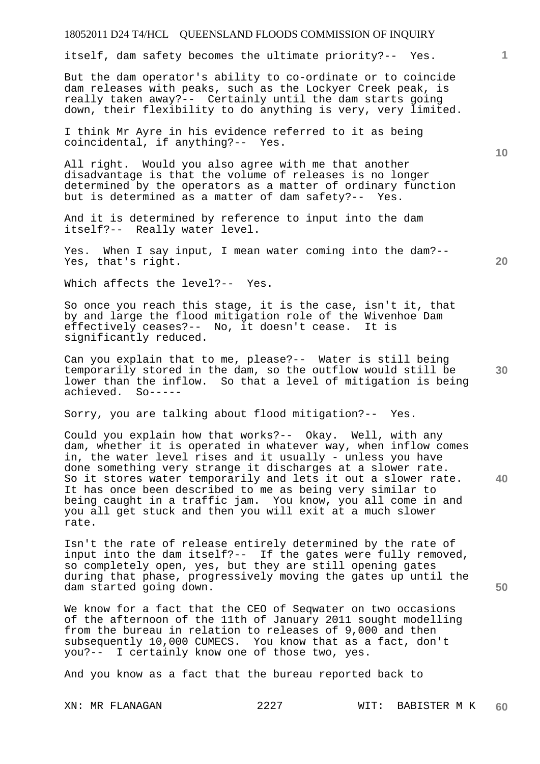itself, dam safety becomes the ultimate priority?-- Yes.

But the dam operator's ability to co-ordinate or to coincide dam releases with peaks, such as the Lockyer Creek peak, is really taken away?-- Certainly until the dam starts going down, their flexibility to do anything is very, very limited.

I think Mr Ayre in his evidence referred to it as being coincidental, if anything?-- Yes.

All right. Would you also agree with me that another disadvantage is that the volume of releases is no longer determined by the operators as a matter of ordinary function but is determined as a matter of dam safety?-- Yes.

And it is determined by reference to input into the dam itself?-- Really water level.

Yes. When I say input, I mean water coming into the dam?-- Yes, that's right.

Which affects the level?-- Yes.

So once you reach this stage, it is the case, isn't it, that by and large the flood mitigation role of the Wivenhoe Dam effectively ceases?-- No, it doesn't cease. It is significantly reduced.

Can you explain that to me, please?-- Water is still being temporarily stored in the dam, so the outflow would still be lower than the inflow. So that a level of mitigation is being achieved. So-----

Sorry, you are talking about flood mitigation?-- Yes.

Could you explain how that works?-- Okay. Well, with any dam, whether it is operated in whatever way, when inflow comes in, the water level rises and it usually - unless you have done something very strange it discharges at a slower rate. So it stores water temporarily and lets it out a slower rate. It has once been described to me as being very similar to being caught in a traffic jam. You know, you all come in and you all get stuck and then you will exit at a much slower rate.

Isn't the rate of release entirely determined by the rate of input into the dam itself?-- If the gates were fully removed, so completely open, yes, but they are still opening gates during that phase, progressively moving the gates up until the dam started going down.

We know for a fact that the CEO of Seqwater on two occasions of the afternoon of the 11th of January 2011 sought modelling from the bureau in relation to releases of 9,000 and then subsequently 10,000 CUMECS. You know that as a fact, don't you?-- I certainly know one of those two, yes.

And you know as a fact that the bureau reported back to

**10** 

**1**

**30** 

**20** 

**50**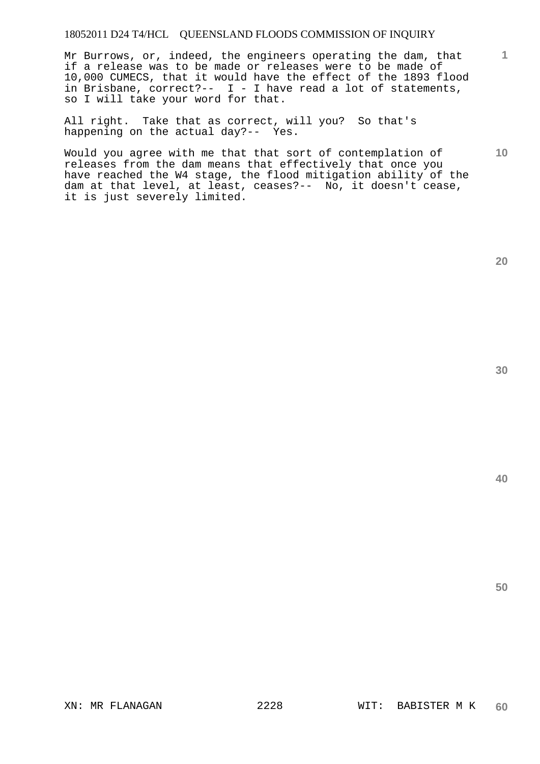Mr Burrows, or, indeed, the engineers operating the dam, that if a release was to be made or releases were to be made of 10,000 CUMECS, that it would have the effect of the 1893 flood in Brisbane, correct?-- I - I have read a lot of statements, so I will take your word for that.

All right. Take that as correct, will you? So that's happening on the actual day?-- Yes.

Would you agree with me that that sort of contemplation of releases from the dam means that effectively that once you have reached the W4 stage, the flood mitigation ability of the dam at that level, at least, ceases?-- No, it doesn't cease, it is just severely limited.

**20** 

**40** 

**50** 

**1**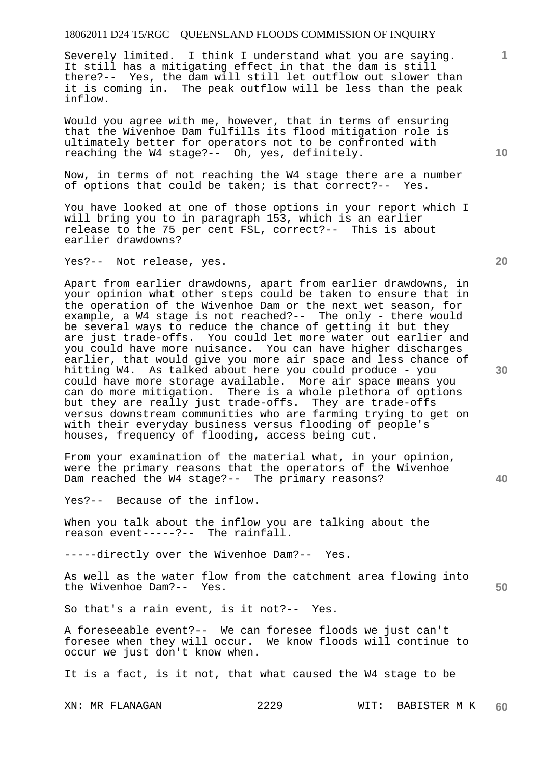Severely limited. I think I understand what you are saying. It still has a mitigating effect in that the dam is still there?-- Yes, the dam will still let outflow out slower than it is coming in. The peak outflow will be less than the peak inflow.

Would you agree with me, however, that in terms of ensuring that the Wivenhoe Dam fulfills its flood mitigation role is ultimately better for operators not to be confronted with reaching the W4 stage?-- Oh, yes, definitely.

Now, in terms of not reaching the W4 stage there are a number of options that could be taken; is that correct?-- Yes.

You have looked at one of those options in your report which I will bring you to in paragraph 153, which is an earlier release to the 75 per cent FSL, correct?-- This is about earlier drawdowns?

Yes?-- Not release, yes.

Apart from earlier drawdowns, apart from earlier drawdowns, in your opinion what other steps could be taken to ensure that in the operation of the Wivenhoe Dam or the next wet season, for example, a W4 stage is not reached?-- The only - there would be several ways to reduce the chance of getting it but they are just trade-offs. You could let more water out earlier and you could have more nuisance. You can have higher discharges earlier, that would give you more air space and less chance of hitting W4. As talked about here you could produce - you could have more storage available. More air space means you can do more mitigation. There is a whole plethora of options but they are really just trade-offs. They are trade-offs versus downstream communities who are farming trying to get on with their everyday business versus flooding of people's houses, frequency of flooding, access being cut.

From your examination of the material what, in your opinion, were the primary reasons that the operators of the Wivenhoe Dam reached the W4 stage?-- The primary reasons?

Yes?-- Because of the inflow.

When you talk about the inflow you are talking about the reason event-----?-- The rainfall.

-----directly over the Wivenhoe Dam?-- Yes.

As well as the water flow from the catchment area flowing into the Wivenhoe Dam?-- Yes.

So that's a rain event, is it not?-- Yes.

A foreseeable event?-- We can foresee floods we just can't foresee when they will occur. We know floods will continue to occur we just don't know when.

It is a fact, is it not, that what caused the W4 stage to be

XN: MR FLANAGAN 2229 WIT: BABISTER M K **60** 

**30** 

**40** 

**50** 

**20** 

**10**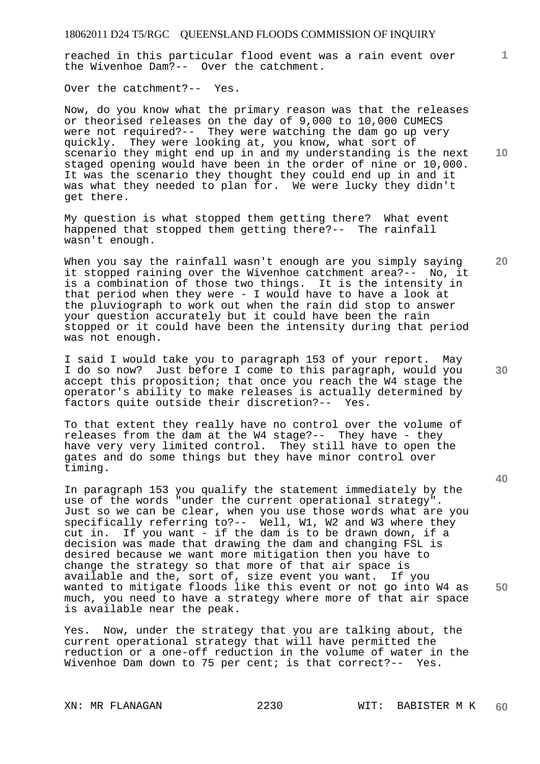reached in this particular flood event was a rain event over the Wivenhoe Dam?-- Over the catchment.

Over the catchment?-- Yes.

Now, do you know what the primary reason was that the releases or theorised releases on the day of 9,000 to 10,000 CUMECS were not required?-- They were watching the dam go up very quickly. They were looking at, you know, what sort of scenario they might end up in and my understanding is the next staged opening would have been in the order of nine or 10,000. It was the scenario they thought they could end up in and it was what they needed to plan for. We were lucky they didn't get there.

My question is what stopped them getting there? What event happened that stopped them getting there?-- The rainfall wasn't enough.

When you say the rainfall wasn't enough are you simply saying it stopped raining over the Wivenhoe catchment area?-- No, it is a combination of those two things. It is the intensity in that period when they were - I would have to have a look at the pluviograph to work out when the rain did stop to answer your question accurately but it could have been the rain stopped or it could have been the intensity during that period was not enough.

I said I would take you to paragraph 153 of your report. May I do so now? Just before I come to this paragraph, would you accept this proposition; that once you reach the W4 stage the operator's ability to make releases is actually determined by factors quite outside their discretion?-- Yes.

To that extent they really have no control over the volume of releases from the dam at the W4 stage?-- They have - they have very very limited control. They still have to open the gates and do some things but they have minor control over timing.

In paragraph 153 you qualify the statement immediately by the use of the words "under the current operational strategy". Just so we can be clear, when you use those words what are you specifically referring to?-- Well, W1, W2 and W3 where they cut in. If you want - if the dam is to be drawn down, if a decision was made that drawing the dam and changing FSL is desired because we want more mitigation then you have to change the strategy so that more of that air space is available and the, sort of, size event you want. If you wanted to mitigate floods like this event or not go into W4 as much, you need to have a strategy where more of that air space is available near the peak.

Yes. Now, under the strategy that you are talking about, the current operational strategy that will have permitted the reduction or a one-off reduction in the volume of water in the Wivenhoe Dam down to 75 per cent; is that correct?-- Yes.

**10** 

**1**

**20** 

**40**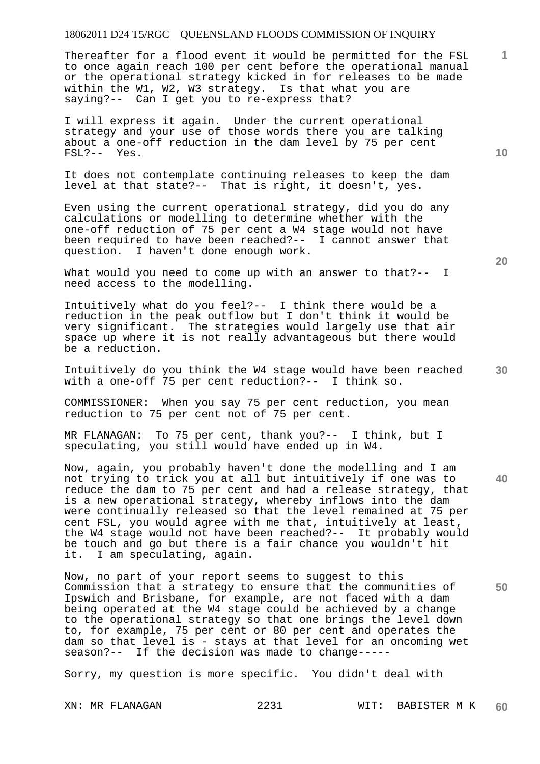Thereafter for a flood event it would be permitted for the FSL to once again reach 100 per cent before the operational manual or the operational strategy kicked in for releases to be made within the W1, W2, W3 strategy. Is that what you are saying?-- Can I get you to re-express that?

I will express it again. Under the current operational strategy and your use of those words there you are talking about a one-off reduction in the dam level by 75 per cent FSL?-- Yes.

It does not contemplate continuing releases to keep the dam level at that state?-- That is right, it doesn't, yes.

Even using the current operational strategy, did you do any calculations or modelling to determine whether with the one-off reduction of 75 per cent a W4 stage would not have been required to have been reached?-- I cannot answer that question. I haven't done enough work.

What would you need to come up with an answer to that?-- I need access to the modelling.

Intuitively what do you feel?-- I think there would be a reduction in the peak outflow but I don't think it would be very significant. The strategies would largely use that air space up where it is not really advantageous but there would be a reduction.

Intuitively do you think the W4 stage would have been reached with a one-off 75 per cent reduction?-- I think so.

COMMISSIONER: When you say 75 per cent reduction, you mean reduction to 75 per cent not of 75 per cent.

MR FLANAGAN: To 75 per cent, thank you?-- I think, but I speculating, you still would have ended up in W4.

Now, again, you probably haven't done the modelling and I am not trying to trick you at all but intuitively if one was to reduce the dam to 75 per cent and had a release strategy, that is a new operational strategy, whereby inflows into the dam were continually released so that the level remained at 75 per cent FSL, you would agree with me that, intuitively at least, the W4 stage would not have been reached?-- It probably would be touch and go but there is a fair chance you wouldn't hit it. I am speculating, again.

Now, no part of your report seems to suggest to this Commission that a strategy to ensure that the communities of Ipswich and Brisbane, for example, are not faced with a dam being operated at the W4 stage could be achieved by a change to the operational strategy so that one brings the level down to, for example, 75 per cent or 80 per cent and operates the dam so that level is - stays at that level for an oncoming wet season?-- If the decision was made to change-----

Sorry, my question is more specific. You didn't deal with

**10** 

**1**

**30** 

**40** 

**50**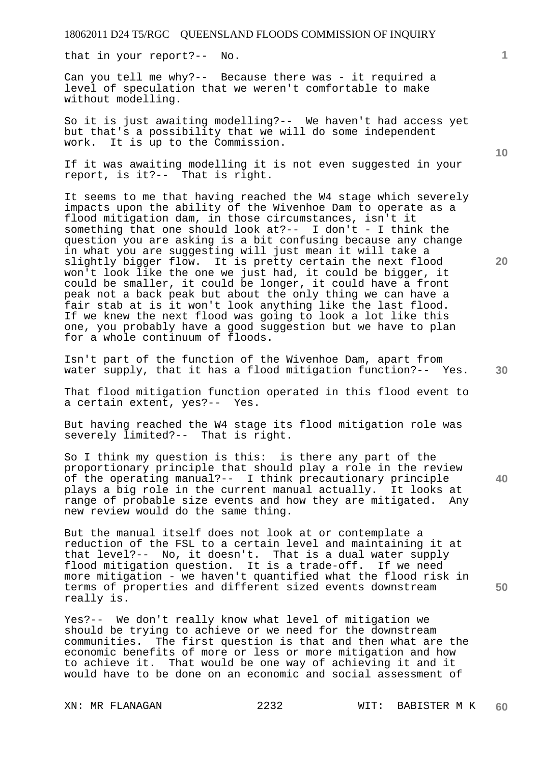that in your report?-- No.

Can you tell me why?-- Because there was - it required a level of speculation that we weren't comfortable to make without modelling.

So it is just awaiting modelling?-- We haven't had access yet but that's a possibility that we will do some independent work. It is up to the Commission.

If it was awaiting modelling it is not even suggested in your report, is it?-- That is right.

It seems to me that having reached the W4 stage which severely impacts upon the ability of the Wivenhoe Dam to operate as a flood mitigation dam, in those circumstances, isn't it something that one should look at ?-- I don't - I think the question you are asking is a bit confusing because any change in what you are suggesting will just mean it will take a slightly bigger flow. It is pretty certain the next flood won't look like the one we just had, it could be bigger, it could be smaller, it could be longer, it could have a front peak not a back peak but about the only thing we can have a fair stab at is it won't look anything like the last flood. If we knew the next flood was going to look a lot like this one, you probably have a good suggestion but we have to plan for a whole continuum of floods.

Isn't part of the function of the Wivenhoe Dam, apart from water supply, that it has a flood mitigation function?-- Yes.

That flood mitigation function operated in this flood event to a certain extent, yes?-- Yes.

But having reached the W4 stage its flood mitigation role was severely limited?-- That is right.

So I think my question is this: is there any part of the proportionary principle that should play a role in the review of the operating manual?-- I think precautionary principle plays a big role in the current manual actually. It looks at range of probable size events and how they are mitigated. Any new review would do the same thing.

But the manual itself does not look at or contemplate a reduction of the FSL to a certain level and maintaining it at that level?-- No, it doesn't. That is a dual water supply flood mitigation question. It is a trade-off. If we need more mitigation - we haven't quantified what the flood risk in terms of properties and different sized events downstream really is.

Yes?-- We don't really know what level of mitigation we should be trying to achieve or we need for the downstream communities. The first question is that and then what are the economic benefits of more or less or more mitigation and how to achieve it. That would be one way of achieving it and it would have to be done on an economic and social assessment of

**10** 

**1**

**20** 

**30** 

**40**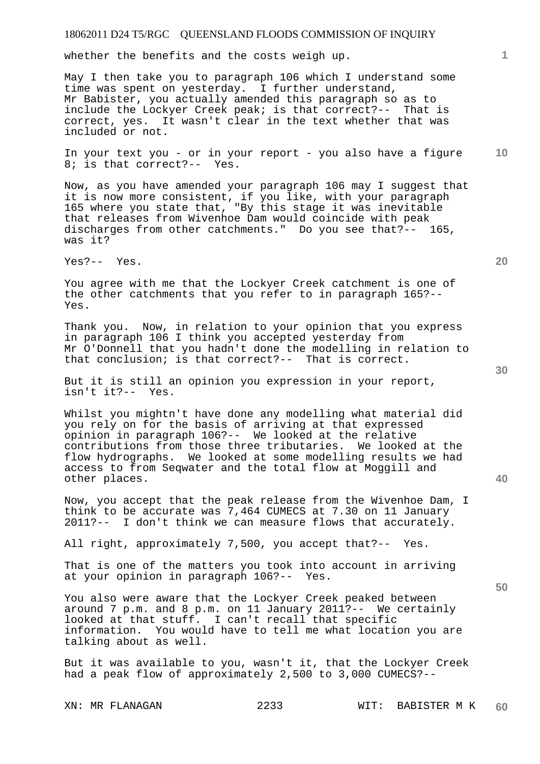whether the benefits and the costs weigh up.

May I then take you to paragraph 106 which I understand some time was spent on yesterday. I further understand, Mr Babister, you actually amended this paragraph so as to include the Lockyer Creek peak; is that correct?-- That is correct, yes. It wasn't clear in the text whether that was included or not.

**10**  In your text you - or in your report - you also have a figure 8; is that correct?-- Yes.

Now, as you have amended your paragraph 106 may I suggest that it is now more consistent, if you like, with your paragraph 165 where you state that, "By this stage it was inevitable that releases from Wivenhoe Dam would coincide with peak discharges from other catchments." Do you see that?-- 165, was it?

Yes?-- Yes.

You agree with me that the Lockyer Creek catchment is one of the other catchments that you refer to in paragraph 165?-- Yes.

Thank you. Now, in relation to your opinion that you express in paragraph 106 I think you accepted yesterday from Mr O'Donnell that you hadn't done the modelling in relation to that conclusion; is that correct?-- That is correct.

But it is still an opinion you expression in your report, isn't it?-- Yes.

Whilst you mightn't have done any modelling what material did you rely on for the basis of arriving at that expressed opinion in paragraph 106?-- We looked at the relative contributions from those three tributaries. We looked at the flow hydrographs. We looked at some modelling results we had access to from Seqwater and the total flow at Moggill and other places.

Now, you accept that the peak release from the Wivenhoe Dam, I think to be accurate was 7,464 CUMECS at 7.30 on 11 January 2011?-- I don't think we can measure flows that accurately.

All right, approximately 7,500, you accept that?-- Yes.

That is one of the matters you took into account in arriving at your opinion in paragraph 106?-- Yes.

You also were aware that the Lockyer Creek peaked between around 7 p.m. and 8 p.m. on 11 January 2011?-- We certainly looked at that stuff. I can't recall that specific information. You would have to tell me what location you are talking about as well.

But it was available to you, wasn't it, that the Lockyer Creek had a peak flow of approximately 2,500 to 3,000 CUMECS?--

**20** 

**40**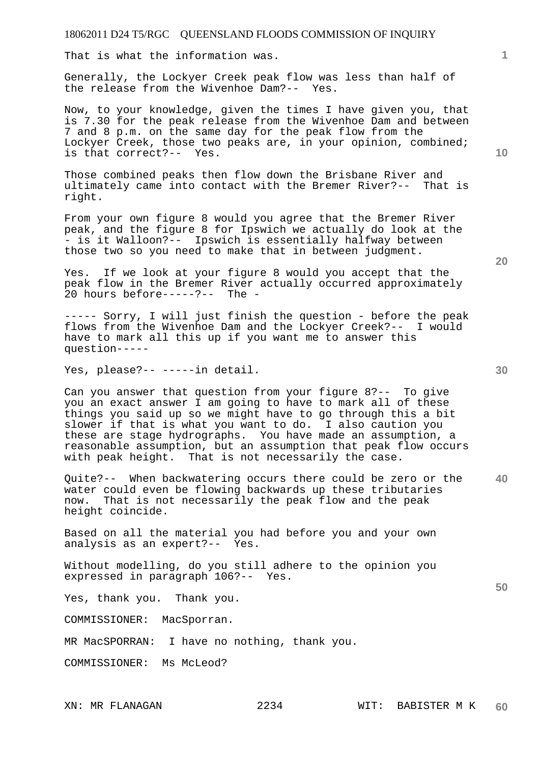That is what the information was.

Generally, the Lockyer Creek peak flow was less than half of the release from the Wivenhoe Dam?-- Yes.

Now, to your knowledge, given the times I have given you, that is 7.30 for the peak release from the Wivenhoe Dam and between 7 and 8 p.m. on the same day for the peak flow from the Lockyer Creek, those two peaks are, in your opinion, combined; is that correct?-- Yes.

Those combined peaks then flow down the Brisbane River and ultimately came into contact with the Bremer River?-- That is right.

From your own figure 8 would you agree that the Bremer River peak, and the figure 8 for Ipswich we actually do look at the - is it Walloon?-- Ipswich is essentially halfway between those two so you need to make that in between judgment.

Yes. If we look at your figure 8 would you accept that the peak flow in the Bremer River actually occurred approximately 20 hours before-----?-- The -

----- Sorry, I will just finish the question - before the peak flows from the Wivenhoe Dam and the Lockyer Creek?-- I would have to mark all this up if you want me to answer this question-----

Yes, please?-- -----in detail.

Can you answer that question from your figure 8?-- To give you an exact answer I am going to have to mark all of these things you said up so we might have to go through this a bit slower if that is what you want to do. I also caution you these are stage hydrographs. You have made an assumption, a reasonable assumption, but an assumption that peak flow occurs with peak height. That is not necessarily the case.

**40**  Quite?-- When backwatering occurs there could be zero or the water could even be flowing backwards up these tributaries now. That is not necessarily the peak flow and the peak height coincide.

Based on all the material you had before you and your own analysis as an expert?-- Yes.

Without modelling, do you still adhere to the opinion you expressed in paragraph 106?-- Yes.

Yes, thank you. Thank you.

COMMISSIONER: MacSporran.

MR MacSPORRAN: I have no nothing, thank you.

COMMISSIONER: Ms McLeod?

**1**

**20** 

**30**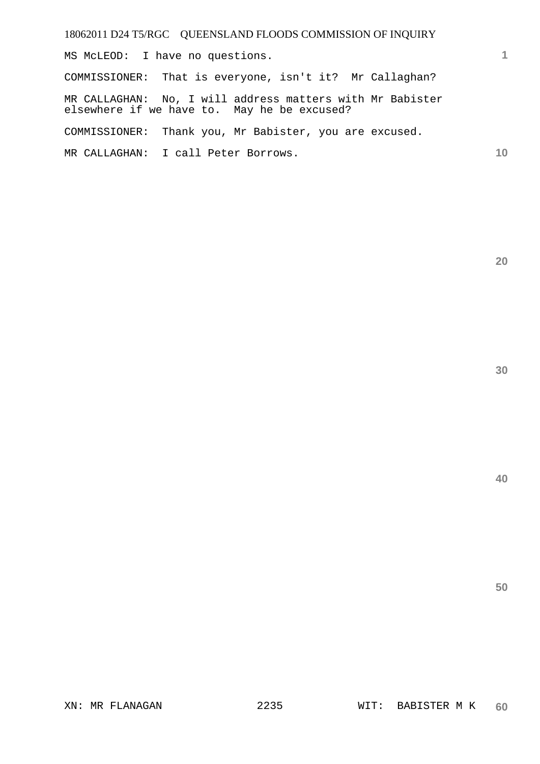MS McLEOD: I have no questions.

COMMISSIONER: That is everyone, isn't it? Mr Callaghan?

MR CALLAGHAN: No, I will address matters with Mr Babister elsewhere if we have to. May he be excused?

COMMISSIONER: Thank you, Mr Babister, you are excused.

MR CALLAGHAN: I call Peter Borrows.

**20** 

**1**

**10**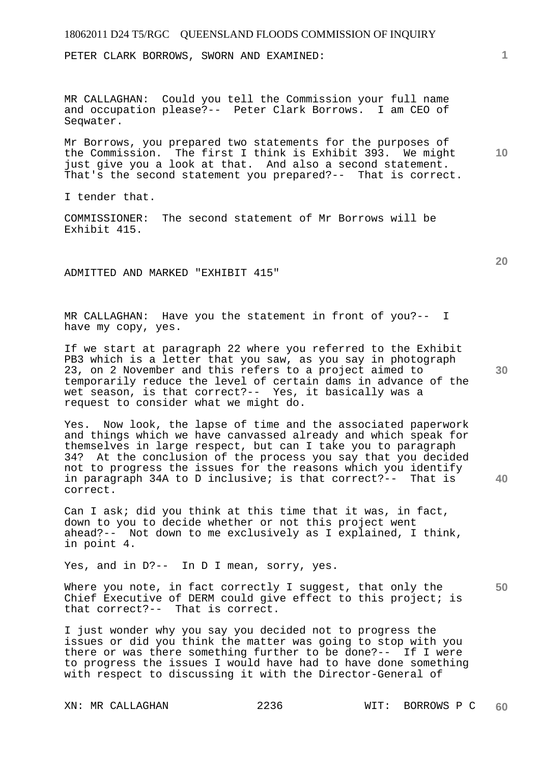PETER CLARK BORROWS, SWORN AND EXAMINED:

MR CALLAGHAN: Could you tell the Commission your full name and occupation please?-- Peter Clark Borrows. I am CEO of Seqwater.

Mr Borrows, you prepared two statements for the purposes of the Commission. The first I think is Exhibit 393. We might just give you a look at that. And also a second statement. That's the second statement you prepared?-- That is correct.

I tender that.

COMMISSIONER: The second statement of Mr Borrows will be Exhibit 415.

ADMITTED AND MARKED "EXHIBIT 415"

MR CALLAGHAN: Have you the statement in front of you?-- I have my copy, yes.

If we start at paragraph 22 where you referred to the Exhibit PB3 which is a letter that you saw, as you say in photograph 23, on 2 November and this refers to a project aimed to temporarily reduce the level of certain dams in advance of the wet season, is that correct?-- Yes, it basically was a request to consider what we might do.

Yes. Now look, the lapse of time and the associated paperwork and things which we have canvassed already and which speak for themselves in large respect, but can I take you to paragraph 34? At the conclusion of the process you say that you decided not to progress the issues for the reasons which you identify in paragraph 34A to D inclusive; is that correct?-- That is correct.

Can I ask; did you think at this time that it was, in fact, down to you to decide whether or not this project went ahead?-- Not down to me exclusively as I explained, I think, in point 4.

Yes, and in D?-- In D I mean, sorry, yes.

**50**  Where you note, in fact correctly I suggest, that only the Chief Executive of DERM could give effect to this project; is that correct?-- That is correct.

I just wonder why you say you decided not to progress the issues or did you think the matter was going to stop with you there or was there something further to be done?-- If I were to progress the issues I would have had to have done something with respect to discussing it with the Director-General of

**30** 

**40** 

**20** 

**10**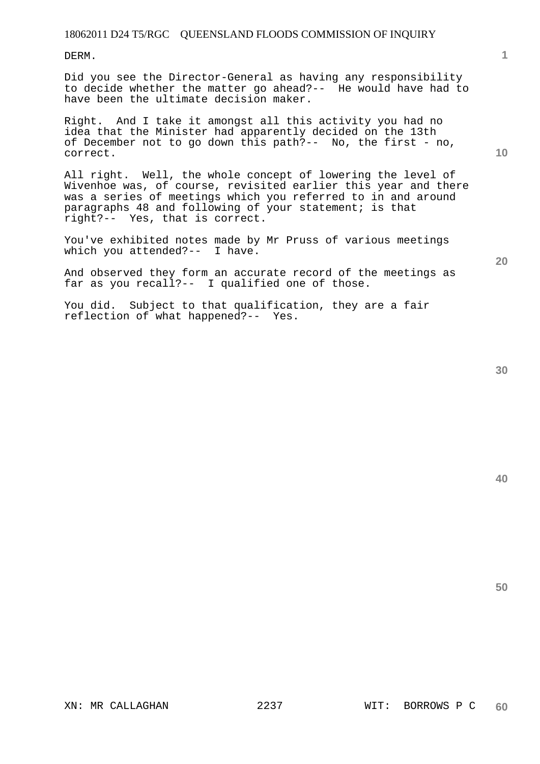DERM.

Did you see the Director-General as having any responsibility to decide whether the matter go ahead?-- He would have had to have been the ultimate decision maker.

Right. And I take it amongst all this activity you had no idea that the Minister had apparently decided on the 13th of December not to go down this path?-- No, the first - no, correct.

All right. Well, the whole concept of lowering the level of Wivenhoe was, of course, revisited earlier this year and there was a series of meetings which you referred to in and around paragraphs 48 and following of your statement; is that right?-- Yes, that is correct.

You've exhibited notes made by Mr Pruss of various meetings which you attended?-- I have.

And observed they form an accurate record of the meetings as far as you recall?-- I qualified one of those.

You did. Subject to that qualification, they are a fair reflection of what happened?-- Yes.

**1**

**10** 

**20** 

**40**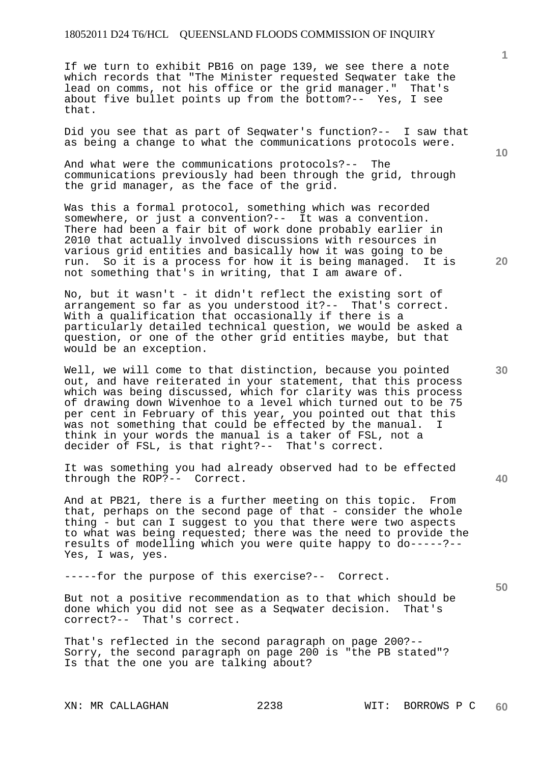If we turn to exhibit PB16 on page 139, we see there a note which records that "The Minister requested Seqwater take the lead on comms, not his office or the grid manager." That's about five bullet points up from the bottom?-- Yes, I see that.

Did you see that as part of Seqwater's function?-- I saw that as being a change to what the communications protocols were.

And what were the communications protocols?-- The communications previously had been through the grid, through the grid manager, as the face of the grid.

Was this a formal protocol, something which was recorded somewhere, or just a convention?-- It was a convention. There had been a fair bit of work done probably earlier in 2010 that actually involved discussions with resources in various grid entities and basically how it was going to be run. So it is a process for how it is being managed. It is run. So it is a process for how it is being managed. not something that's in writing, that I am aware of.

No, but it wasn't - it didn't reflect the existing sort of arrangement so far as you understood it?-- That's correct. With a qualification that occasionally if there is a particularly detailed technical question, we would be asked a question, or one of the other grid entities maybe, but that would be an exception.

Well, we will come to that distinction, because you pointed out, and have reiterated in your statement, that this process which was being discussed, which for clarity was this process of drawing down Wivenhoe to a level which turned out to be 75 per cent in February of this year, you pointed out that this was not something that could be effected by the manual. think in your words the manual is a taker of FSL, not a decider of FSL, is that right?-- That's correct.

It was something you had already observed had to be effected through the ROP?-- Correct.

And at PB21, there is a further meeting on this topic. From that, perhaps on the second page of that - consider the whole thing - but can I suggest to you that there were two aspects to what was being requested; there was the need to provide the results of modelling which you were quite happy to do-----?-- Yes, I was, yes.

-----for the purpose of this exercise?-- Correct.

But not a positive recommendation as to that which should be done which you did not see as a Seqwater decision. That's correct?-- That's correct.

That's reflected in the second paragraph on page 200?-- Sorry, the second paragraph on page 200 is "the PB stated"? Is that the one you are talking about?

**10** 

**1**

**20** 

**30**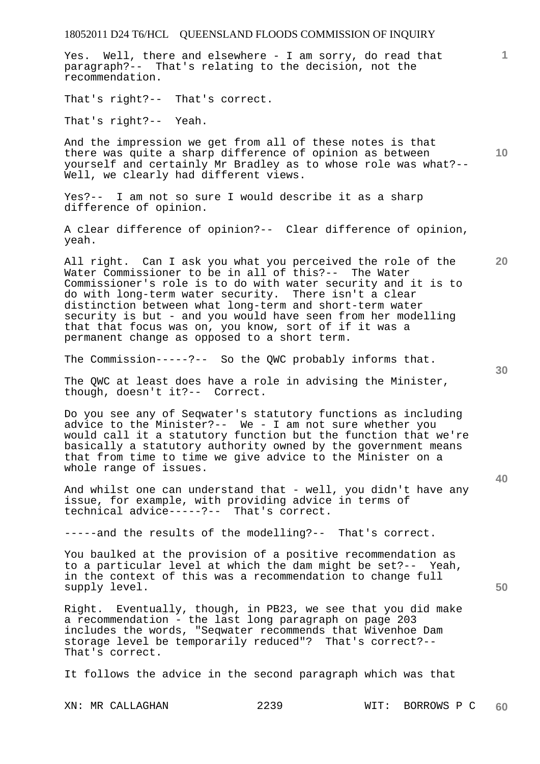Yes. Well, there and elsewhere - I am sorry, do read that paragraph?-- That's relating to the decision, not the recommendation.

That's right?-- That's correct.

That's right?-- Yeah.

**10**  And the impression we get from all of these notes is that there was quite a sharp difference of opinion as between yourself and certainly Mr Bradley as to whose role was what?-- Well, we clearly had different views.

Yes?-- I am not so sure I would describe it as a sharp difference of opinion.

A clear difference of opinion?-- Clear difference of opinion, yeah.

All right. Can I ask you what you perceived the role of the Water Commissioner to be in all of this?-- The Water Commissioner's role is to do with water security and it is to do with long-term water security. There isn't a clear distinction between what long-term and short-term water security is but - and you would have seen from her modelling that that focus was on, you know, sort of if it was a permanent change as opposed to a short term.

The Commission-----?-- So the QWC probably informs that.

The QWC at least does have a role in advising the Minister, though, doesn't it?-- Correct.

Do you see any of Seqwater's statutory functions as including advice to the Minister?-- We - I am not sure whether you would call it a statutory function but the function that we're basically a statutory authority owned by the government means that from time to time we give advice to the Minister on a whole range of issues.

And whilst one can understand that - well, you didn't have any issue, for example, with providing advice in terms of technical advice-----?-- That's correct.

-----and the results of the modelling?-- That's correct.

You baulked at the provision of a positive recommendation as to a particular level at which the dam might be set?-- Yeah, in the context of this was a recommendation to change full supply level.

Right. Eventually, though, in PB23, we see that you did make a recommendation - the last long paragraph on page 203 includes the words, "Seqwater recommends that Wivenhoe Dam storage level be temporarily reduced"? That's correct?-- That's correct.

It follows the advice in the second paragraph which was that

XN: MR CALLAGHAN 2239 WIT: BORROWS P C **60** 

**20** 

**50** 

**40**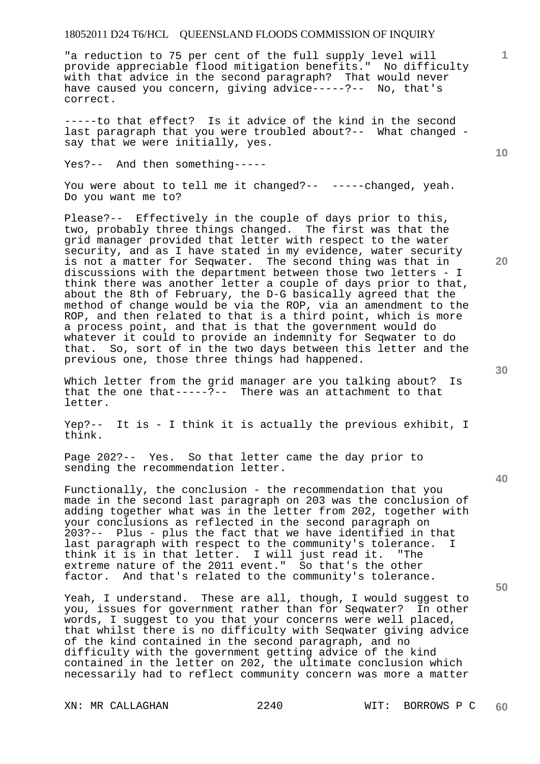"a reduction to 75 per cent of the full supply level will provide appreciable flood mitigation benefits." No difficulty with that advice in the second paragraph? That would never have caused you concern, giving advice-----?-- No, that's correct.

-----to that effect? Is it advice of the kind in the second last paragraph that you were troubled about?-- What changed say that we were initially, yes.

Yes?-- And then something-----

You were about to tell me it changed?-- -----changed, yeah. Do you want me to?

Please?-- Effectively in the couple of days prior to this, two, probably three things changed. The first was that the grid manager provided that letter with respect to the water security, and as I have stated in my evidence, water security is not a matter for Seqwater. The second thing was that in discussions with the department between those two letters - I think there was another letter a couple of days prior to that, about the 8th of February, the D-G basically agreed that the method of change would be via the ROP, via an amendment to the ROP, and then related to that is a third point, which is more a process point, and that is that the government would do whatever it could to provide an indemnity for Seqwater to do that. So, sort of in the two days between this letter and the previous one, those three things had happened.

Which letter from the grid manager are you talking about? Is that the one that-----?-- There was an attachment to that letter.

Yep?-- It is - I think it is actually the previous exhibit, I think.

Page 202?-- Yes. So that letter came the day prior to sending the recommendation letter.

Functionally, the conclusion - the recommendation that you made in the second last paragraph on 203 was the conclusion of adding together what was in the letter from 202, together with your conclusions as reflected in the second paragraph on 203?-- Plus - plus the fact that we have identified in that last paragraph with respect to the community's tolerance. I think it is in that letter. I will just read it. "The extreme nature of the 2011 event." So that's the other factor. And that's related to the community's tolerance.

Yeah, I understand. These are all, though, I would suggest to you, issues for government rather than for Seqwater? In other words, I suggest to you that your concerns were well placed, that whilst there is no difficulty with Seqwater giving advice of the kind contained in the second paragraph, and no difficulty with the government getting advice of the kind contained in the letter on 202, the ultimate conclusion which necessarily had to reflect community concern was more a matter

**30** 

**20** 

**40** 

**50** 

**10**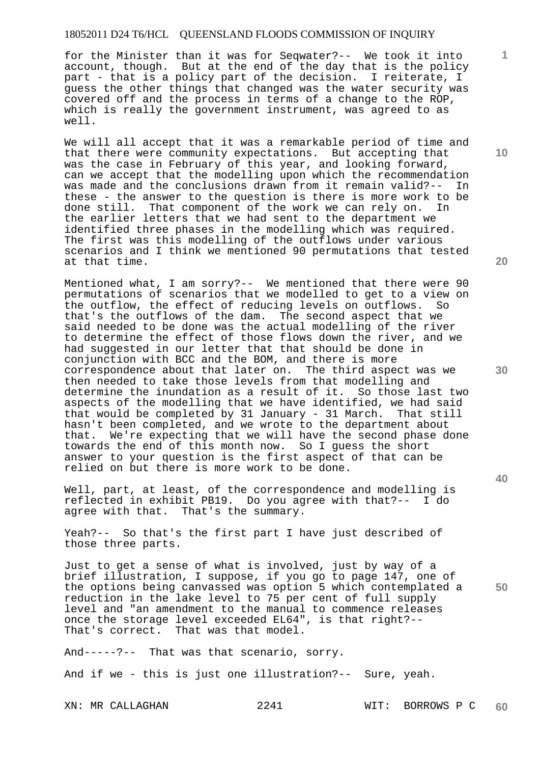for the Minister than it was for Seqwater?-- We took it into account, though. But at the end of the day that is the policy part - that is a policy part of the decision. I reiterate, I guess the other things that changed was the water security was covered off and the process in terms of a change to the ROP, which is really the government instrument, was agreed to as well.

We will all accept that it was a remarkable period of time and that there were community expectations. But accepting that was the case in February of this year, and looking forward, can we accept that the modelling upon which the recommendation was made and the conclusions drawn from it remain valid?-- In these - the answer to the question is there is more work to be done still. That component of the work we can rely on. In That component of the work we can rely on. In the earlier letters that we had sent to the department we identified three phases in the modelling which was required. The first was this modelling of the outflows under various scenarios and I think we mentioned 90 permutations that tested at that time.

Mentioned what, I am sorry?-- We mentioned that there were 90 permutations of scenarios that we modelled to get to a view on the outflow, the effect of reducing levels on outflows. So that's the outflows of the dam. The second aspect that we said needed to be done was the actual modelling of the river to determine the effect of those flows down the river, and we had suggested in our letter that that should be done in conjunction with BCC and the BOM, and there is more correspondence about that later on. The third aspect was we then needed to take those levels from that modelling and determine the inundation as a result of it. So those last two aspects of the modelling that we have identified, we had said that would be completed by 31 January - 31 March. That still hasn't been completed, and we wrote to the department about that. We're expecting that we will have the second phase done towards the end of this month now. So I guess the short answer to your question is the first aspect of that can be relied on but there is more work to be done.

Well, part, at least, of the correspondence and modelling is reflected in exhibit PB19. Do you agree with that?-- I do agree with that. That's the summary.

Yeah?-- So that's the first part I have just described of those three parts.

Just to get a sense of what is involved, just by way of a brief illustration, I suppose, if you go to page 147, one of the options being canvassed was option 5 which contemplated a reduction in the lake level to 75 per cent of full supply level and "an amendment to the manual to commence releases once the storage level exceeded EL64", is that right?-- That's correct. That was that model.

And-----?-- That was that scenario, sorry.

And if we - this is just one illustration?-- Sure, yeah.

XN: MR CALLAGHAN 2241 WIT: BORROWS P C **60** 

**20** 

**10** 

**1**

**30** 

**40**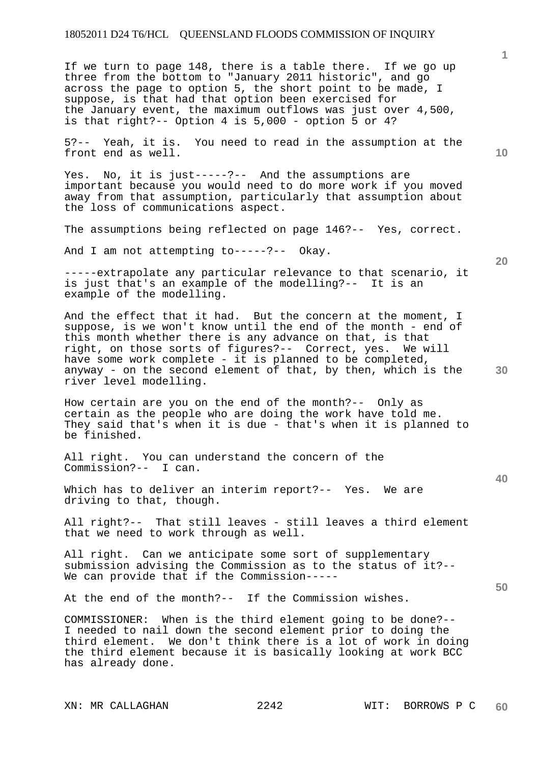If we turn to page 148, there is a table there. If we go up three from the bottom to "January 2011 historic", and go across the page to option 5, the short point to be made, I suppose, is that had that option been exercised for the January event, the maximum outflows was just over 4,500, is that right?-- Option 4 is 5,000 - option 5 or 4?

5?-- Yeah, it is. You need to read in the assumption at the front end as well.

Yes. No, it is just-----?-- And the assumptions are important because you would need to do more work if you moved away from that assumption, particularly that assumption about the loss of communications aspect.

The assumptions being reflected on page 146?-- Yes, correct.

And I am not attempting to-----?-- Okay.

-----extrapolate any particular relevance to that scenario, it is just that's an example of the modelling?-- It is an example of the modelling.

And the effect that it had. But the concern at the moment, I suppose, is we won't know until the end of the month - end of this month whether there is any advance on that, is that right, on those sorts of figures?-- Correct, yes. We will have some work complete - it is planned to be completed, anyway - on the second element of that, by then, which is the river level modelling.

How certain are you on the end of the month?-- Only as certain as the people who are doing the work have told me. They said that's when it is due - that's when it is planned to be finished.

All right. You can understand the concern of the Commission?-- I can.

Which has to deliver an interim report?-- Yes. We are driving to that, though.

All right?-- That still leaves - still leaves a third element that we need to work through as well.

All right. Can we anticipate some sort of supplementary submission advising the Commission as to the status of it?-- We can provide that if the Commission-----

At the end of the month?-- If the Commission wishes.

COMMISSIONER: When is the third element going to be done?-- I needed to nail down the second element prior to doing the third element. We don't think there is a lot of work in doing the third element because it is basically looking at work BCC has already done.

**1**

**20** 

**10** 

**40**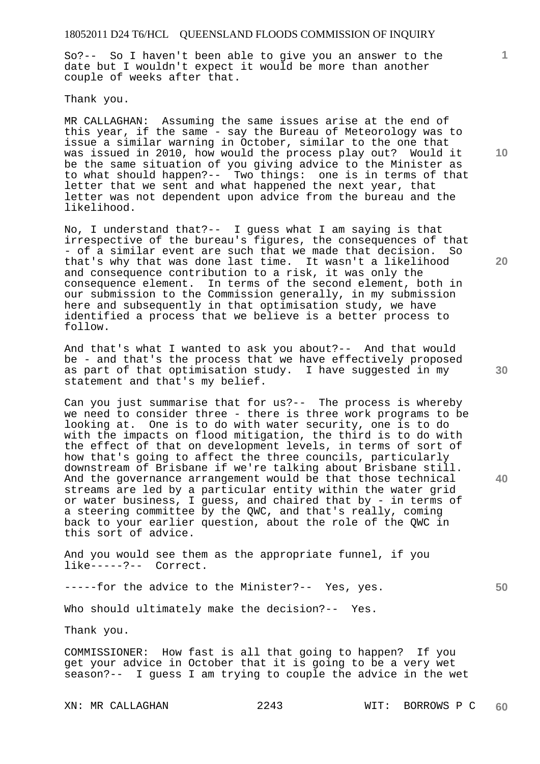So?-- So I haven't been able to give you an answer to the date but I wouldn't expect it would be more than another couple of weeks after that.

Thank you.

MR CALLAGHAN: Assuming the same issues arise at the end of this year, if the same - say the Bureau of Meteorology was to issue a similar warning in October, similar to the one that was issued in 2010, how would the process play out? Would it be the same situation of you giving advice to the Minister as to what should happen?-- Two things: one is in terms of that letter that we sent and what happened the next year, that letter was not dependent upon advice from the bureau and the likelihood.

No, I understand that?-- I guess what I am saying is that irrespective of the bureau's figures, the consequences of that - of a similar event are such that we made that decision. So that's why that was done last time. It wasn't a likelihood and consequence contribution to a risk, it was only the consequence element. In terms of the second element, both in our submission to the Commission generally, in my submission here and subsequently in that optimisation study, we have identified a process that we believe is a better process to follow.

And that's what I wanted to ask you about?-- And that would be - and that's the process that we have effectively proposed as part of that optimisation study. I have suggested in my statement and that's my belief.

Can you just summarise that for us?-- The process is whereby we need to consider three - there is three work programs to be looking at. One is to do with water security, one is to do with the impacts on flood mitigation, the third is to do with the effect of that on development levels, in terms of sort of how that's going to affect the three councils, particularly downstream of Brisbane if we're talking about Brisbane still. And the governance arrangement would be that those technical streams are led by a particular entity within the water grid or water business, I guess, and chaired that by - in terms of a steering committee by the QWC, and that's really, coming back to your earlier question, about the role of the QWC in this sort of advice.

And you would see them as the appropriate funnel, if you like-----?-- Correct.

-----for the advice to the Minister?-- Yes, yes.

Who should ultimately make the decision?-- Yes.

Thank you.

COMMISSIONER: How fast is all that going to happen? If you get your advice in October that it is going to be a very wet season?-- I guess I am trying to couple the advice in the wet

**10** 

**1**

**20** 

**30** 

**40**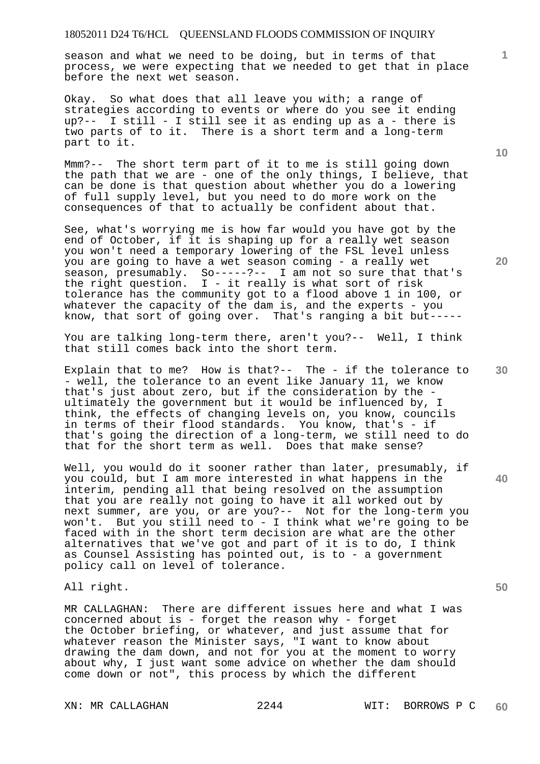season and what we need to be doing, but in terms of that process, we were expecting that we needed to get that in place before the next wet season.

Okay. So what does that all leave you with; a range of strategies according to events or where do you see it ending up?-- I still - I still see it as ending up as a - there is two parts of to it. There is a short term and a long-term part to it.

Mmm?-- The short term part of it to me is still going down the path that we are - one of the only things, I believe, that can be done is that question about whether you do a lowering of full supply level, but you need to do more work on the consequences of that to actually be confident about that.

See, what's worrying me is how far would you have got by the end of October, if it is shaping up for a really wet season you won't need a temporary lowering of the FSL level unless you are going to have a wet season coming - a really wet season, presumably. So-----?-- I am not so sure that that's the right question.  $I - it$  really is what sort of risk tolerance has the community got to a flood above 1 in 100, or whatever the capacity of the dam is, and the experts - you know, that sort of going over. That's ranging a bit but-----

You are talking long-term there, aren't you?-- Well, I think that still comes back into the short term.

Explain that to me? How is that?-- The - if the tolerance to - well, the tolerance to an event like January 11, we know that's just about zero, but if the consideration by the ultimately the government but it would be influenced by, I think, the effects of changing levels on, you know, councils in terms of their flood standards. You know, that's - if that's going the direction of a long-term, we still need to do that for the short term as well. Does that make sense?

Well, you would do it sooner rather than later, presumably, if you could, but I am more interested in what happens in the interim, pending all that being resolved on the assumption that you are really not going to have it all worked out by next summer, are you, or are you?-- Not for the long-term you won't. But you still need to - I think what we're going to be faced with in the short term decision are what are the other alternatives that we've got and part of it is to do, I think as Counsel Assisting has pointed out, is to - a government policy call on level of tolerance.

All right.

MR CALLAGHAN: There are different issues here and what I was concerned about is - forget the reason why - forget the October briefing, or whatever, and just assume that for whatever reason the Minister says, "I want to know about drawing the dam down, and not for you at the moment to worry about why, I just want some advice on whether the dam should come down or not", this process by which the different

**10** 

**20** 

**1**

**30** 

**50**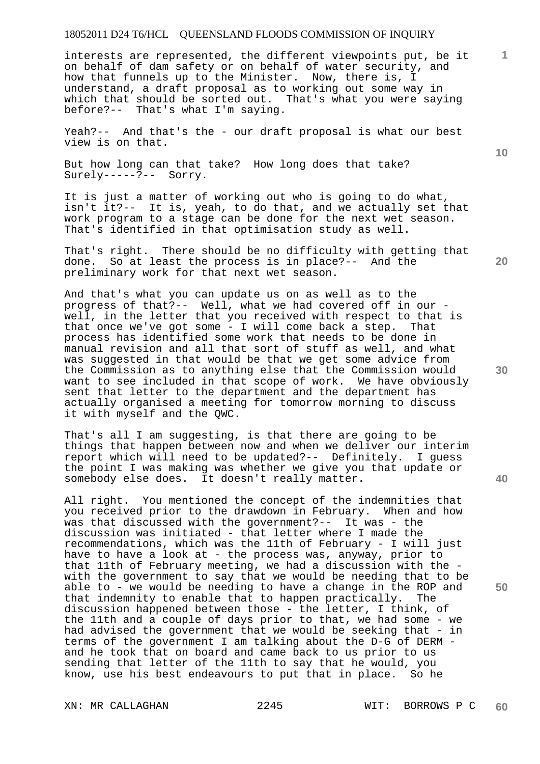interests are represented, the different viewpoints put, be it on behalf of dam safety or on behalf of water security, and how that funnels up to the Minister. Now, there is, I understand, a draft proposal as to working out some way in which that should be sorted out. That's what you were saying before?-- That's what I'm saying.

Yeah?-- And that's the - our draft proposal is what our best view is on that.

But how long can that take? How long does that take? Surely-----?-- Sorry.

It is just a matter of working out who is going to do what, isn't it?-- It is, yeah, to do that, and we actually set that work program to a stage can be done for the next wet season. That's identified in that optimisation study as well.

That's right. There should be no difficulty with getting that done. So at least the process is in place?-- And the preliminary work for that next wet season.

And that's what you can update us on as well as to the progress of that?-- Well, what we had covered off in our well, in the letter that you received with respect to that is that once we've got some - I will come back a step. That process has identified some work that needs to be done in manual revision and all that sort of stuff as well, and what was suggested in that would be that we get some advice from the Commission as to anything else that the Commission would want to see included in that scope of work. We have obviously sent that letter to the department and the department has actually organised a meeting for tomorrow morning to discuss it with myself and the QWC.

That's all I am suggesting, is that there are going to be things that happen between now and when we deliver our interim report which will need to be updated?-- Definitely. I guess the point I was making was whether we give you that update or somebody else does. It doesn't really matter.

All right. You mentioned the concept of the indemnities that you received prior to the drawdown in February. When and how was that discussed with the government?-- It was - the discussion was initiated - that letter where I made the recommendations, which was the 11th of February - I will just have to have a look at - the process was, anyway, prior to that 11th of February meeting, we had a discussion with the with the government to say that we would be needing that to be able to - we would be needing to have a change in the ROP and that indemnity to enable that to happen practically. The discussion happened between those - the letter, I think, of the 11th and a couple of days prior to that, we had some - we had advised the government that we would be seeking that - in terms of the government I am talking about the D-G of DERM and he took that on board and came back to us prior to us sending that letter of the 11th to say that he would, you know, use his best endeavours to put that in place. So he

**10** 

**1**

**40**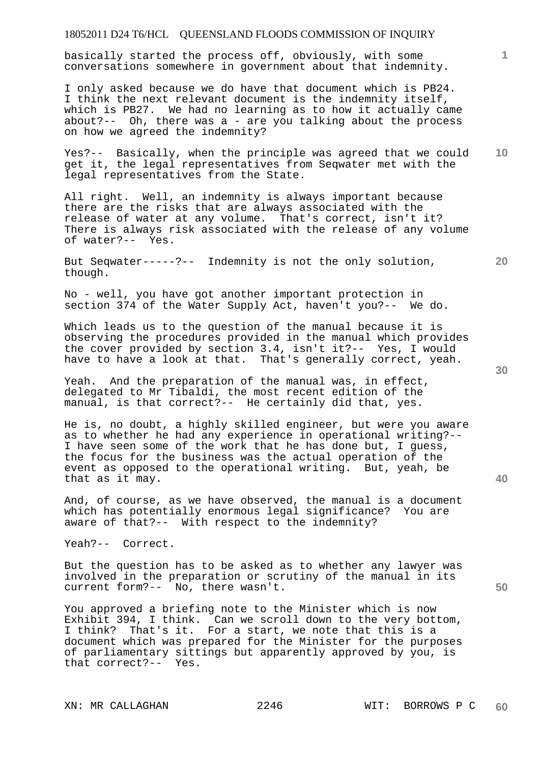basically started the process off, obviously, with some conversations somewhere in government about that indemnity.

I only asked because we do have that document which is PB24. I think the next relevant document is the indemnity itself, which is PB27. We had no learning as to how it actually came about?-- Oh, there was  $a - are you talking about the process$ on how we agreed the indemnity?

**10**  Yes?-- Basically, when the principle was agreed that we could get it, the legal representatives from Seqwater met with the legal representatives from the State.

All right. Well, an indemnity is always important because there are the risks that are always associated with the release of water at any volume. That's correct, isn't it? There is always risk associated with the release of any volume of water?-- Yes.

But Seqwater-----?-- Indemnity is not the only solution, though.

No - well, you have got another important protection in section 374 of the Water Supply Act, haven't you?-- We do.

Which leads us to the question of the manual because it is observing the procedures provided in the manual which provides the cover provided by section 3.4, isn't it?-- Yes, I would have to have a look at that. That's generally correct, yeah.

Yeah. And the preparation of the manual was, in effect, delegated to Mr Tibaldi, the most recent edition of the manual, is that correct?-- He certainly did that, yes.

He is, no doubt, a highly skilled engineer, but were you aware as to whether he had any experience in operational writing?-- I have seen some of the work that he has done but, I guess, the focus for the business was the actual operation of the event as opposed to the operational writing. But, yeah, be that as it may.

And, of course, as we have observed, the manual is a document which has potentially enormous legal significance? You are aware of that?-- With respect to the indemnity?

Yeah?-- Correct.

But the question has to be asked as to whether any lawyer was involved in the preparation or scrutiny of the manual in its current form?-- No, there wasn't.

You approved a briefing note to the Minister which is now Exhibit 394, I think. Can we scroll down to the very bottom, I think? That's it. For a start, we note that this is a document which was prepared for the Minister for the purposes of parliamentary sittings but apparently approved by you, is that correct?-- Yes.

**30** 

**20** 

**50**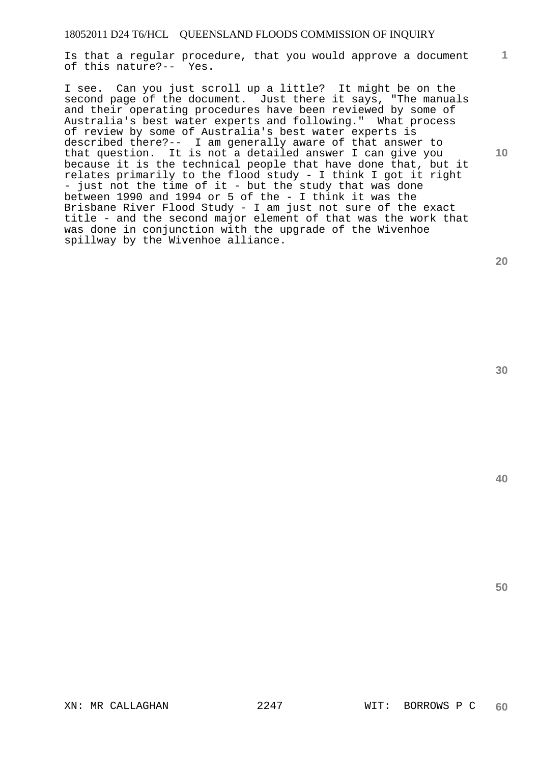Is that a regular procedure, that you would approve a document of this nature?-- Yes.

I see. Can you just scroll up a little? It might be on the second page of the document. Just there it says, "The manuals and their operating procedures have been reviewed by some of Australia's best water experts and following." What process of review by some of Australia's best water experts is described there?-- I am generally aware of that answer to that question. It is not a detailed answer I can give you because it is the technical people that have done that, but it relates primarily to the flood study - I think I got it right - just not the time of it - but the study that was done between 1990 and 1994 or 5 of the - I think it was the Brisbane River Flood Study - I am just not sure of the exact title - and the second major element of that was the work that was done in conjunction with the upgrade of the Wivenhoe spillway by the Wivenhoe alliance.

**1**

**10** 

**30**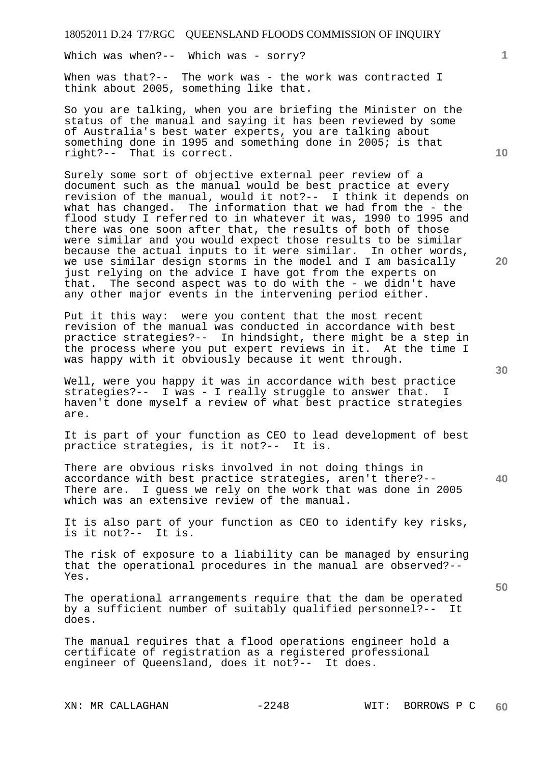Which was when?-- Which was - sorry?

When was that?-- The work was - the work was contracted I think about 2005, something like that.

So you are talking, when you are briefing the Minister on the status of the manual and saying it has been reviewed by some of Australia's best water experts, you are talking about something done in 1995 and something done in 2005; is that right?-- That is correct.

Surely some sort of objective external peer review of a document such as the manual would be best practice at every revision of the manual, would it not?-- I think it depends on what has changed. The information that we had from the - the flood study I referred to in whatever it was, 1990 to 1995 and there was one soon after that, the results of both of those were similar and you would expect those results to be similar because the actual inputs to it were similar. In other words, we use similar design storms in the model and I am basically just relying on the advice I have got from the experts on that. The second aspect was to do with the - we didn't have any other major events in the intervening period either.

Put it this way: were you content that the most recent revision of the manual was conducted in accordance with best practice strategies?-- In hindsight, there might be a step in the process where you put expert reviews in it. At the time I was happy with it obviously because it went through.

Well, were you happy it was in accordance with best practice strategies?-- I was - I really struggle to answer that. I haven't done myself a review of what best practice strategies are.

It is part of your function as CEO to lead development of best practice strategies, is it not?-- It is.

There are obvious risks involved in not doing things in accordance with best practice strategies, aren't there?-- There are. I guess we rely on the work that was done in 2005 which was an extensive review of the manual.

It is also part of your function as CEO to identify key risks, is it not?-- It is.

The risk of exposure to a liability can be managed by ensuring that the operational procedures in the manual are observed?-- Yes.

The operational arrangements require that the dam be operated by a sufficient number of suitably qualified personnel?-- It does.

The manual requires that a flood operations engineer hold a certificate of registration as a registered professional engineer of Queensland, does it not?-- It does.

**20** 

**10** 

**1**

**30**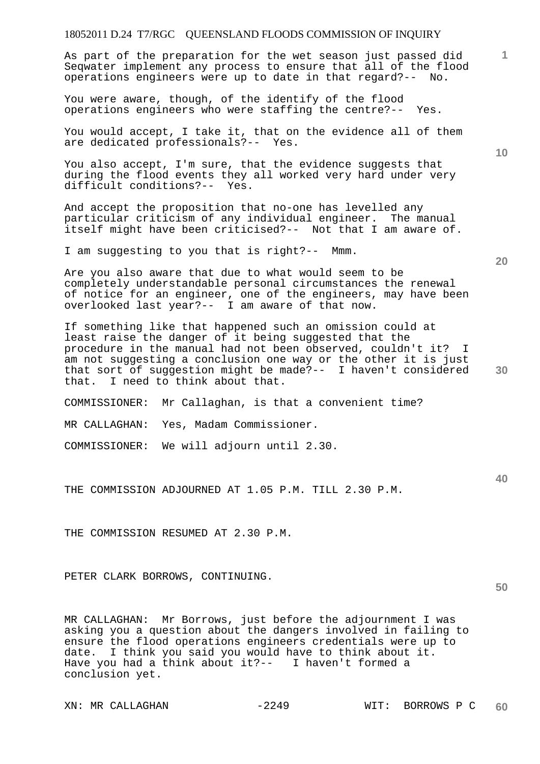As part of the preparation for the wet season just passed did Seqwater implement any process to ensure that all of the flood operations engineers were up to date in that regard?-- No.

You were aware, though, of the identify of the flood operations engineers who were staffing the centre?-- Yes.

You would accept, I take it, that on the evidence all of them are dedicated professionals?-- Yes.

You also accept, I'm sure, that the evidence suggests that during the flood events they all worked very hard under very difficult conditions?-- Yes.

And accept the proposition that no-one has levelled any particular criticism of any individual engineer. The manual itself might have been criticised?-- Not that I am aware of.

I am suggesting to you that is right?-- Mmm.

Are you also aware that due to what would seem to be completely understandable personal circumstances the renewal of notice for an engineer, one of the engineers, may have been overlooked last year?-- I am aware of that now.

If something like that happened such an omission could at least raise the danger of it being suggested that the procedure in the manual had not been observed, couldn't it? I am not suggesting a conclusion one way or the other it is just that sort of suggestion might be made?-- I haven't considered that. I need to think about that.

COMMISSIONER: Mr Callaghan, is that a convenient time?

MR CALLAGHAN: Yes, Madam Commissioner.

COMMISSIONER: We will adjourn until 2.30.

THE COMMISSION ADJOURNED AT 1.05 P.M. TILL 2.30 P.M.

THE COMMISSION RESUMED AT 2.30 P.M.

PETER CLARK BORROWS, CONTINUING.

MR CALLAGHAN: Mr Borrows, just before the adjournment I was asking you a question about the dangers involved in failing to ensure the flood operations engineers credentials were up to date. I think you said you would have to think about it. Have you had a think about it?-- I haven't formed a conclusion yet.

**10** 

**1**

**20** 

**40**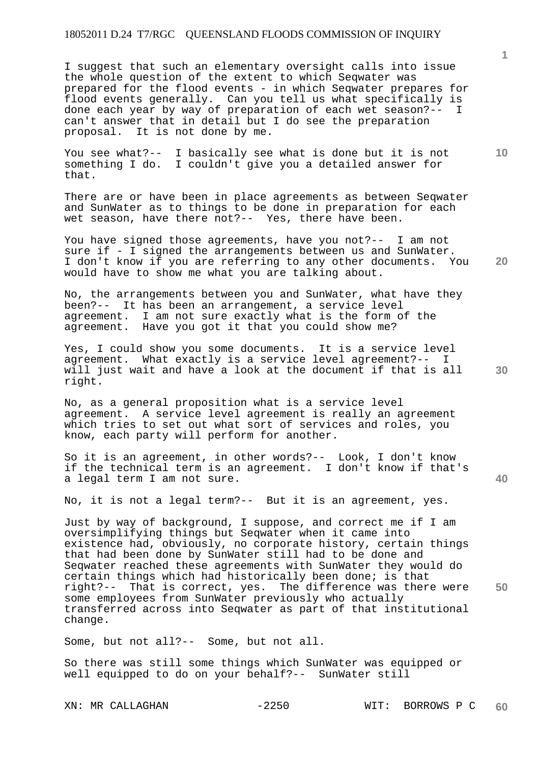I suggest that such an elementary oversight calls into issue the whole question of the extent to which Seqwater was prepared for the flood events - in which Seqwater prepares for flood events generally. Can you tell us what specifically is done each year by way of preparation of each wet season?-- I can't answer that in detail but I do see the preparation proposal. It is not done by me.

You see what?-- I basically see what is done but it is not something I do. I couldn't give you a detailed answer for that.

There are or have been in place agreements as between Seqwater and SunWater as to things to be done in preparation for each wet season, have there not?-- Yes, there have been.

You have signed those agreements, have you not?-- I am not sure if - I signed the arrangements between us and SunWater. I don't know if you are referring to any other documents. You would have to show me what you are talking about.

No, the arrangements between you and SunWater, what have they been?-- It has been an arrangement, a service level agreement. I am not sure exactly what is the form of the agreement. Have you got it that you could show me?

Yes, I could show you some documents. It is a service level agreement. What exactly is a service level agreement?-- I will just wait and have a look at the document if that is all right.

No, as a general proposition what is a service level agreement. A service level agreement is really an agreement which tries to set out what sort of services and roles, you know, each party will perform for another.

So it is an agreement, in other words?-- Look, I don't know if the technical term is an agreement. I don't know if that's a legal term I am not sure.

No, it is not a legal term?-- But it is an agreement, yes.

**50**  Just by way of background, I suppose, and correct me if I am oversimplifying things but Seqwater when it came into existence had, obviously, no corporate history, certain things that had been done by SunWater still had to be done and Seqwater reached these agreements with SunWater they would do certain things which had historically been done; is that right?-- That is correct, yes. The difference was there were some employees from SunWater previously who actually transferred across into Seqwater as part of that institutional change.

Some, but not all?-- Some, but not all.

So there was still some things which SunWater was equipped or well equipped to do on your behalf?-- SunWater still

**1**

**20** 

**10**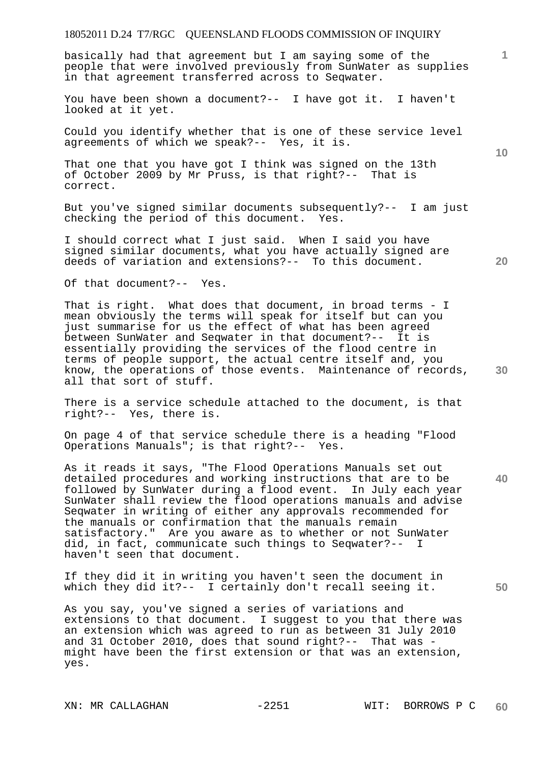basically had that agreement but I am saying some of the people that were involved previously from SunWater as supplies in that agreement transferred across to Seqwater.

You have been shown a document?-- I have got it. I haven't looked at it yet.

Could you identify whether that is one of these service level agreements of which we speak?-- Yes, it is.

That one that you have got I think was signed on the 13th of October 2009 by Mr Pruss, is that right?-- That is correct.

But you've signed similar documents subsequently?-- I am just checking the period of this document. Yes.

I should correct what I just said. When I said you have signed similar documents, what you have actually signed are deeds of variation and extensions?-- To this document.

Of that document?-- Yes.

**30**  That is right. What does that document, in broad terms - I mean obviously the terms will speak for itself but can you just summarise for us the effect of what has been agreed between SunWater and Seqwater in that document?-- It is essentially providing the services of the flood centre in terms of people support, the actual centre itself and, you know, the operations of those events. Maintenance of records, all that sort of stuff.

There is a service schedule attached to the document, is that right?-- Yes, there is.

On page 4 of that service schedule there is a heading "Flood Operations Manuals"; is that right?-- Yes.

As it reads it says, "The Flood Operations Manuals set out detailed procedures and working instructions that are to be followed by SunWater during a flood event. In July each year SunWater shall review the flood operations manuals and advise Seqwater in writing of either any approvals recommended for the manuals or confirmation that the manuals remain satisfactory." Are you aware as to whether or not SunWater did, in fact, communicate such things to Seqwater?-- I haven't seen that document.

If they did it in writing you haven't seen the document in which they did it?-- I certainly don't recall seeing it.

As you say, you've signed a series of variations and extensions to that document. I suggest to you that there was an extension which was agreed to run as between 31 July 2010 and 31 October 2010, does that sound right?-- That was might have been the first extension or that was an extension, yes.

**10** 

**1**

**20**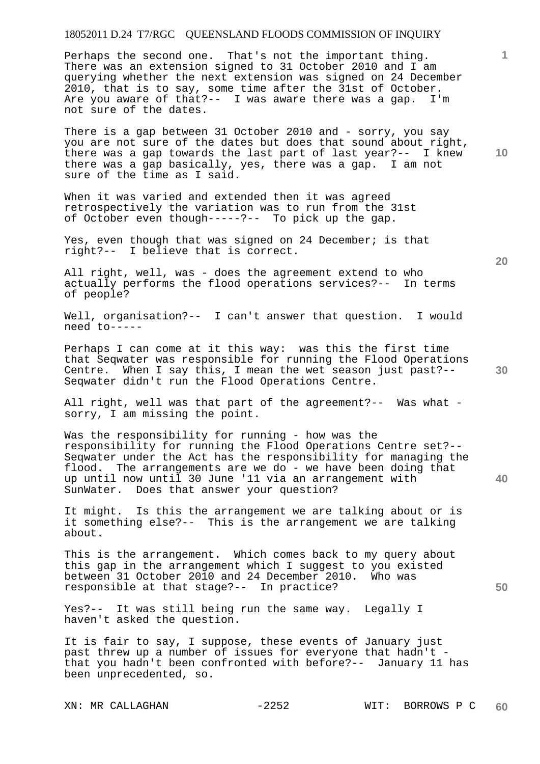Perhaps the second one. That's not the important thing. There was an extension signed to 31 October 2010 and I am querying whether the next extension was signed on 24 December 2010, that is to say, some time after the 31st of October. Are you aware of that?-- I was aware there was a gap. I'm not sure of the dates.

There is a gap between 31 October 2010 and - sorry, you say you are not sure of the dates but does that sound about right, there was a gap towards the last part of last year?-- I knew there was a gap basically, yes, there was a gap. I am not sure of the time as I said.

When it was varied and extended then it was agreed retrospectively the variation was to run from the 31st of October even though-----?-- To pick up the gap.

Yes, even though that was signed on 24 December; is that right?-- I believe that is correct.

All right, well, was - does the agreement extend to who actually performs the flood operations services?-- In terms of people?

Well, organisation?-- I can't answer that question. I would need to-----

Perhaps I can come at it this way: was this the first time that Seqwater was responsible for running the Flood Operations Centre. When I say this, I mean the wet season just past?-- Seqwater didn't run the Flood Operations Centre.

All right, well was that part of the agreement?-- Was what sorry, I am missing the point.

Was the responsibility for running - how was the responsibility for running the Flood Operations Centre set?-- Seqwater under the Act has the responsibility for managing the flood. The arrangements are we do - we have been doing that up until now until 30 June '11 via an arrangement with SunWater. Does that answer your question?

It might. Is this the arrangement we are talking about or is it something else?-- This is the arrangement we are talking about.

This is the arrangement. Which comes back to my query about this gap in the arrangement which I suggest to you existed between 31 October 2010 and 24 December 2010. Who was responsible at that stage?-- In practice?

Yes?-- It was still being run the same way. Legally I haven't asked the question.

It is fair to say, I suppose, these events of January just past threw up a number of issues for everyone that hadn't that you hadn't been confronted with before?-- January 11 has been unprecedented, so.

**20** 

**10** 

**1**

**30** 

**40**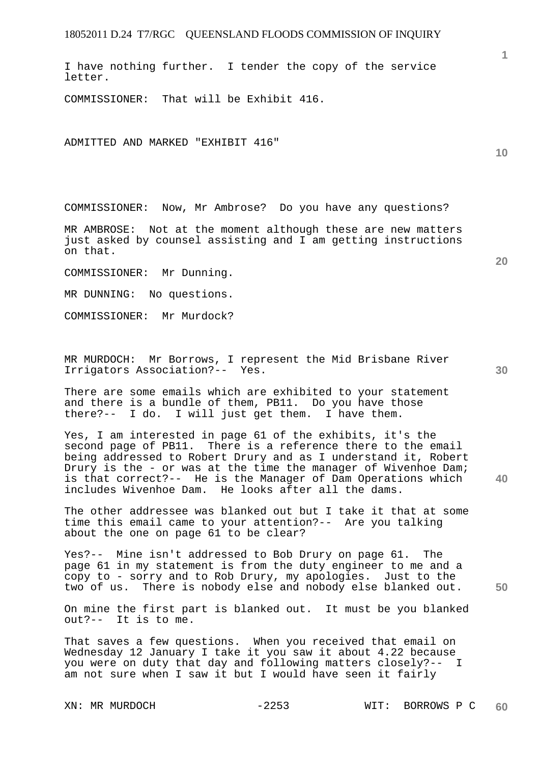I have nothing further. I tender the copy of the service letter.

COMMISSIONER: That will be Exhibit 416.

ADMITTED AND MARKED "EXHIBIT 416"

COMMISSIONER: Now, Mr Ambrose? Do you have any questions?

MR AMBROSE: Not at the moment although these are new matters just asked by counsel assisting and I am getting instructions on that.

COMMISSIONER: Mr Dunning.

MR DUNNING: No questions.

COMMISSIONER: Mr Murdock?

MR MURDOCH: Mr Borrows, I represent the Mid Brisbane River Irrigators Association?-- Yes.

There are some emails which are exhibited to your statement and there is a bundle of them, PB11. Do you have those there?-- I do. I will just get them. I have them.

Yes, I am interested in page 61 of the exhibits, it's the second page of PB11. There is a reference there to the email being addressed to Robert Drury and as I understand it, Robert Drury is the - or was at the time the manager of Wivenhoe Dam; is that correct?-- He is the Manager of Dam Operations which includes Wivenhoe Dam. He looks after all the dams.

The other addressee was blanked out but I take it that at some time this email came to your attention?-- Are you talking about the one on page 61 to be clear?

Yes?-- Mine isn't addressed to Bob Drury on page 61. The page 61 in my statement is from the duty engineer to me and a copy to - sorry and to Rob Drury, my apologies. Just to the two of us. There is nobody else and nobody else blanked out.

On mine the first part is blanked out. It must be you blanked out?-- It is to me.

That saves a few questions. When you received that email on Wednesday 12 January I take it you saw it about 4.22 because you were on duty that day and following matters closely?-- I am not sure when I saw it but I would have seen it fairly

**20** 

**10** 

**1**

**30** 

**50**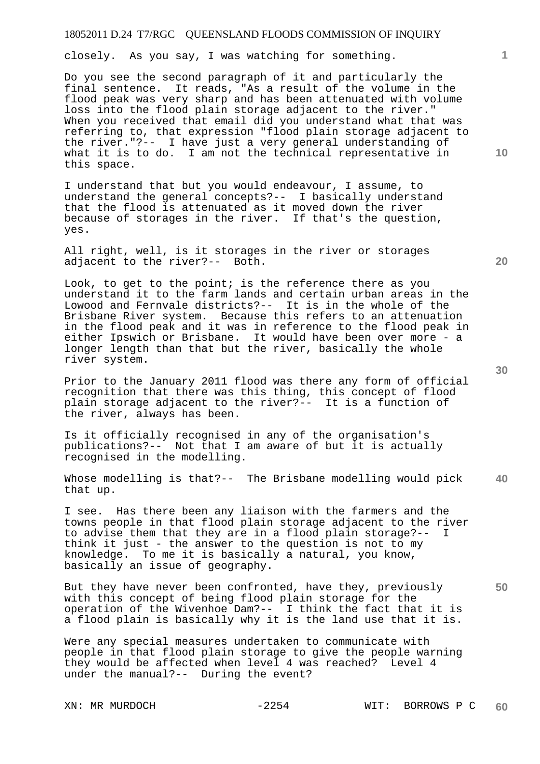closely. As you say, I was watching for something.

Do you see the second paragraph of it and particularly the final sentence. It reads, "As a result of the volume in the flood peak was very sharp and has been attenuated with volume loss into the flood plain storage adjacent to the river." When you received that email did you understand what that was referring to, that expression "flood plain storage adjacent to the river."?-- I have just a very general understanding of what it is to do. I am not the technical representative in this space.

I understand that but you would endeavour, I assume, to understand the general concepts?-- I basically understand that the flood is attenuated as it moved down the river because of storages in the river. If that's the question, yes.

All right, well, is it storages in the river or storages adjacent to the river?-- Both.

Look, to get to the point; is the reference there as you understand it to the farm lands and certain urban areas in the Lowood and Fernvale districts?-- It is in the whole of the Brisbane River system. Because this refers to an attenuation in the flood peak and it was in reference to the flood peak in either Ipswich or Brisbane. It would have been over more - a longer length than that but the river, basically the whole river system.

Prior to the January 2011 flood was there any form of official recognition that there was this thing, this concept of flood plain storage adjacent to the river?-- It is a function of the river, always has been.

Is it officially recognised in any of the organisation's publications?-- Not that I am aware of but it is actually recognised in the modelling.

**40**  Whose modelling is that?-- The Brisbane modelling would pick that up.

I see. Has there been any liaison with the farmers and the towns people in that flood plain storage adjacent to the river to advise them that they are in a flood plain storage?-- I think it just - the answer to the question is not to my knowledge. To me it is basically a natural, you know, basically an issue of geography.

But they have never been confronted, have they, previously with this concept of being flood plain storage for the operation of the Wivenhoe Dam?-- I think the fact that it is a flood plain is basically why it is the land use that it is.

Were any special measures undertaken to communicate with people in that flood plain storage to give the people warning they would be affected when level 4 was reached? Level 4 under the manual?-- During the event?

**20** 

**30** 

**50** 

**10**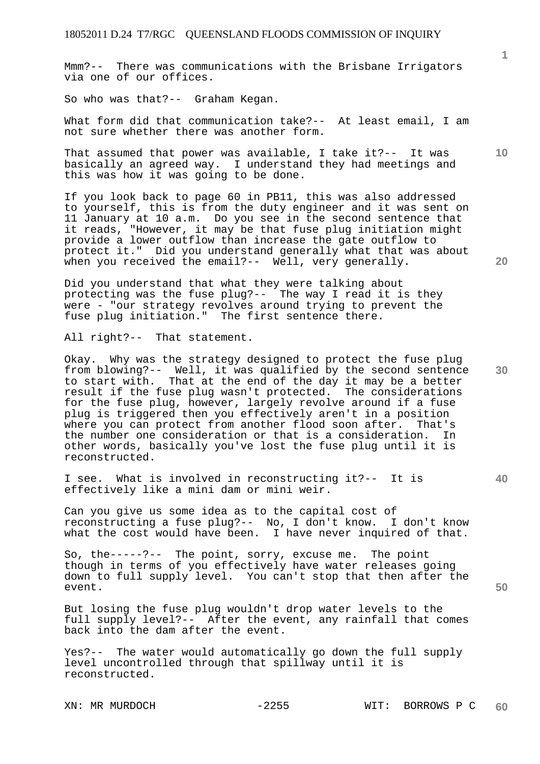Mmm?-- There was communications with the Brisbane Irrigators via one of our offices.

So who was that?-- Graham Kegan.

What form did that communication take?-- At least email, I am not sure whether there was another form.

That assumed that power was available, I take it?-- It was basically an agreed way. I understand they had meetings and this was how it was going to be done.

If you look back to page 60 in PB11, this was also addressed to yourself, this is from the duty engineer and it was sent on 11 January at 10 a.m. Do you see in the second sentence that it reads, "However, it may be that fuse plug initiation might provide a lower outflow than increase the gate outflow to protect it." Did you understand generally what that was about when you received the email?-- Well, very generally.

Did you understand that what they were talking about protecting was the fuse plug?-- The way I read it is they were - "our strategy revolves around trying to prevent the fuse plug initiation." The first sentence there.

All right?-- That statement.

**30**  Okay. Why was the strategy designed to protect the fuse plug from blowing?-- Well, it was qualified by the second sentence to start with. That at the end of the day it may be a better result if the fuse plug wasn't protected. The considerations for the fuse plug, however, largely revolve around if a fuse plug is triggered then you effectively aren't in a position where you can protect from another flood soon after. That's the number one consideration or that is a consideration. In other words, basically you've lost the fuse plug until it is reconstructed.

I see. What is involved in reconstructing it?-- It is effectively like a mini dam or mini weir.

Can you give us some idea as to the capital cost of reconstructing a fuse plug?-- No, I don't know. I don't know what the cost would have been. I have never inquired of that.

So, the-----?-- The point, sorry, excuse me. The point though in terms of you effectively have water releases going down to full supply level. You can't stop that then after the event.

But losing the fuse plug wouldn't drop water levels to the full supply level?-- After the event, any rainfall that comes back into the dam after the event.

Yes?-- The water would automatically go down the full supply level uncontrolled through that spillway until it is reconstructed.

**1**

**10** 

**20** 

**50**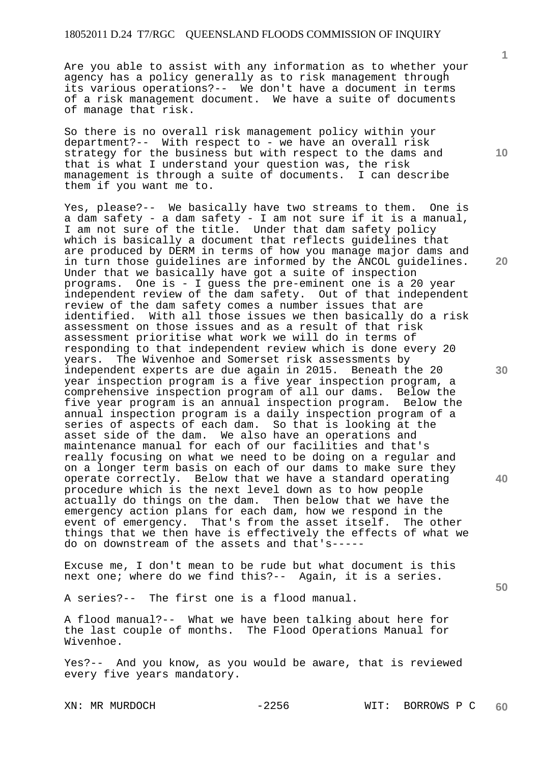Are you able to assist with any information as to whether your agency has a policy generally as to risk management through its various operations?-- We don't have a document in terms of a risk management document. We have a suite of documents of manage that risk.

So there is no overall risk management policy within your department?-- With respect to - we have an overall risk strategy for the business but with respect to the dams and that is what I understand your question was, the risk management is through a suite of documents. I can describe them if you want me to.

Yes, please?-- We basically have two streams to them. One is a dam safety - a dam safety - I am not sure if it is a manual, I am not sure of the title. Under that dam safety policy which is basically a document that reflects guidelines that are produced by DERM in terms of how you manage major dams and in turn those guidelines are informed by the ANCOL guidelines. Under that we basically have got a suite of inspection programs. One is - I guess the pre-eminent one is a 20 year independent review of the dam safety. Out of that independent review of the dam safety comes a number issues that are identified. With all those issues we then basically do With all those issues we then basically do a risk assessment on those issues and as a result of that risk assessment prioritise what work we will do in terms of responding to that independent review which is done every 20 years. The Wivenhoe and Somerset risk assessments by independent experts are due again in 2015. Beneath the 20 year inspection program is a five year inspection program, a comprehensive inspection program of all our dams. Below the five year program is an annual inspection program. Below the annual inspection program is a daily inspection program of a series of aspects of each dam. So that is looking at the asset side of the dam. We also have an operations and maintenance manual for each of our facilities and that's really focusing on what we need to be doing on a regular and on a longer term basis on each of our dams to make sure they operate correctly. Below that we have a standard operating procedure which is the next level down as to how people actually do things on the dam. Then below that we have the emergency action plans for each dam, how we respond in the event of emergency. That's from the asset itself. The other things that we then have is effectively the effects of what we do on downstream of the assets and that's-----

Excuse me, I don't mean to be rude but what document is this next one; where do we find this?-- Again, it is a series.

A series?-- The first one is a flood manual.

A flood manual?-- What we have been talking about here for the last couple of months. The Flood Operations Manual for Wivenhoe.

Yes?-- And you know, as you would be aware, that is reviewed every five years mandatory.

**1**

**10** 

**20** 

**30** 

**40**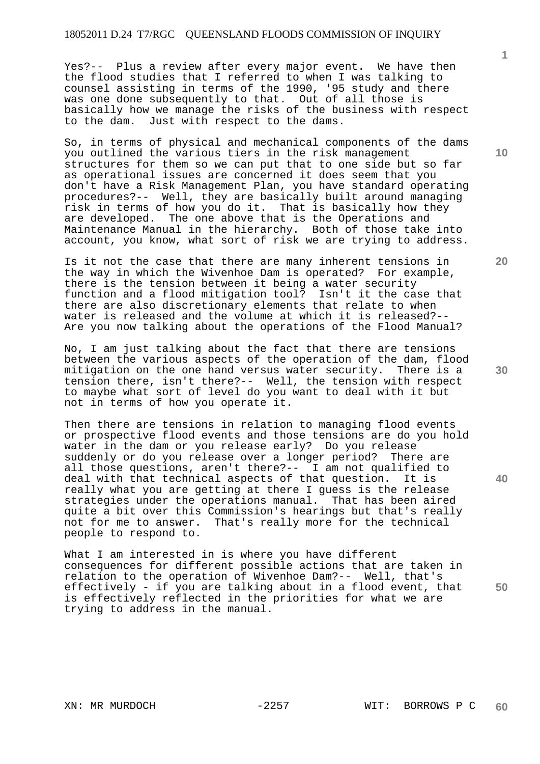Yes?-- Plus a review after every major event. We have then the flood studies that I referred to when I was talking to counsel assisting in terms of the 1990, '95 study and there was one done subsequently to that. Out of all those is basically how we manage the risks of the business with respect to the dam. Just with respect to the dams.

So, in terms of physical and mechanical components of the dams you outlined the various tiers in the risk management structures for them so we can put that to one side but so far as operational issues are concerned it does seem that you don't have a Risk Management Plan, you have standard operating procedures?-- Well, they are basically built around managing risk in terms of how you do it. That is basically how they are developed. The one above that is the Operations and Maintenance Manual in the hierarchy. Both of those take into account, you know, what sort of risk we are trying to address.

Is it not the case that there are many inherent tensions in the way in which the Wivenhoe Dam is operated? For example, there is the tension between it being a water security function and a flood mitigation tool? Isn't it the case that there are also discretionary elements that relate to when water is released and the volume at which it is released?-- Are you now talking about the operations of the Flood Manual?

No, I am just talking about the fact that there are tensions between the various aspects of the operation of the dam, flood mitigation on the one hand versus water security. There is a tension there, isn't there?-- Well, the tension with respect to maybe what sort of level do you want to deal with it but not in terms of how you operate it.

Then there are tensions in relation to managing flood events or prospective flood events and those tensions are do you hold water in the dam or you release early? Do you release suddenly or do you release over a longer period? There are all those questions, aren't there?-- I am not qualified to deal with that technical aspects of that question. It is really what you are getting at there I guess is the release strategies under the operations manual. That has been aired quite a bit over this Commission's hearings but that's really not for me to answer. That's really more for the technical people to respond to.

What I am interested in is where you have different consequences for different possible actions that are taken in relation to the operation of Wivenhoe Dam?-- Well, that's effectively - if you are talking about in a flood event, that is effectively reflected in the priorities for what we are trying to address in the manual.

**20** 

**1**

**10** 

**40**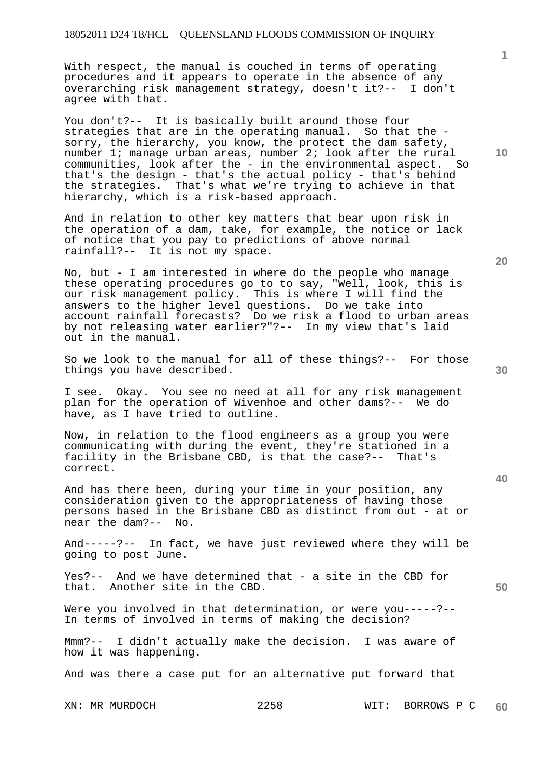With respect, the manual is couched in terms of operating procedures and it appears to operate in the absence of any overarching risk management strategy, doesn't it?-- I don't agree with that.

You don't?-- It is basically built around those four strategies that are in the operating manual. So that the sorry, the hierarchy, you know, the protect the dam safety, number 1; manage urban areas, number 2; look after the rural communities, look after the - in the environmental aspect. So that's the design - that's the actual policy - that's behind the strategies. That's what we're trying to achieve in that hierarchy, which is a risk-based approach.

And in relation to other key matters that bear upon risk in the operation of a dam, take, for example, the notice or lack of notice that you pay to predictions of above normal rainfall?-- It is not my space.

No, but - I am interested in where do the people who manage these operating procedures go to to say, "Well, look, this is our risk management policy. This is where I will find the answers to the higher level questions. Do we take into account rainfall forecasts? Do we risk a flood to urban areas by not releasing water earlier?"?-- In my view that's laid out in the manual.

So we look to the manual for all of these things?-- For those things you have described.

I see. Okay. You see no need at all for any risk management plan for the operation of Wivenhoe and other dams?-- We do have, as I have tried to outline.

Now, in relation to the flood engineers as a group you were communicating with during the event, they're stationed in a facility in the Brisbane CBD, is that the case?-- That's correct.

And has there been, during your time in your position, any consideration given to the appropriateness of having those persons based in the Brisbane CBD as distinct from out - at or near the dam?-- No.

And-----?-- In fact, we have just reviewed where they will be going to post June.

Yes?-- And we have determined that - a site in the CBD for that. Another site in the CBD.

Were you involved in that determination, or were you-----?-- In terms of involved in terms of making the decision?

Mmm?-- I didn't actually make the decision. I was aware of how it was happening.

And was there a case put for an alternative put forward that

XN: MR MURDOCH 2258 WIT: BORROWS P C **60** 

**20** 

**50** 

**40** 

**1**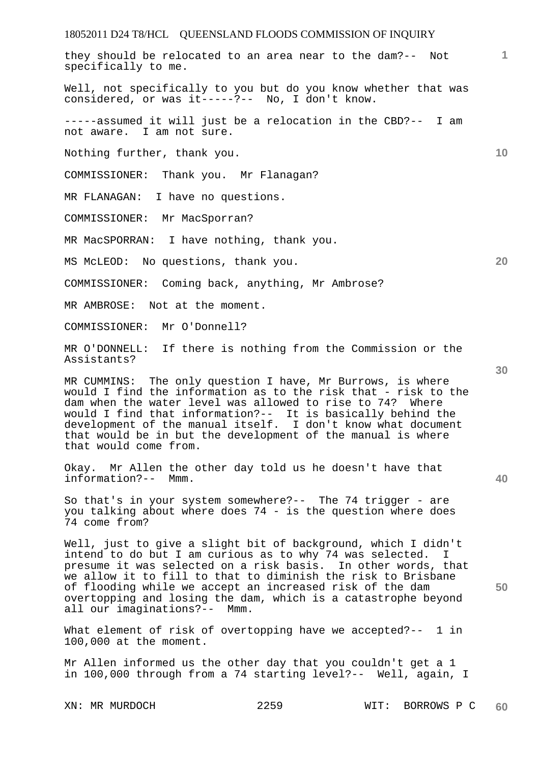**1** they should be relocated to an area near to the dam?-- Not specifically to me. Well, not specifically to you but do you know whether that was considered, or was it-----?-- No, I don't know. -----assumed it will just be a relocation in the CBD?-- I am not aware. I am not sure.

Nothing further, thank you.

COMMISSIONER: Thank you. Mr Flanagan?

MR FLANAGAN: I have no questions.

COMMISSIONER: Mr MacSporran?

MR MacSPORRAN: I have nothing, thank you.

MS McLEOD: No questions, thank you.

COMMISSIONER: Coming back, anything, Mr Ambrose?

MR AMBROSE: Not at the moment.

COMMISSIONER: Mr O'Donnell?

MR O'DONNELL: If there is nothing from the Commission or the Assistants?

MR CUMMINS: The only question I have, Mr Burrows, is where would I find the information as to the risk that - risk to the<br>dam when the water level was allowed to rise to 74? Where dam when the water level was allowed to rise to 74? would I find that information?-- It is basically behind the development of the manual itself. I don't know what document that would be in but the development of the manual is where that would come from.

Okay. Mr Allen the other day told us he doesn't have that information?-- Mmm.

So that's in your system somewhere?-- The 74 trigger - are you talking about where does 74 - is the question where does 74 come from?

Well, just to give a slight bit of background, which I didn't intend to do but I am curious as to why 74 was selected. I presume it was selected on a risk basis. In other words, that we allow it to fill to that to diminish the risk to Brisbane of flooding while we accept an increased risk of the dam overtopping and losing the dam, which is a catastrophe beyond all our imaginations?-- Mmm.

What element of risk of overtopping have we accepted?-- 1 in 100,000 at the moment.

Mr Allen informed us the other day that you couldn't get a 1 in 100,000 through from a 74 starting level?-- Well, again, I

**30** 

**10** 

**20** 

**50**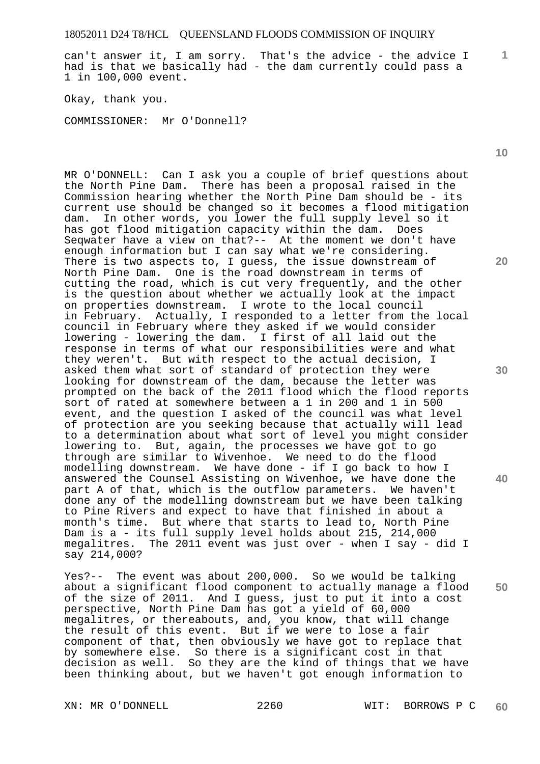can't answer it, I am sorry. That's the advice - the advice I had is that we basically had - the dam currently could pass a 1 in 100,000 event.

Okay, thank you.

COMMISSIONER: Mr O'Donnell?

MR O'DONNELL: Can I ask you a couple of brief questions about the North Pine Dam. There has been a proposal raised in the Commission hearing whether the North Pine Dam should be - its current use should be changed so it becomes a flood mitigation dam. In other words, you lower the full supply level so it has got flood mitigation capacity within the dam. Does Seqwater have a view on that?-- At the moment we don't have enough information but I can say what we're considering. There is two aspects to, I guess, the issue downstream of North Pine Dam. One is the road downstream in terms of cutting the road, which is cut very frequently, and the other is the question about whether we actually look at the impact on properties downstream. I wrote to the local council in February. Actually, I responded to a letter from the local council in February where they asked if we would consider lowering - lowering the dam. I first of all laid out the response in terms of what our responsibilities were and what they weren't. But with respect to the actual decision, I asked them what sort of standard of protection they were looking for downstream of the dam, because the letter was prompted on the back of the 2011 flood which the flood reports sort of rated at somewhere between a 1 in 200 and 1 in 500 event, and the question I asked of the council was what level of protection are you seeking because that actually will lead to a determination about what sort of level you might consider lowering to. But, again, the processes we have got to go through are similar to Wivenhoe. We need to do the flood modelling downstream. We have done - if I go back to how I answered the Counsel Assisting on Wivenhoe, we have done the part A of that, which is the outflow parameters. We haven't done any of the modelling downstream but we have been talking to Pine Rivers and expect to have that finished in about a month's time. But where that starts to lead to, North Pine Dam is a - its full supply level holds about 215, 214,000 megalitres. The 2011 event was just over - when I say - did I say 214,000?

Yes?-- The event was about 200,000. So we would be talking about a significant flood component to actually manage a flood of the size of 2011. And I guess, just to put it into a cost perspective, North Pine Dam has got a yield of 60,000 megalitres, or thereabouts, and, you know, that will change the result of this event. But if we were to lose a fair component of that, then obviously we have got to replace that by somewhere else. So there is a significant cost in that decision as well. So they are the kind of things that we have been thinking about, but we haven't got enough information to

**10** 

**1**

**20** 

**30** 

**40**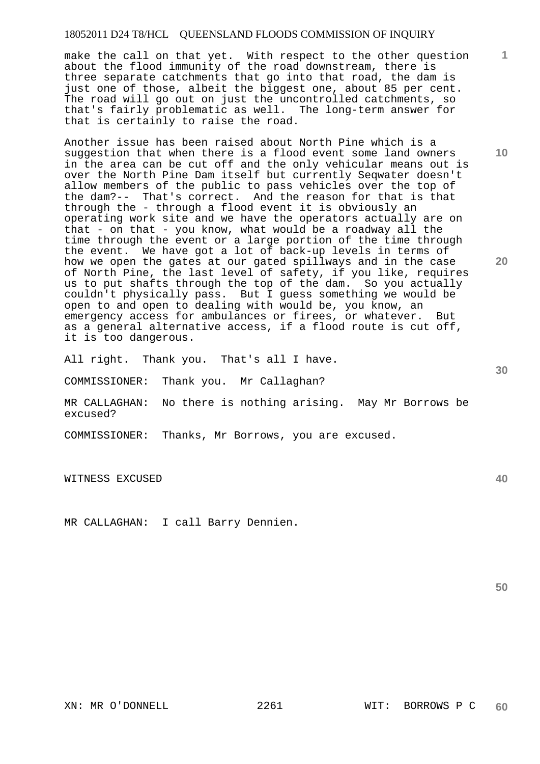make the call on that yet. With respect to the other question about the flood immunity of the road downstream, there is three separate catchments that go into that road, the dam is just one of those, albeit the biggest one, about 85 per cent. The road will go out on just the uncontrolled catchments, so that's fairly problematic as well. The long-term answer for that is certainly to raise the road.

Another issue has been raised about North Pine which is a suggestion that when there is a flood event some land owners in the area can be cut off and the only vehicular means out is over the North Pine Dam itself but currently Seqwater doesn't allow members of the public to pass vehicles over the top of the dam?-- That's correct. And the reason for that is that through the - through a flood event it is obviously an operating work site and we have the operators actually are on that - on that - you know, what would be a roadway all the time through the event or a large portion of the time through the event. We have got a lot of back-up levels in terms of how we open the gates at our gated spillways and in the case of North Pine, the last level of safety, if you like, requires us to put shafts through the top of the dam. So you actually couldn't physically pass. But I guess something we would be open to and open to dealing with would be, you know, an emergency access for ambulances or firees, or whatever. But as a general alternative access, if a flood route is cut off, it is too dangerous.

All right. Thank you. That's all I have.

COMMISSIONER: Thank you. Mr Callaghan?

MR CALLAGHAN: No there is nothing arising. May Mr Borrows be excused?

COMMISSIONER: Thanks, Mr Borrows, you are excused.

WITNESS EXCUSED

MR CALLAGHAN: I call Barry Dennien.

XN: MR O'DONNELL 2261 WIT: BORROWS P C **60** 

**50** 

**10** 

**20** 

**1**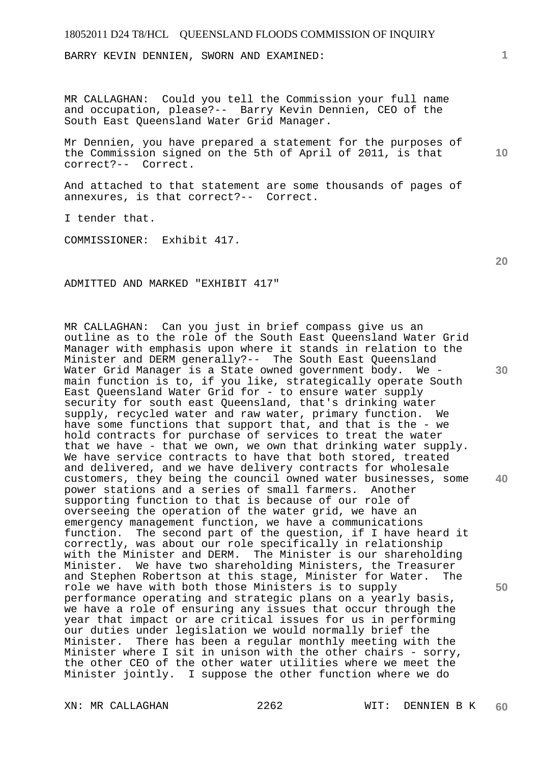BARRY KEVIN DENNIEN, SWORN AND EXAMINED:

MR CALLAGHAN: Could you tell the Commission your full name and occupation, please?-- Barry Kevin Dennien, CEO of the South East Queensland Water Grid Manager.

Mr Dennien, you have prepared a statement for the purposes of the Commission signed on the 5th of April of 2011, is that correct?-- Correct.

And attached to that statement are some thousands of pages of annexures, is that correct?-- Correct.

I tender that.

COMMISSIONER: Exhibit 417.

ADMITTED AND MARKED "EXHIBIT 417"

**30 40 50**  MR CALLAGHAN: Can you just in brief compass give us an outline as to the role of the South East Queensland Water Grid Manager with emphasis upon where it stands in relation to the Minister and DERM generally?-- The South East Queensland Water Grid Manager is a State owned government body. We main function is to, if you like, strategically operate South East Queensland Water Grid for - to ensure water supply security for south east Queensland, that's drinking water supply, recycled water and raw water, primary function. We have some functions that support that, and that is the - we hold contracts for purchase of services to treat the water that we have - that we own, we own that drinking water supply. We have service contracts to have that both stored, treated and delivered, and we have delivery contracts for wholesale customers, they being the council owned water businesses, some power stations and a series of small farmers. Another supporting function to that is because of our role of overseeing the operation of the water grid, we have an emergency management function, we have a communications function. The second part of the question, if I have heard it correctly, was about our role specifically in relationship with the Minister and DERM. The Minister is our shareholding Minister. We have two shareholding Ministers, the Treasurer and Stephen Robertson at this stage, Minister for Water. The role we have with both those Ministers is to supply performance operating and strategic plans on a yearly basis, we have a role of ensuring any issues that occur through the year that impact or are critical issues for us in performing our duties under legislation we would normally brief the Minister. There has been a regular monthly meeting with the Minister where I sit in unison with the other chairs - sorry, the other CEO of the other water utilities where we meet the Minister jointly. I suppose the other function where we do

**1**

**20**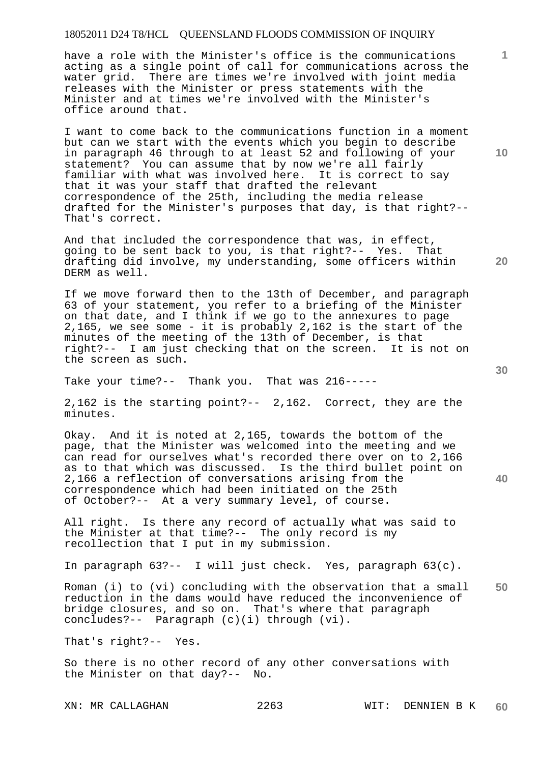have a role with the Minister's office is the communications acting as a single point of call for communications across the water grid. There are times we're involved with joint media releases with the Minister or press statements with the Minister and at times we're involved with the Minister's office around that.

I want to come back to the communications function in a moment but can we start with the events which you begin to describe in paragraph 46 through to at least 52 and following of your statement? You can assume that by now we're all fairly familiar with what was involved here. It is correct to say that it was your staff that drafted the relevant correspondence of the 25th, including the media release drafted for the Minister's purposes that day, is that right?-- That's correct.

And that included the correspondence that was, in effect, going to be sent back to you, is that right?-- Yes. That drafting did involve, my understanding, some officers within DERM as well.

If we move forward then to the 13th of December, and paragraph 63 of your statement, you refer to a briefing of the Minister on that date, and I think if we go to the annexures to page 2,165, we see some - it is probably 2,162 is the start of the minutes of the meeting of the 13th of December, is that right?-- I am just checking that on the screen. It is not on the screen as such.

Take your time?-- Thank you. That was 216-----

2,162 is the starting point?-- 2,162. Correct, they are the minutes.

Okay. And it is noted at 2,165, towards the bottom of the page, that the Minister was welcomed into the meeting and we can read for ourselves what's recorded there over on to 2,166 as to that which was discussed. Is the third bullet point on 2,166 a reflection of conversations arising from the correspondence which had been initiated on the 25th of October?-- At a very summary level, of course.

All right. Is there any record of actually what was said to the Minister at that time?-- The only record is my recollection that I put in my submission.

In paragraph 63?-- I will just check. Yes, paragraph 63(c).

**50**  Roman (i) to (vi) concluding with the observation that a small reduction in the dams would have reduced the inconvenience of bridge closures, and so on. That's where that paragraph concludes?-- Paragraph (c)(i) through (vi).

That's right?-- Yes.

So there is no other record of any other conversations with the Minister on that day?-- No.

XN: MR CALLAGHAN 2263 WIT: DENNIEN B K **60** 

**30** 

**40** 

**20**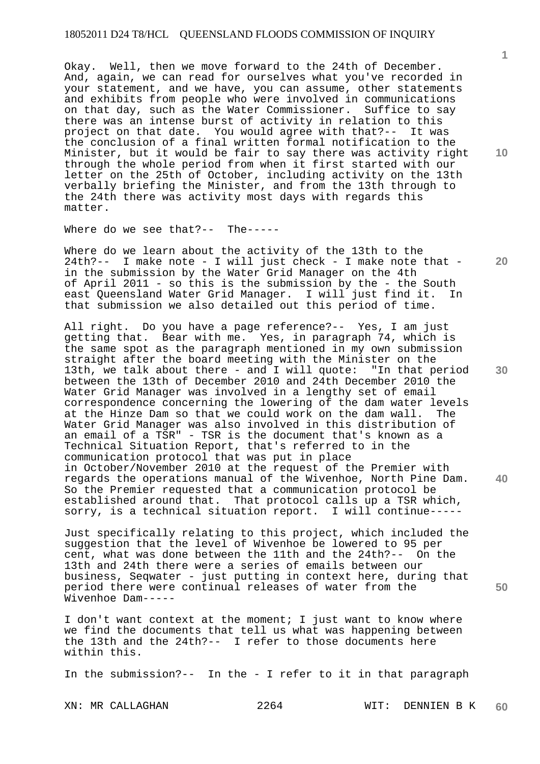Okay. Well, then we move forward to the 24th of December. And, again, we can read for ourselves what you've recorded in your statement, and we have, you can assume, other statements and exhibits from people who were involved in communications on that day, such as the Water Commissioner. Suffice to say there was an intense burst of activity in relation to this project on that date. You would agree with that?-- It was the conclusion of a final written formal notification to the Minister, but it would be fair to say there was activity right through the whole period from when it first started with our letter on the 25th of October, including activity on the 13th verbally briefing the Minister, and from the 13th through to the 24th there was activity most days with regards this matter.

Where do we see that?-- The-----

Where do we learn about the activity of the 13th to the 24th?-- I make note - I will just check - I make note that in the submission by the Water Grid Manager on the 4th of April 2011 - so this is the submission by the - the South east Queensland Water Grid Manager. I will just find it. In that submission we also detailed out this period of time.

All right. Do you have a page reference?-- Yes, I am just getting that. Bear with me. Yes, in paragraph 74, which is the same spot as the paragraph mentioned in my own submission straight after the board meeting with the Minister on the 13th, we talk about there - and I will quote: "In that period between the 13th of December 2010 and 24th December 2010 the Water Grid Manager was involved in a lengthy set of email correspondence concerning the lowering of the dam water levels at the Hinze Dam so that we could work on the dam wall. The Water Grid Manager was also involved in this distribution of an email of a TSR" - TSR is the document that's known as a Technical Situation Report, that's referred to in the communication protocol that was put in place in October/November 2010 at the request of the Premier with regards the operations manual of the Wivenhoe, North Pine Dam. So the Premier requested that a communication protocol be established around that. That protocol calls up a TSR which, sorry, is a technical situation report. I will continue-----

Just specifically relating to this project, which included the suggestion that the level of Wivenhoe be lowered to 95 per cent, what was done between the 11th and the 24th?-- On the 13th and 24th there were a series of emails between our business, Seqwater - just putting in context here, during that period there were continual releases of water from the Wivenhoe Dam-----

I don't want context at the moment; I just want to know where we find the documents that tell us what was happening between the 13th and the 24th?-- I refer to those documents here within this.

In the submission?-- In the - I refer to it in that paragraph

XN: MR CALLAGHAN 2264 WIT: DENNIEN B K **60** 

**10** 

**1**

**20** 

**30** 

**40**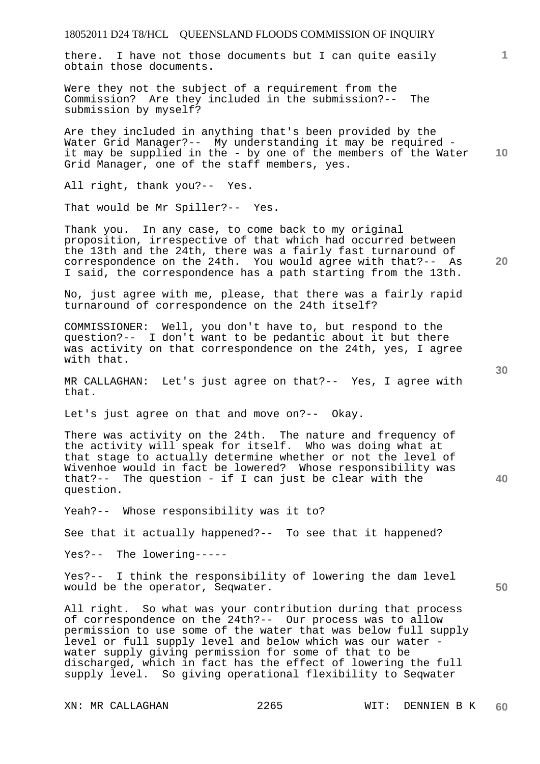there. I have not those documents but I can quite easily obtain those documents.

Were they not the subject of a requirement from the Commission? Are they included in the submission?-- The submission by myself?

**10**  Are they included in anything that's been provided by the Water Grid Manager?-- My understanding it may be required it may be supplied in the - by one of the members of the Water Grid Manager, one of the staff members, yes.

All right, thank you?-- Yes.

That would be Mr Spiller?-- Yes.

Thank you. In any case, to come back to my original proposition, irrespective of that which had occurred between the 13th and the 24th, there was a fairly fast turnaround of correspondence on the 24th. You would agree with that?-- As I said, the correspondence has a path starting from the 13th.

No, just agree with me, please, that there was a fairly rapid turnaround of correspondence on the 24th itself?

COMMISSIONER: Well, you don't have to, but respond to the question?-- I don't want to be pedantic about it but there was activity on that correspondence on the 24th, yes, I agree with that.

MR CALLAGHAN: Let's just agree on that?-- Yes, I agree with that.

Let's just agree on that and move on?-- Okay.

There was activity on the 24th. The nature and frequency of the activity will speak for itself. Who was doing what at that stage to actually determine whether or not the level of Wivenhoe would in fact be lowered? Whose responsibility was that?-- The question - if I can just be clear with the question.

Yeah?-- Whose responsibility was it to?

See that it actually happened?-- To see that it happened?

Yes?-- The lowering-----

Yes?-- I think the responsibility of lowering the dam level would be the operator, Seqwater.

All right. So what was your contribution during that process of correspondence on the 24th?-- Our process was to allow permission to use some of the water that was below full supply level or full supply level and below which was our water water supply giving permission for some of that to be discharged, which in fact has the effect of lowering the full supply level. So giving operational flexibility to Seqwater

**30** 

**20** 

**50** 

**40**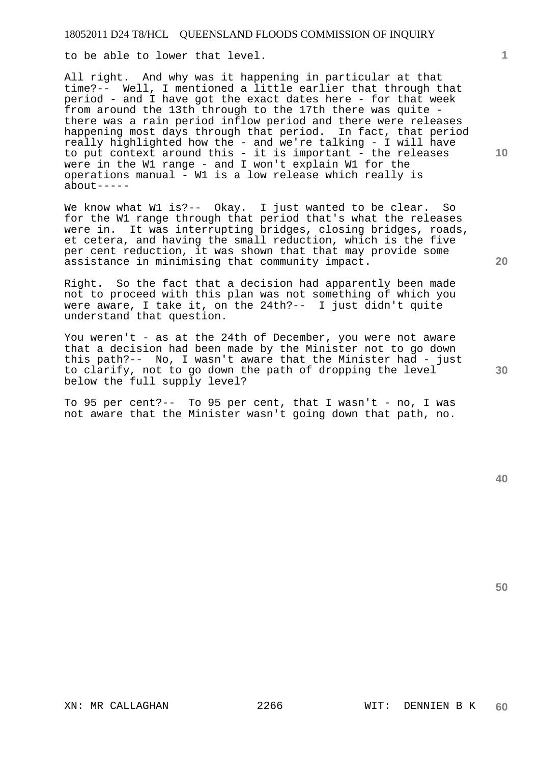to be able to lower that level.

All right. And why was it happening in particular at that time?-- Well, I mentioned a little earlier that through that period - and I have got the exact dates here - for that week from around the 13th through to the 17th there was quite there was a rain period inflow period and there were releases happening most days through that period. In fact, that period really highlighted how the - and we're talking - I will have to put context around this - it is important - the releases were in the W1 range - and I won't explain W1 for the operations manual - W1 is a low release which really is  $about---$ 

We know what W1 is?-- Okay. I just wanted to be clear. So for the W1 range through that period that's what the releases were in. It was interrupting bridges, closing bridges, roads, et cetera, and having the small reduction, which is the five per cent reduction, it was shown that that may provide some assistance in minimising that community impact.

Right. So the fact that a decision had apparently been made not to proceed with this plan was not something of which you were aware, I take it, on the 24th?-- I just didn't quite understand that question.

You weren't - as at the 24th of December, you were not aware that a decision had been made by the Minister not to go down this path?-- No, I wasn't aware that the Minister had - just to clarify, not to go down the path of dropping the level below the full supply level?

To 95 per cent?-- To 95 per cent, that I wasn't - no, I was not aware that the Minister wasn't going down that path, no.

**50** 

**1**

**20** 

**30**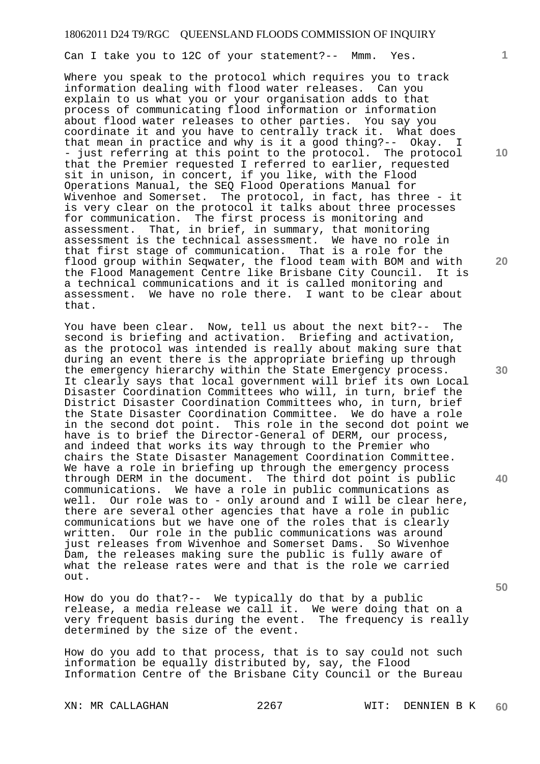Can I take you to 12C of your statement?-- Mmm. Yes.

Where you speak to the protocol which requires you to track information dealing with flood water releases. Can you explain to us what you or your organisation adds to that process of communicating flood information or information about flood water releases to other parties. You say you coordinate it and you have to centrally track it. What does that mean in practice and why is it a good thing?-- Okay. I - just referring at this point to the protocol. The protocol that the Premier requested I referred to earlier, requested sit in unison, in concert, if you like, with the Flood Operations Manual, the SEQ Flood Operations Manual for Wivenhoe and Somerset. The protocol, in fact, has three - it is very clear on the protocol it talks about three processes for communication. The first process is monitoring and assessment. That, in brief, in summary, that monitoring assessment is the technical assessment. We have no role in that first stage of communication. That is a role for the flood group within Seqwater, the flood team with BOM and with the Flood Management Centre like Brisbane City Council. It is a technical communications and it is called monitoring and assessment. We have no role there. I want to be clear about that.

You have been clear. Now, tell us about the next bit?-- The second is briefing and activation. Briefing and activation, as the protocol was intended is really about making sure that during an event there is the appropriate briefing up through the emergency hierarchy within the State Emergency process. It clearly says that local government will brief its own Local Disaster Coordination Committees who will, in turn, brief the District Disaster Coordination Committees who, in turn, brief the State Disaster Coordination Committee. We do have a role in the second dot point. This role in the second dot point we have is to brief the Director-General of DERM, our process, and indeed that works its way through to the Premier who chairs the State Disaster Management Coordination Committee. We have a role in briefing up through the emergency process through DERM in the document. The third dot point is public communications. We have a role in public communications as well. Our role was to - only around and I will be clear here, there are several other agencies that have a role in public communications but we have one of the roles that is clearly written. Our role in the public communications was around just releases from Wivenhoe and Somerset Dams. So Wivenhoe Dam, the releases making sure the public is fully aware of what the release rates were and that is the role we carried out.

How do you do that?-- We typically do that by a public release, a media release we call it. We were doing that on a very frequent basis during the event. The frequency is really determined by the size of the event.

How do you add to that process, that is to say could not such information be equally distributed by, say, the Flood Information Centre of the Brisbane City Council or the Bureau

**1**

**10** 

**20** 

**30** 

**40**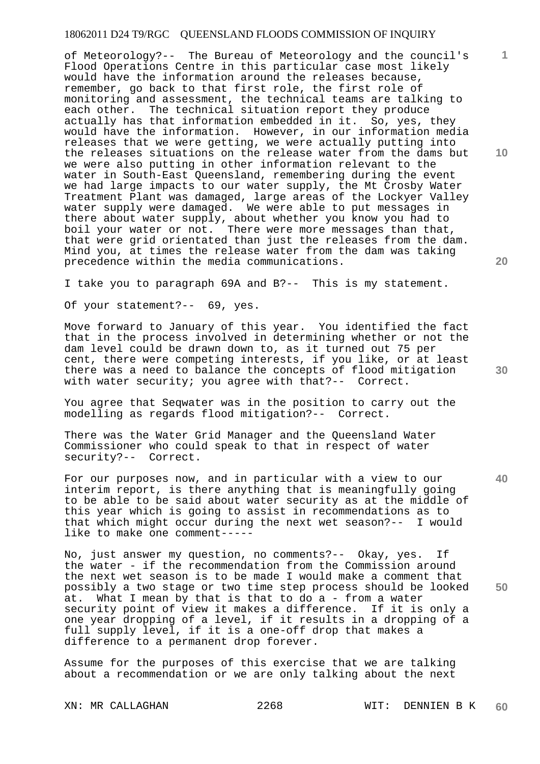of Meteorology?-- The Bureau of Meteorology and the council's Flood Operations Centre in this particular case most likely would have the information around the releases because, remember, go back to that first role, the first role of monitoring and assessment, the technical teams are talking to each other. The technical situation report they produce actually has that information embedded in it. So, yes, they would have the information. However, in our information media releases that we were getting, we were actually putting into the releases situations on the release water from the dams but we were also putting in other information relevant to the water in South-East Queensland, remembering during the event we had large impacts to our water supply, the Mt Crosby Water Treatment Plant was damaged, large areas of the Lockyer Valley water supply were damaged. We were able to put messages in there about water supply, about whether you know you had to boil your water or not. There were more messages than that, that were grid orientated than just the releases from the dam. Mind you, at times the release water from the dam was taking precedence within the media communications.

I take you to paragraph 69A and B?-- This is my statement.

Of your statement?-- 69, yes.

Move forward to January of this year. You identified the fact that in the process involved in determining whether or not the dam level could be drawn down to, as it turned out 75 per cent, there were competing interests, if you like, or at least there was a need to balance the concepts of flood mitigation with water security; you agree with that?-- Correct.

You agree that Seqwater was in the position to carry out the modelling as regards flood mitigation?-- Correct.

There was the Water Grid Manager and the Queensland Water Commissioner who could speak to that in respect of water security?-- Correct.

For our purposes now, and in particular with a view to our interim report, is there anything that is meaningfully going to be able to be said about water security as at the middle of this year which is going to assist in recommendations as to that which might occur during the next wet season?-- I would like to make one comment-----

No, just answer my question, no comments?-- Okay, yes. If the water - if the recommendation from the Commission around the next wet season is to be made I would make a comment that possibly a two stage or two time step process should be looked at. What I mean by that is that to do a - from a water security point of view it makes a difference. If it is only a one year dropping of a level, if it results in a dropping of a full supply level, if it is a one-off drop that makes a difference to a permanent drop forever.

Assume for the purposes of this exercise that we are talking about a recommendation or we are only talking about the next

**10** 

**1**

**40**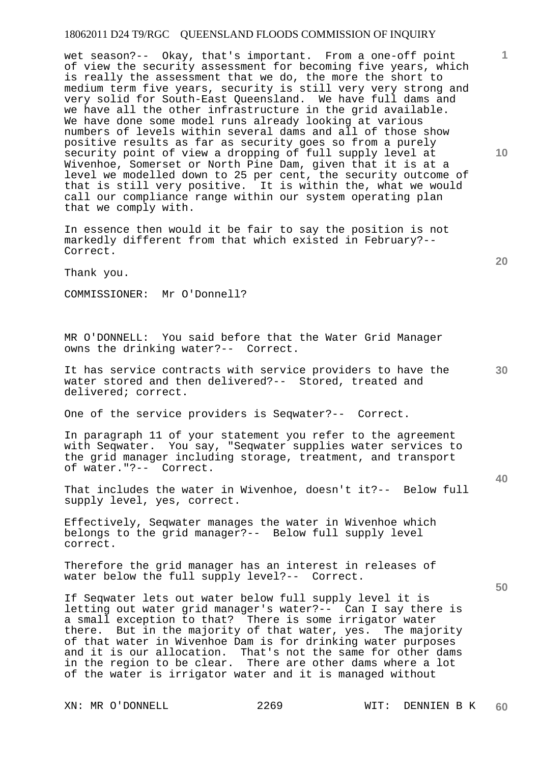wet season?-- Okay, that's important. From a one-off point of view the security assessment for becoming five years, which is really the assessment that we do, the more the short to medium term five years, security is still very very strong and very solid for South-East Queensland. We have full dams and we have all the other infrastructure in the grid available. We have done some model runs already looking at various numbers of levels within several dams and all of those show positive results as far as security goes so from a purely security point of view a dropping of full supply level at Wivenhoe, Somerset or North Pine Dam, given that it is at a level we modelled down to 25 per cent, the security outcome of that is still very positive. It is within the, what we would call our compliance range within our system operating plan that we comply with.

In essence then would it be fair to say the position is not markedly different from that which existed in February?-- Correct.

Thank you.

COMMISSIONER: Mr O'Donnell?

MR O'DONNELL: You said before that the Water Grid Manager owns the drinking water?-- Correct.

It has service contracts with service providers to have the water stored and then delivered?-- Stored, treated and delivered; correct.

One of the service providers is Seqwater?-- Correct.

In paragraph 11 of your statement you refer to the agreement with Seqwater. You say, "Seqwater supplies water services to the grid manager including storage, treatment, and transport of water."?-- Correct.

That includes the water in Wivenhoe, doesn't it?-- Below full supply level, yes, correct.

Effectively, Seqwater manages the water in Wivenhoe which belongs to the grid manager?-- Below full supply level correct.

Therefore the grid manager has an interest in releases of water below the full supply level?-- Correct.

If Seqwater lets out water below full supply level it is letting out water grid manager's water?-- Can I say there is a small exception to that? There is some irrigator water there. But in the majority of that water, yes. The majority of that water in Wivenhoe Dam is for drinking water purposes and it is our allocation. That's not the same for other dams in the region to be clear. There are other dams where a lot of the water is irrigator water and it is managed without

**10** 

**1**

**20** 

**40**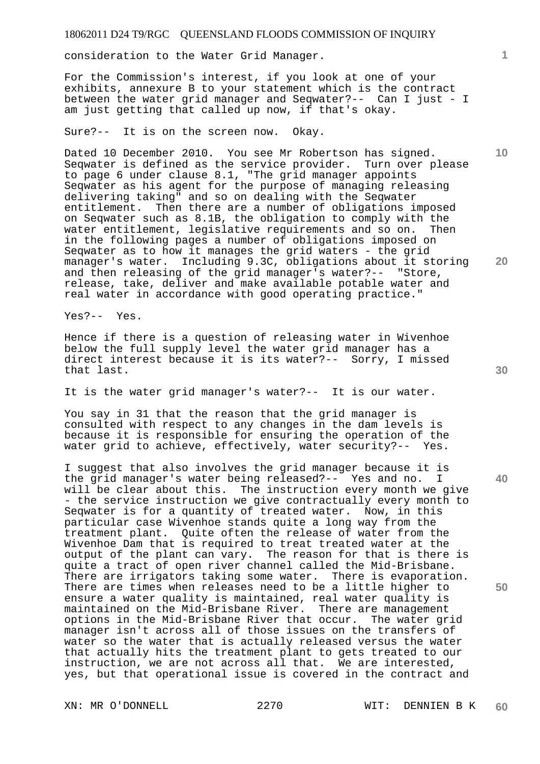consideration to the Water Grid Manager.

For the Commission's interest, if you look at one of your exhibits, annexure B to your statement which is the contract between the water grid manager and Seqwater?-- Can I just - I am just getting that called up now, if that's okay.

Sure?-- It is on the screen now. Okay.

Dated 10 December 2010. You see Mr Robertson has signed. Seqwater is defined as the service provider. Turn over please to page 6 under clause 8.1, "The grid manager appoints Seqwater as his agent for the purpose of managing releasing delivering taking" and so on dealing with the Seqwater entitlement. Then there are a number of obligations imposed on Seqwater such as 8.1B, the obligation to comply with the water entitlement, legislative requirements and so on. Then in the following pages a number of obligations imposed on Seqwater as to how it manages the grid waters - the grid manager's water. Including 9.3C, obligations about it storing and then releasing of the grid manager's water?-- "Store, release, take, deliver and make available potable water and real water in accordance with good operating practice."

Yes?-- Yes.

Hence if there is a question of releasing water in Wivenhoe below the full supply level the water grid manager has a direct interest because it is its water?-- Sorry, I missed that last.

It is the water grid manager's water?-- It is our water.

You say in 31 that the reason that the grid manager is consulted with respect to any changes in the dam levels is because it is responsible for ensuring the operation of the water grid to achieve, effectively, water security?-- Yes.

I suggest that also involves the grid manager because it is the grid manager's water being released?-- Yes and no. I will be clear about this. The instruction every month we give - the service instruction we give contractually every month to Seqwater is for a quantity of treated water. Now, in this particular case Wivenhoe stands quite a long way from the treatment plant. Quite often the release of water from the Wivenhoe Dam that is required to treat treated water at the output of the plant can vary. The reason for that is there is quite a tract of open river channel called the Mid-Brisbane. There are irrigators taking some water. There is evaporation. There are times when releases need to be a little higher to ensure a water quality is maintained, real water quality is maintained on the Mid-Brisbane River. There are management options in the Mid-Brisbane River that occur. The water grid manager isn't across all of those issues on the transfers of water so the water that is actually released versus the water that actually hits the treatment plant to gets treated to our instruction, we are not across all that. We are interested, yes, but that operational issue is covered in the contract and

**1**

**10** 

**30** 

**40** 

**50**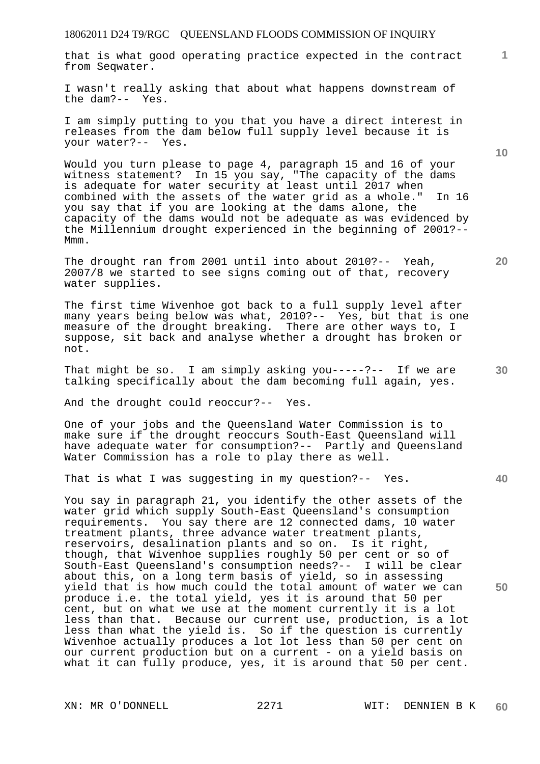that is what good operating practice expected in the contract from Seqwater.

I wasn't really asking that about what happens downstream of the dam?-- Yes.

I am simply putting to you that you have a direct interest in releases from the dam below full supply level because it is your water?-- Yes.

Would you turn please to page 4, paragraph 15 and 16 of your witness statement? In 15 you say, "The capacity of the dams is adequate for water security at least until 2017 when combined with the assets of the water grid as a whole." In 16 you say that if you are looking at the dams alone, the capacity of the dams would not be adequate as was evidenced by the Millennium drought experienced in the beginning of 2001?-- Mmm.

The drought ran from 2001 until into about 2010?-- Yeah, 2007/8 we started to see signs coming out of that, recovery water supplies.

The first time Wivenhoe got back to a full supply level after many years being below was what, 2010?-- Yes, but that is one measure of the drought breaking. There are other ways to, I suppose, sit back and analyse whether a drought has broken or not.

That might be so. I am simply asking you-----?-- If we are talking specifically about the dam becoming full again, yes.

And the drought could reoccur?-- Yes.

One of your jobs and the Queensland Water Commission is to make sure if the drought reoccurs South-East Queensland will have adequate water for consumption?-- Partly and Queensland Water Commission has a role to play there as well.

That is what I was suggesting in my question?-- Yes.

You say in paragraph 21, you identify the other assets of the water grid which supply South-East Queensland's consumption requirements. You say there are 12 connected dams, 10 water treatment plants, three advance water treatment plants, reservoirs, desalination plants and so on. Is it right, though, that Wivenhoe supplies roughly 50 per cent or so of South-East Queensland's consumption needs?-- I will be clear about this, on a long term basis of yield, so in assessing yield that is how much could the total amount of water we can produce i.e. the total yield, yes it is around that 50 per cent, but on what we use at the moment currently it is a lot less than that. Because our current use, production, is a lot less than what the yield is. So if the question is currently Wivenhoe actually produces a lot lot less than 50 per cent on our current production but on a current - on a yield basis on what it can fully produce, yes, it is around that 50 per cent.

XN: MR O'DONNELL 2271 WIT: DENNIEN B K

**10** 

**1**

**20**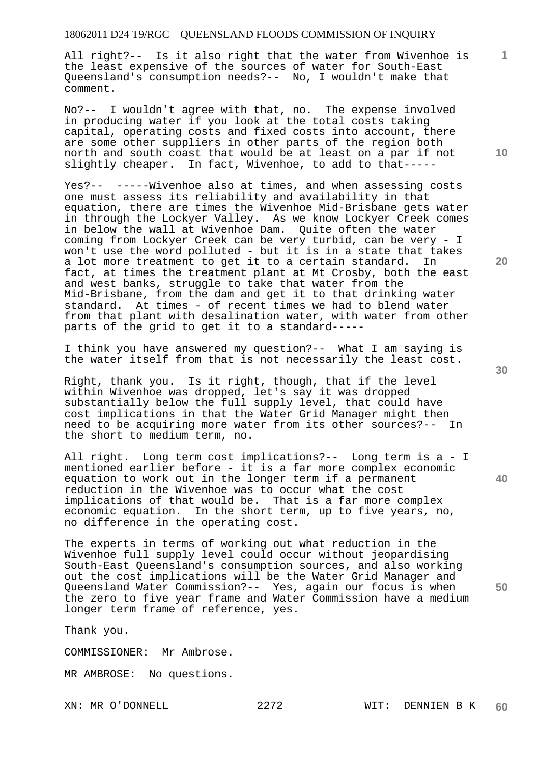All right?-- Is it also right that the water from Wivenhoe is the least expensive of the sources of water for South-East Queensland's consumption needs?-- No, I wouldn't make that comment.

No?-- I wouldn't agree with that, no. The expense involved in producing water if you look at the total costs taking capital, operating costs and fixed costs into account, there are some other suppliers in other parts of the region both north and south coast that would be at least on a par if not slightly cheaper. In fact, Wivenhoe, to add to that-----

Yes?-- -----Wivenhoe also at times, and when assessing costs one must assess its reliability and availability in that equation, there are times the Wivenhoe Mid-Brisbane gets water in through the Lockyer Valley. As we know Lockyer Creek comes in below the wall at Wivenhoe Dam. Quite often the water coming from Lockyer Creek can be very turbid, can be very - I won't use the word polluted - but it is in a state that takes a lot more treatment to get it to a certain standard. In fact, at times the treatment plant at Mt Crosby, both the east and west banks, struggle to take that water from the Mid-Brisbane, from the dam and get it to that drinking water standard. At times - of recent times we had to blend water from that plant with desalination water, with water from other parts of the grid to get it to a standard-----

I think you have answered my question?-- What I am saying is the water itself from that is not necessarily the least cost.

Right, thank you. Is it right, though, that if the level within Wivenhoe was dropped, let's say it was dropped substantially below the full supply level, that could have cost implications in that the Water Grid Manager might then need to be acquiring more water from its other sources?-- In the short to medium term, no.

All right. Long term cost implications?-- Long term is a - I mentioned earlier before - it is a far more complex economic equation to work out in the longer term if a permanent reduction in the Wivenhoe was to occur what the cost implications of that would be. That is a far more complex economic equation. In the short term, up to five years, no, no difference in the operating cost.

The experts in terms of working out what reduction in the Wivenhoe full supply level could occur without jeopardising South-East Queensland's consumption sources, and also working out the cost implications will be the Water Grid Manager and Queensland Water Commission?-- Yes, again our focus is when the zero to five year frame and Water Commission have a medium longer term frame of reference, yes.

Thank you.

COMMISSIONER: Mr Ambrose.

MR AMBROSE: No questions.

**10** 

**1**

**20** 

**50**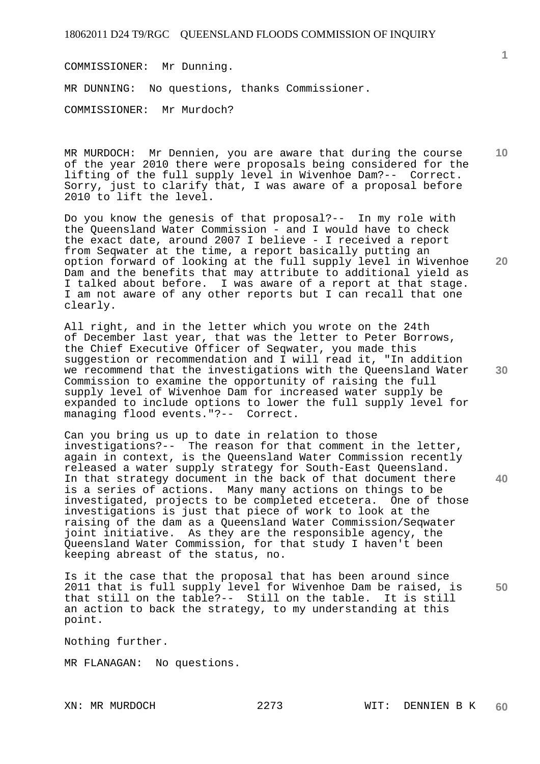COMMISSIONER: Mr Dunning. MR DUNNING: No questions, thanks Commissioner. COMMISSIONER: Mr Murdoch?

**10**  MR MURDOCH: Mr Dennien, you are aware that during the course of the year 2010 there were proposals being considered for the lifting of the full supply level in Wivenhoe Dam?-- Correct. Sorry, just to clarify that, I was aware of a proposal before 2010 to lift the level.

Do you know the genesis of that proposal?-- In my role with the Queensland Water Commission - and I would have to check the exact date, around 2007 I believe - I received a report from Seqwater at the time, a report basically putting an option forward of looking at the full supply level in Wivenhoe Dam and the benefits that may attribute to additional yield as I talked about before. I was aware of a report at that stage. I am not aware of any other reports but I can recall that one clearly.

All right, and in the letter which you wrote on the 24th of December last year, that was the letter to Peter Borrows, the Chief Executive Officer of Seqwater, you made this suggestion or recommendation and I will read it, "In addition we recommend that the investigations with the Queensland Water Commission to examine the opportunity of raising the full supply level of Wivenhoe Dam for increased water supply be expanded to include options to lower the full supply level for managing flood events."?-- Correct.

**40**  Can you bring us up to date in relation to those investigations?-- The reason for that comment in the letter, again in context, is the Queensland Water Commission recently released a water supply strategy for South-East Queensland. In that strategy document in the back of that document there is a series of actions. Many many actions on things to be investigated, projects to be completed etcetera. One of those investigations is just that piece of work to look at the raising of the dam as a Queensland Water Commission/Seqwater joint initiative. As they are the responsible agency, the Queensland Water Commission, for that study I haven't been keeping abreast of the status, no.

**50**  Is it the case that the proposal that has been around since 2011 that is full supply level for Wivenhoe Dam be raised, is that still on the table?-- Still on the table. It is still an action to back the strategy, to my understanding at this point.

Nothing further.

MR FLANAGAN: No questions.

**1**

**20**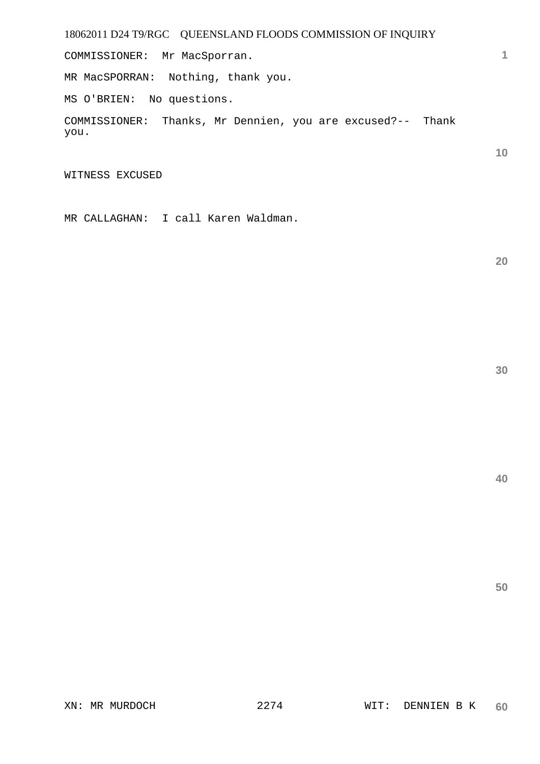COMMISSIONER: Mr MacSporran.

MR MacSPORRAN: Nothing, thank you.

MS O'BRIEN: No questions.

COMMISSIONER: Thanks, Mr Dennien, you are excused?-- Thank you.

WITNESS EXCUSED

MR CALLAGHAN: I call Karen Waldman.

**20** 

**1**

**10**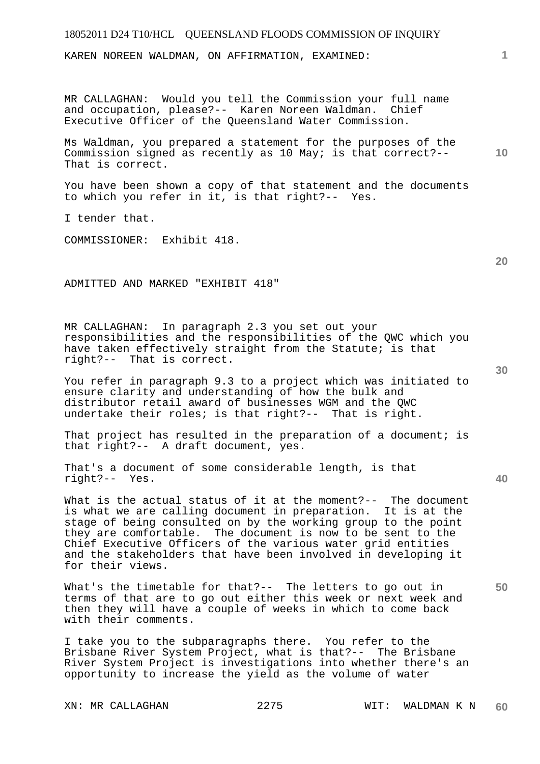KAREN NOREEN WALDMAN, ON AFFIRMATION, EXAMINED:

MR CALLAGHAN: Would you tell the Commission your full name and occupation, please?-- Karen Noreen Waldman. Chief Executive Officer of the Queensland Water Commission.

Ms Waldman, you prepared a statement for the purposes of the Commission signed as recently as 10 May; is that correct?-- That is correct.

You have been shown a copy of that statement and the documents to which you refer in it, is that right?-- Yes.

I tender that.

COMMISSIONER: Exhibit 418.

ADMITTED AND MARKED "EXHIBIT 418"

MR CALLAGHAN: In paragraph 2.3 you set out your responsibilities and the responsibilities of the QWC which you have taken effectively straight from the Statute; is that right?-- That is correct.

You refer in paragraph 9.3 to a project which was initiated to ensure clarity and understanding of how the bulk and distributor retail award of businesses WGM and the QWC undertake their roles; is that right?-- That is right.

That project has resulted in the preparation of a document; is that right?-- A draft document, yes.

That's a document of some considerable length, is that right?-- Yes.

What is the actual status of it at the moment?-- The document is what we are calling document in preparation. It is at the stage of being consulted on by the working group to the point they are comfortable. The document is now to be sent to the Chief Executive Officers of the various water grid entities and the stakeholders that have been involved in developing it for their views.

What's the timetable for that?-- The letters to go out in terms of that are to go out either this week or next week and then they will have a couple of weeks in which to come back with their comments.

I take you to the subparagraphs there. You refer to the Brisbane River System Project, what is that?-- The Brisbane River System Project is investigations into whether there's an opportunity to increase the yield as the volume of water

**20** 

**40** 

**50** 

**10**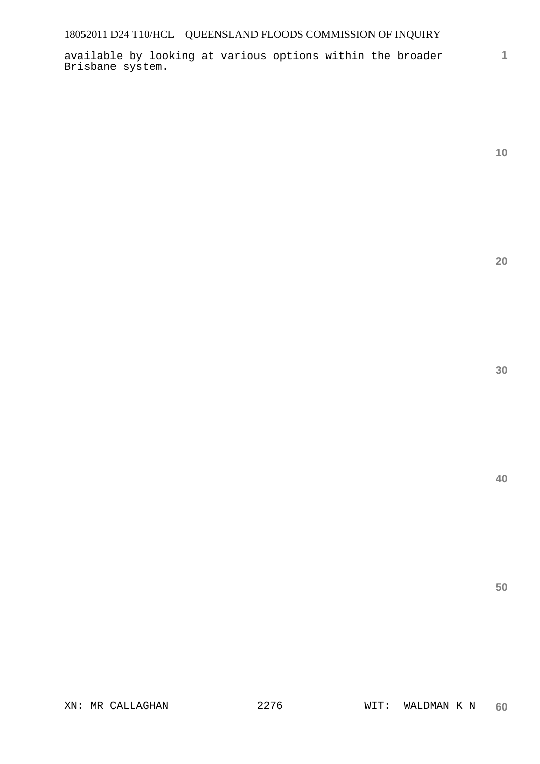available by looking at various options within the broader Brisbane system.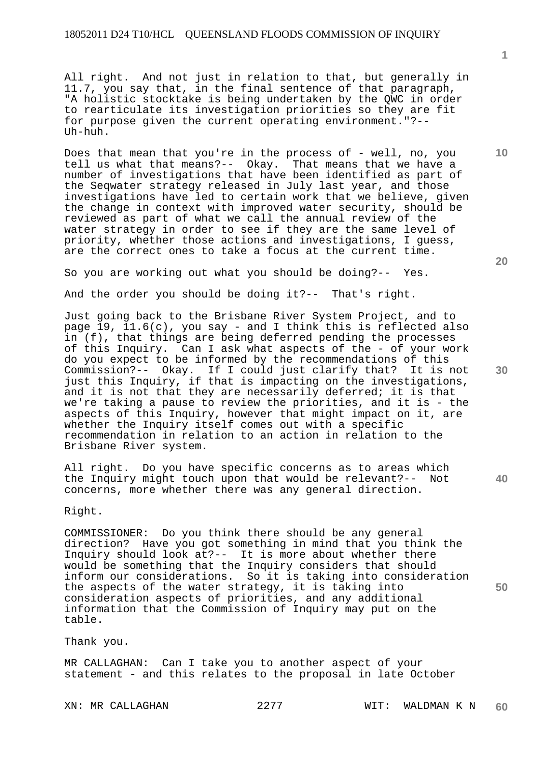All right. And not just in relation to that, but generally in 11.7, you say that, in the final sentence of that paragraph, "A holistic stocktake is being undertaken by the QWC in order to rearticulate its investigation priorities so they are fit for purpose given the current operating environment."?-- Uh-huh.

Does that mean that you're in the process of - well, no, you<br>tell us what that means?-- Okay. That means that we have a tell us what that means  $? --$  Okay. number of investigations that have been identified as part of the Seqwater strategy released in July last year, and those investigations have led to certain work that we believe, given the change in context with improved water security, should be reviewed as part of what we call the annual review of the water strategy in order to see if they are the same level of priority, whether those actions and investigations, I guess, are the correct ones to take a focus at the current time.

So you are working out what you should be doing?-- Yes.

And the order you should be doing it?-- That's right.

Just going back to the Brisbane River System Project, and to page 19, 11.6(c), you say - and I think this is reflected also in (f), that things are being deferred pending the processes of this Inquiry. Can I ask what aspects of the - of your work do you expect to be informed by the recommendations of this Commission?-- Okay. If I could just clarify that? It is not just this Inquiry, if that is impacting on the investigations, and it is not that they are necessarily deferred; it is that we're taking a pause to review the priorities, and it is - the aspects of this Inquiry, however that might impact on it, are whether the Inquiry itself comes out with a specific recommendation in relation to an action in relation to the Brisbane River system.

All right. Do you have specific concerns as to areas which the Inquiry might touch upon that would be relevant?-- Not concerns, more whether there was any general direction.

Right.

COMMISSIONER: Do you think there should be any general direction? Have you got something in mind that you think the Inquiry should look at?-- It is more about whether there would be something that the Inquiry considers that should inform our considerations. So it is taking into consideration the aspects of the water strategy, it is taking into consideration aspects of priorities, and any additional information that the Commission of Inquiry may put on the table.

Thank you.

MR CALLAGHAN: Can I take you to another aspect of your statement - and this relates to the proposal in late October

**1**

**10** 

**30** 

**20** 

**40**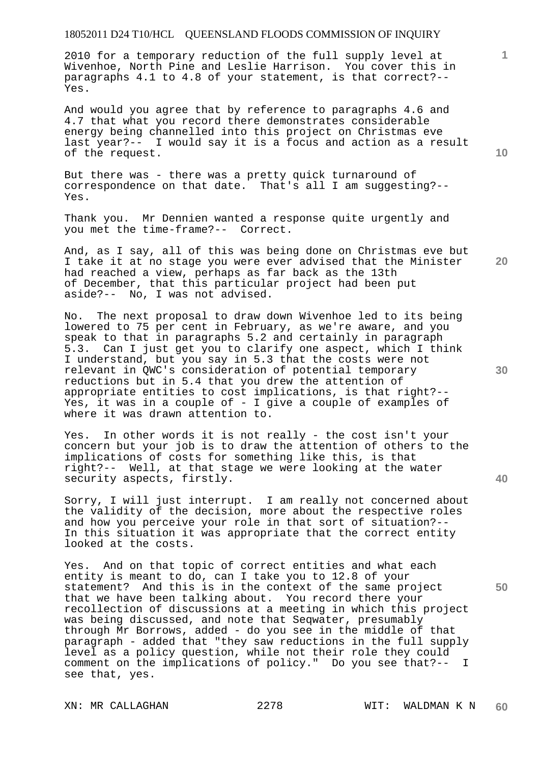2010 for a temporary reduction of the full supply level at Wivenhoe, North Pine and Leslie Harrison. You cover this in paragraphs 4.1 to 4.8 of your statement, is that correct?-- Yes.

And would you agree that by reference to paragraphs 4.6 and 4.7 that what you record there demonstrates considerable energy being channelled into this project on Christmas eve last year?-- I would say it is a focus and action as a result of the request.

But there was - there was a pretty quick turnaround of correspondence on that date. That's all I am suggesting?-- Yes.

Thank you. Mr Dennien wanted a response quite urgently and you met the time-frame?-- Correct.

And, as I say, all of this was being done on Christmas eve but I take it at no stage you were ever advised that the Minister had reached a view, perhaps as far back as the 13th of December, that this particular project had been put aside?-- No, I was not advised.

No. The next proposal to draw down Wivenhoe led to its being lowered to 75 per cent in February, as we're aware, and you speak to that in paragraphs 5.2 and certainly in paragraph 5.3. Can I just get you to clarify one aspect, which I think I understand, but you say in 5.3 that the costs were not relevant in QWC's consideration of potential temporary reductions but in 5.4 that you drew the attention of appropriate entities to cost implications, is that right?-- Yes, it was in a couple of - I give a couple of examples of where it was drawn attention to.

Yes. In other words it is not really - the cost isn't your concern but your job is to draw the attention of others to the implications of costs for something like this, is that right?-- Well, at that stage we were looking at the water security aspects, firstly.

Sorry, I will just interrupt. I am really not concerned about the validity of the decision, more about the respective roles and how you perceive your role in that sort of situation?-- In this situation it was appropriate that the correct entity looked at the costs.

Yes. And on that topic of correct entities and what each entity is meant to do, can I take you to 12.8 of your statement? And this is in the context of the same project that we have been talking about. You record there your recollection of discussions at a meeting in which this project was being discussed, and note that Seqwater, presumably through Mr Borrows, added - do you see in the middle of that paragraph - added that "they saw reductions in the full supply level as a policy question, while not their role they could comment on the implications of policy." Do you see that?-- I see that, yes.

**1**

**20** 

**40** 

**50**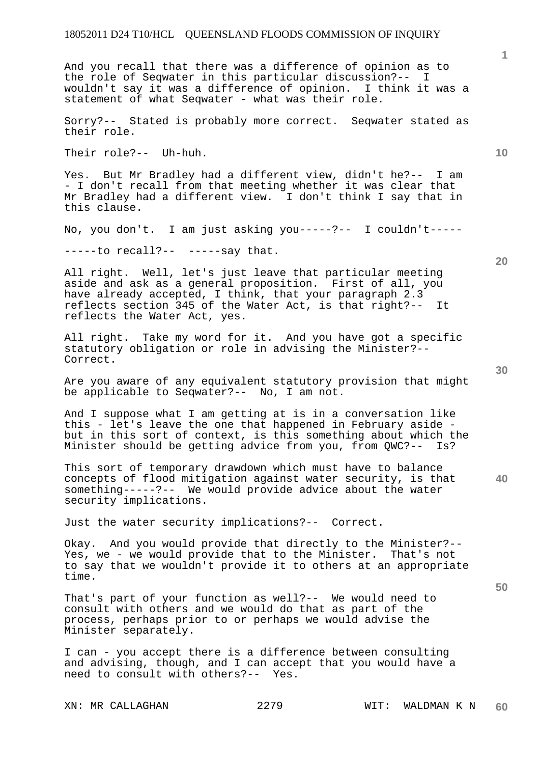And you recall that there was a difference of opinion as to the role of Seqwater in this particular discussion?-- I wouldn't say it was a difference of opinion. I think it was a statement of what Seqwater - what was their role.

Sorry?-- Stated is probably more correct. Seqwater stated as their role.

Their role?-- Uh-huh.

Yes. But Mr Bradley had a different view, didn't he?-- I am - I don't recall from that meeting whether it was clear that Mr Bradley had a different view. I don't think I say that in this clause.

No, you don't. I am just asking you-----?-- I couldn't-----

-----to recall?-- -----say that.

All right. Well, let's just leave that particular meeting aside and ask as a general proposition. First of all, you have already accepted, I think, that your paragraph 2.3 reflects section 345 of the Water Act, is that right?-- It reflects the Water Act, yes.

All right. Take my word for it. And you have got a specific statutory obligation or role in advising the Minister?-- Correct.

Are you aware of any equivalent statutory provision that might be applicable to Seqwater?-- No, I am not.

And I suppose what I am getting at is in a conversation like this - let's leave the one that happened in February aside but in this sort of context, is this something about which the Minister should be getting advice from you, from QWC?-- Is?

**40**  This sort of temporary drawdown which must have to balance concepts of flood mitigation against water security, is that something-----?-- We would provide advice about the water security implications.

Just the water security implications?-- Correct.

Okay. And you would provide that directly to the Minister?-- Yes, we - we would provide that to the Minister. That's not to say that we wouldn't provide it to others at an appropriate time.

That's part of your function as well?-- We would need to consult with others and we would do that as part of the process, perhaps prior to or perhaps we would advise the Minister separately.

I can - you accept there is a difference between consulting and advising, though, and I can accept that you would have a need to consult with others?-- Yes.

**10** 

**1**

**20**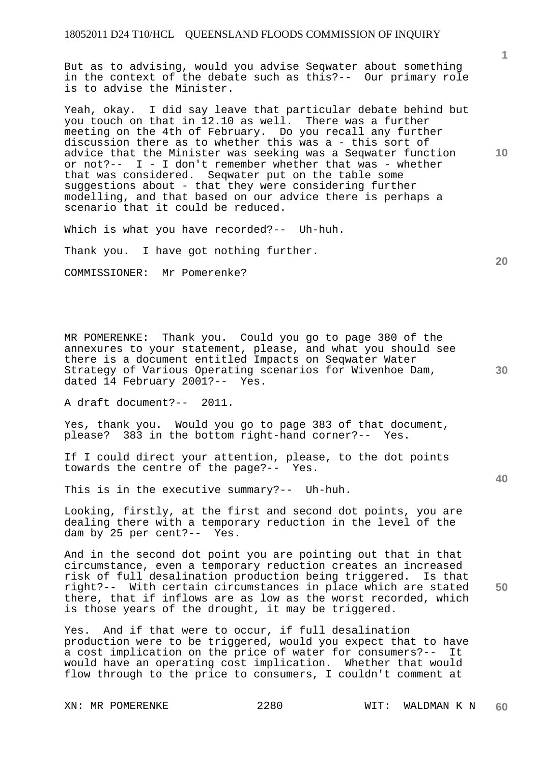But as to advising, would you advise Seqwater about something in the context of the debate such as this?-- Our primary role is to advise the Minister.

Yeah, okay. I did say leave that particular debate behind but you touch on that in 12.10 as well. There was a further meeting on the 4th of February. Do you recall any further discussion there as to whether this was a - this sort of advice that the Minister was seeking was a Seqwater function or not?-- I - I don't remember whether that was - whether that was considered. Seqwater put on the table some suggestions about - that they were considering further modelling, and that based on our advice there is perhaps a scenario that it could be reduced.

Which is what you have recorded?-- Uh-huh.

Thank you. I have got nothing further.

COMMISSIONER: Mr Pomerenke?

MR POMERENKE: Thank you. Could you go to page 380 of the annexures to your statement, please, and what you should see there is a document entitled Impacts on Seqwater Water Strategy of Various Operating scenarios for Wivenhoe Dam, dated 14 February 2001?-- Yes.

A draft document?-- 2011.

Yes, thank you. Would you go to page 383 of that document, please? 383 in the bottom right-hand corner?-- Yes.

If I could direct your attention, please, to the dot points towards the centre of the page?-- Yes.

This is in the executive summary?-- Uh-huh.

Looking, firstly, at the first and second dot points, you are dealing there with a temporary reduction in the level of the dam by 25 per cent?-- Yes.

And in the second dot point you are pointing out that in that circumstance, even a temporary reduction creates an increased risk of full desalination production being triggered. Is that right?-- With certain circumstances in place which are stated there, that if inflows are as low as the worst recorded, which is those years of the drought, it may be triggered.

Yes. And if that were to occur, if full desalination production were to be triggered, would you expect that to have a cost implication on the price of water for consumers?-- It would have an operating cost implication. Whether that would flow through to the price to consumers, I couldn't comment at

XN: MR POMERENKE  $2280$  WIT: WALDMAN K N

**1**

**20** 

**10** 

**30** 

**40**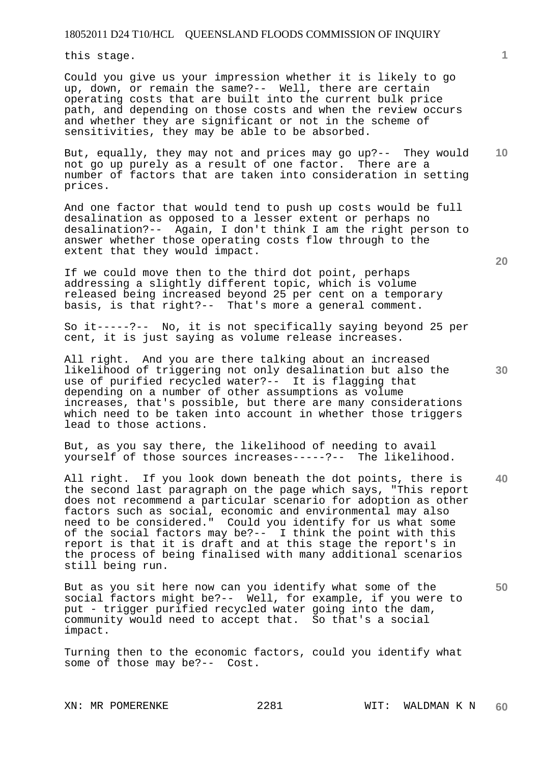this stage.

Could you give us your impression whether it is likely to go up, down, or remain the same?-- Well, there are certain operating costs that are built into the current bulk price path, and depending on those costs and when the review occurs and whether they are significant or not in the scheme of sensitivities, they may be able to be absorbed.

**10**  But, equally, they may not and prices may go up?-- They would not go up purely as a result of one factor. There are a number of factors that are taken into consideration in setting prices.

And one factor that would tend to push up costs would be full desalination as opposed to a lesser extent or perhaps no desalination?-- Again, I don't think I am the right person to answer whether those operating costs flow through to the extent that they would impact.

If we could move then to the third dot point, perhaps addressing a slightly different topic, which is volume released being increased beyond 25 per cent on a temporary basis, is that right?-- That's more a general comment.

So it-----?-- No, it is not specifically saying beyond 25 per cent, it is just saying as volume release increases.

All right. And you are there talking about an increased likelihood of triggering not only desalination but also the use of purified recycled water?-- It is flagging that depending on a number of other assumptions as volume increases, that's possible, but there are many considerations which need to be taken into account in whether those triggers lead to those actions.

But, as you say there, the likelihood of needing to avail yourself of those sources increases-----?-- The likelihood.

**40**  All right. If you look down beneath the dot points, there is the second last paragraph on the page which says, "This report does not recommend a particular scenario for adoption as other factors such as social, economic and environmental may also need to be considered." Could you identify for us what some of the social factors may be?-- I think the point with this report is that it is draft and at this stage the report's in the process of being finalised with many additional scenarios still being run.

But as you sit here now can you identify what some of the social factors might be?-- Well, for example, if you were to put - trigger purified recycled water going into the dam, community would need to accept that. So that's a social impact.

Turning then to the economic factors, could you identify what some of those may be?-- Cost.

**20** 

**1**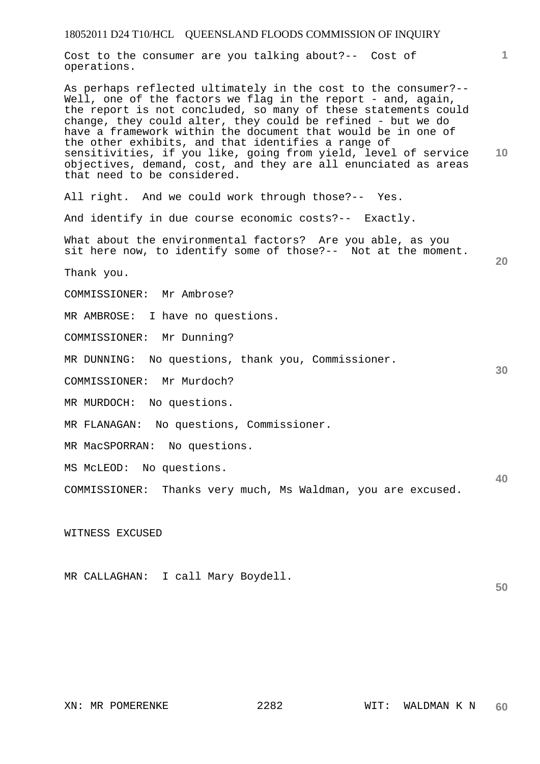Cost to the consumer are you talking about?-- Cost of operations.

**10**  As perhaps reflected ultimately in the cost to the consumer?-- Well, one of the factors we flag in the report  $-$  and, again, the report is not concluded, so many of these statements could change, they could alter, they could be refined - but we do have a framework within the document that would be in one of the other exhibits, and that identifies a range of sensitivities, if you like, going from yield, level of service objectives, demand, cost, and they are all enunciated as areas that need to be considered.

All right. And we could work through those?-- Yes.

And identify in due course economic costs?-- Exactly.

What about the environmental factors? Are you able, as you sit here now, to identify some of those?-- Not at the moment.

Thank you.

COMMISSIONER: Mr Ambrose?

MR AMBROSE: I have no questions.

COMMISSIONER: Mr Dunning?

MR DUNNING: No questions, thank you, Commissioner.

COMMISSIONER: Mr Murdoch?

MR MURDOCH: No questions.

MR FLANAGAN: No questions, Commissioner.

MR MacSPORRAN: No questions.

MS McLEOD: No questions.

COMMISSIONER: Thanks very much, Ms Waldman, you are excused.

WITNESS EXCUSED

MR CALLAGHAN: I call Mary Boydell.

**1**

**20** 

**30** 

**40**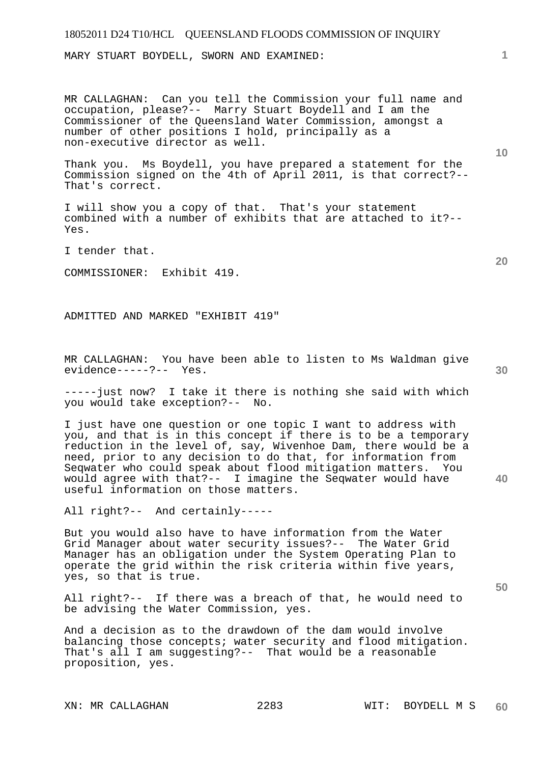MARY STUART BOYDELL, SWORN AND EXAMINED:

MR CALLAGHAN: Can you tell the Commission your full name and occupation, please?-- Marry Stuart Boydell and I am the Commissioner of the Queensland Water Commission, amongst a number of other positions I hold, principally as a non-executive director as well.

Thank you. Ms Boydell, you have prepared a statement for the Commission signed on the 4th of April 2011, is that correct?-- That's correct.

I will show you a copy of that. That's your statement combined with a number of exhibits that are attached to it?-- Yes.

I tender that.

COMMISSIONER: Exhibit 419.

ADMITTED AND MARKED "EXHIBIT 419"

MR CALLAGHAN: You have been able to listen to Ms Waldman give evidence-----?-- Yes.

-----just now? I take it there is nothing she said with which you would take exception?-- No.

I just have one question or one topic I want to address with you, and that is in this concept if there is to be a temporary reduction in the level of, say, Wivenhoe Dam, there would be a need, prior to any decision to do that, for information from Seqwater who could speak about flood mitigation matters. You would agree with that?-- I imagine the Seqwater would have useful information on those matters.

All right?-- And certainly-----

But you would also have to have information from the Water Grid Manager about water security issues?-- The Water Grid Manager has an obligation under the System Operating Plan to operate the grid within the risk criteria within five years, yes, so that is true.

All right?-- If there was a breach of that, he would need to be advising the Water Commission, yes.

And a decision as to the drawdown of the dam would involve balancing those concepts; water security and flood mitigation. That's all I am suggesting?-- That would be a reasonable proposition, yes.

**10** 

**1**

**20** 

**40**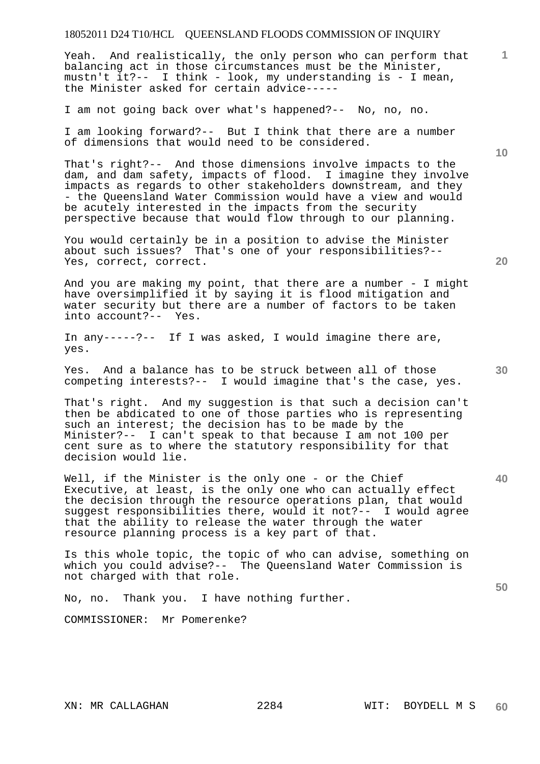Yeah. And realistically, the only person who can perform that balancing act in those circumstances must be the Minister, mustn't it?-- I think - look, my understanding is - I mean, the Minister asked for certain advice-----

I am not going back over what's happened?-- No, no, no.

I am looking forward?-- But I think that there are a number of dimensions that would need to be considered.

That's right?-- And those dimensions involve impacts to the dam, and dam safety, impacts of flood. I imagine they involve impacts as regards to other stakeholders downstream, and they - the Queensland Water Commission would have a view and would be acutely interested in the impacts from the security perspective because that would flow through to our planning.

You would certainly be in a position to advise the Minister about such issues? That's one of your responsibilities?-- Yes, correct, correct.

And you are making my point, that there are a number - I might have oversimplified it by saying it is flood mitigation and water security but there are a number of factors to be taken into account?-- Yes.

In any-----?-- If I was asked, I would imagine there are, yes.

Yes. And a balance has to be struck between all of those competing interests?-- I would imagine that's the case, yes.

That's right. And my suggestion is that such a decision can't then be abdicated to one of those parties who is representing such an interest; the decision has to be made by the Minister?-- I can't speak to that because I am not 100 per cent sure as to where the statutory responsibility for that decision would lie.

Well, if the Minister is the only one - or the Chief Executive, at least, is the only one who can actually effect the decision through the resource operations plan, that would suggest responsibilities there, would it not?-- I would agree that the ability to release the water through the water resource planning process is a key part of that.

Is this whole topic, the topic of who can advise, something on which you could advise?-- The Queensland Water Commission is not charged with that role.

No, no. Thank you. I have nothing further.

COMMISSIONER: Mr Pomerenke?

**20** 

**40** 

**50** 

**30** 

**10**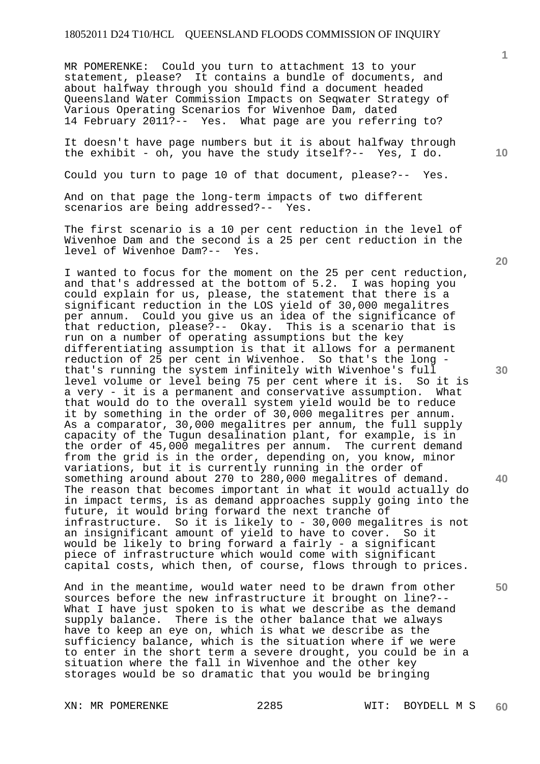MR POMERENKE: Could you turn to attachment 13 to your statement, please? It contains a bundle of documents, and about halfway through you should find a document headed Queensland Water Commission Impacts on Seqwater Strategy of Various Operating Scenarios for Wivenhoe Dam, dated 14 February 2011?-- Yes. What page are you referring to?

It doesn't have page numbers but it is about halfway through the exhibit - oh, you have the study itself?-- Yes, I do.

Could you turn to page 10 of that document, please?-- Yes.

And on that page the long-term impacts of two different scenarios are being addressed?-- Yes.

The first scenario is a 10 per cent reduction in the level of Wivenhoe Dam and the second is a 25 per cent reduction in the level of Wivenhoe Dam?-- Yes.

I wanted to focus for the moment on the 25 per cent reduction, and that's addressed at the bottom of 5.2. I was hoping you could explain for us, please, the statement that there is a significant reduction in the LOS yield of 30,000 megalitres per annum. Could you give us an idea of the significance of that reduction, please?-- Okay. This is a scenario that is run on a number of operating assumptions but the key differentiating assumption is that it allows for a permanent reduction of 25 per cent in Wivenhoe. So that's the long that's running the system infinitely with Wivenhoe's full<br>level volume or level being 75 per cent where it is. So it is level volume or level being 75 per cent where it is. a very - it is a permanent and conservative assumption. What that would do to the overall system yield would be to reduce it by something in the order of 30,000 megalitres per annum. As a comparator, 30,000 megalitres per annum, the full supply capacity of the Tugun desalination plant, for example, is in the order of 45,000 megalitres per annum. The current demand from the grid is in the order, depending on, you know, minor variations, but it is currently running in the order of something around about 270 to 280,000 megalitres of demand. The reason that becomes important in what it would actually do in impact terms, is as demand approaches supply going into the future, it would bring forward the next tranche of infrastructure. So it is likely to - 30,000 megalitres is not an insignificant amount of yield to have to cover. So it would be likely to bring forward a fairly - a significant piece of infrastructure which would come with significant capital costs, which then, of course, flows through to prices.

And in the meantime, would water need to be drawn from other sources before the new infrastructure it brought on line?-- What I have just spoken to is what we describe as the demand supply balance. There is the other balance that we always have to keep an eye on, which is what we describe as the sufficiency balance, which is the situation where if we were to enter in the short term a severe drought, you could be in a situation where the fall in Wivenhoe and the other key storages would be so dramatic that you would be bringing

**10** 

**1**

**20** 

**30** 

**40**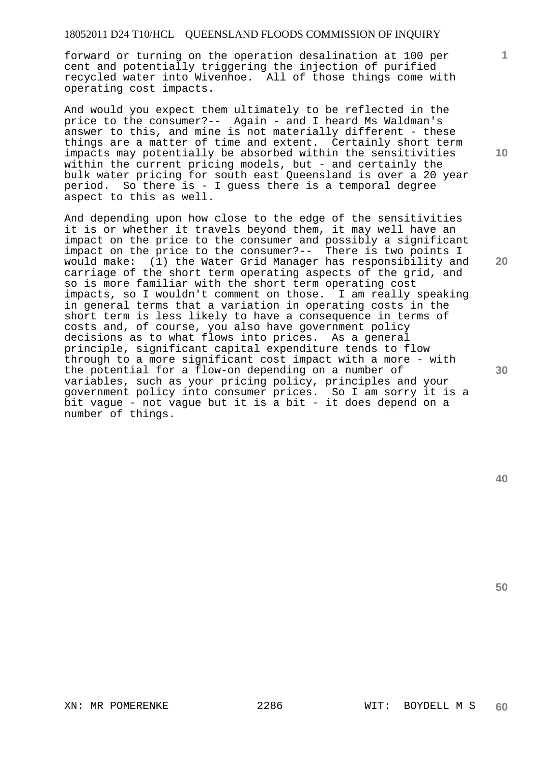forward or turning on the operation desalination at 100 per cent and potentially triggering the injection of purified recycled water into Wivenhoe. All of those things come with operating cost impacts.

And would you expect them ultimately to be reflected in the price to the consumer?-- Again - and I heard Ms Waldman's answer to this, and mine is not materially different - these things are a matter of time and extent. Certainly short term impacts may potentially be absorbed within the sensitivities within the current pricing models, but - and certainly the bulk water pricing for south east Queensland is over a 20 year period. So there is - I guess there is a temporal degree aspect to this as well.

And depending upon how close to the edge of the sensitivities it is or whether it travels beyond them, it may well have an impact on the price to the consumer and possibly a significant impact on the price to the consumer?-- There is two points I would make: (1) the Water Grid Manager has responsibility and carriage of the short term operating aspects of the grid, and so is more familiar with the short term operating cost impacts, so I wouldn't comment on those. I am really speaking in general terms that a variation in operating costs in the short term is less likely to have a consequence in terms of costs and, of course, you also have government policy decisions as to what flows into prices. As a general principle, significant capital expenditure tends to flow through to a more significant cost impact with a more - with the potential for a flow-on depending on a number of variables, such as your pricing policy, principles and your government policy into consumer prices. So I am sorry it is a bit vague - not vague but it is a bit - it does depend on a number of things.

**10** 

**1**

**20** 

**30**